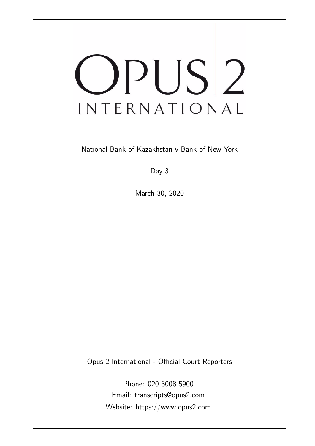# OPUS<sup>2</sup> INTERNATIONAL

National Bank of Kazakhstan v Bank of New York

Day 3

March 30, 2020

Opus 2 International - Official Court Reporters

Phone: 020 3008 5900 Email: transcripts@opus2.com Website: https://www.opus2.com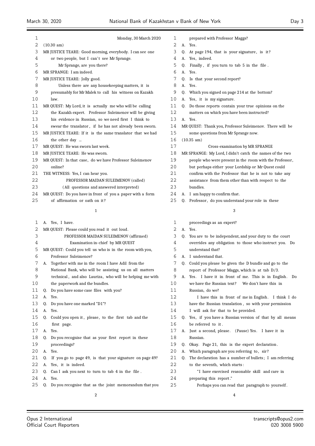| 1                 | Monday, 30 March 2020                                      |
|-------------------|------------------------------------------------------------|
| 2                 | $(10.30 \text{ am})$                                       |
| 3                 | MR JUSTICE TEARE: Good morning, everybody. I can see one   |
| 4                 | or two people, but I can't see Mr Sprange.                 |
| 5                 | Mr Sprange, are you there?                                 |
| 6                 | MR SPRANGE: I am indeed.                                   |
| 7                 | MR JUSTICE TEARE: Jolly good.                              |
| 8                 | Unless there are any housekeeping matters, it is           |
| 9                 | presumably for Mr Malek to call his witness on Kazakh      |
| 10                | law.                                                       |
| 11                | MR QUEST: My Lord, it is actually me who will be calling   |
| $12 \overline{ }$ | the Kazakh expert. Professor Suleimenov will be giving     |
| 13                | his evidence in Russian, so we need first I think to       |
| 14                | swear the translator, if he has not already been sworn.    |
| 15                | MR JUSTICE TEARE: If it is the same translator that we had |
| 16                | the other day                                              |
| 17                | MR QUEST: He was sworn last week.                          |
| 18                | MR JUSTICE TEARE: He was sworn.                            |
| 19                | MR QUEST: In that case, do we have Professor Suleimenov    |
| 20                | online?                                                    |
| 21                | THE WITNESS: Yes, I can hear you.                          |
| 22                | PROFESSOR MAIDAN SULEIMENOV (called)                       |
| 23                | (All questions and answered interpreted)                   |
| 24                | MR QUEST: Do you have in front of you a paper with a form  |
| 25                | of affirmation or oath on it?                              |

|  |  |  |  | Yes. I have. |
|--|--|--|--|--------------|
|--|--|--|--|--------------|

| 2  |             | MR QUEST: Please could you read it out loud.             |
|----|-------------|----------------------------------------------------------|
| 3  |             | PROFESSOR MAIDAN SULEIMENOV (affirmed)                   |
| 4  |             | Examination in-chief by MR QUEST                         |
| 5  |             | MR QUEST: Could you tell us who is in the room with you, |
| 6  |             | Professor Suleimenov?                                    |
| 7  |             | A. Together with me in the room I have Adil from the     |
| 8  |             | National Bank, who will be assisting us on all matters   |
| 9  |             | technical, and also Lauriza, who will be helping me with |
| 10 |             | the paperwork and the bundles.                           |
| 11 | 0.          | Do you have some case files with you?                    |
| 12 | A.          | Yes.                                                     |
| 13 | 0.          | Do you have one marked "D1"?                             |
| 14 | A.          | Yes.                                                     |
| 15 | 0.          | Could you open it, please, to the first tab and the      |
| 16 |             | first page.                                              |
| 17 | $A_{\cdot}$ | Yes.                                                     |
| 18 | 0.          | Do you recognise that as your first report in these      |
| 19 |             | proceedings?                                             |
| 20 | A.          | Yes.                                                     |
| 21 | 0.          | If you go to page 49, is that your signature on page 49? |
| 22 | A.          | Yes, it is indeed.                                       |
| 23 | 0.          | Can I ask you next to turn to tab 4 in the file.         |
| 24 | A.          | Yes.                                                     |
| 25 | 0.          | Do you recognise that as the joint memorandum that you   |
|    |             | $\overline{2}$                                           |

| 1  |         | prepared with Professor Maggs?                           |
|----|---------|----------------------------------------------------------|
| 2  | А.      | Yes.                                                     |
| 3  | 0.      | At page 194, that is your signature, is it?              |
| 4  | А.      | Yes, indeed.                                             |
| 5  | Q.      | Finally, if you turn to tab 5 in the file.               |
| 6  | А.      | Yes.                                                     |
| 7  | 0.      | Is that your second report?                              |
| 8  | $A_{-}$ | Yes.                                                     |
| 9  | 0.      | Which you signed on page 214 at the bottom?              |
| 10 | А.      | Yes, it is my signature.                                 |
| 11 | Q.      | Do those reports contain your true opinions on the       |
| 12 |         | matters on which you have been instructed?               |
| 13 | А.      | Yes.                                                     |
| 14 |         | MR QUEST: Thank you, Professor Suleimenov. There will be |
| 15 |         | some questions from Mr Sprange now.                      |
| 16 |         | (10.35 am)                                               |
| 17 |         | Cross-examination by MR SPRANGE                          |
| 18 |         | MR SPRANGE: My Lord, I didn't catch the names of the two |
| 19 |         | people who were present in the room with the Professor,  |
| 20 |         | but perhaps either your Lordship or Mr Quest could       |
| 21 |         | confirm with the Professor that he is not to take any    |
| 22 |         | assistance from them other than with respect to the      |
| 23 |         | bundles.                                                 |
| 24 | А.      | I am happy to confirm that.                              |
| 25 | Q.      | Professor, do you understand your role in these          |
|    |         | 3                                                        |
|    |         |                                                          |
| 1  |         | proceedings as an expert?                                |
| 2  | А.      | Yes.                                                     |
| 3  | 0.      | You are to be independent, and your duty to the court    |
| 4  |         | overrides any obligation to those who instruct you. Do   |

| C  |    | Q. You are to be independent, and your duty to the court    |
|----|----|-------------------------------------------------------------|
| 4  |    | overrides any obligation to those who instruct you. Do      |
| 5  |    | understand that?                                            |
| 6  |    | A. I understand that.                                       |
| 7  | O. | Could you please be given the D bundle and go to the        |
| 8  |    | report of Professor Maggs, which is at tab D/3.             |
| 9  |    | A. Yes. I have it in front of me. This is in English.<br>Do |
| 10 |    | we have the Russian text? We don't have this in             |
| 11 |    | Russian, do we?                                             |
| 12 |    | I have this in front of me in English. I think I do         |
| 13 |    | have the Russian translation, so with your permission       |
| 14 |    | I will ask for that to be provided.                         |
| 15 |    | Q. Yes, if you have a Russian version of that by all means  |
| 16 |    | be referred to it.                                          |
| 17 | А. | Just a second, please. (Pause) Yes. I have it in            |
| 18 |    | Russian.                                                    |
| 19 | 0. | Okay. Page 21, this is the expert declaration.              |
| 20 | А. | Which paragraph are you referring to, sir?                  |
|    |    |                                                             |

- 21 Q. The declaration has a number of bullets; I am referring to the seventh, which starts :
- 23 <sup>"</sup>I have exercised reasonable skill and care in
- preparing this report ."
- Perhaps you can read that paragraph to yourself .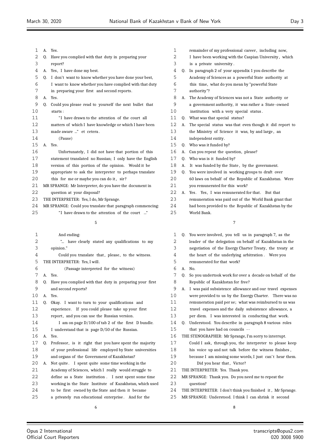| 1  | A.          | Yes.                                                       |
|----|-------------|------------------------------------------------------------|
| 2  | 0.          | Have you complied with that duty in preparing your         |
| 3  |             | report?                                                    |
| 4  | А.          | Yes, I have done my best.                                  |
| 5  | 0.          | I don't want to know whether you have done your best,      |
| 6  |             | I want to know whether you have complied with that duty    |
| 7  |             | in preparing your first and second reports.                |
| 8  | $A_{\cdot}$ | Yes.                                                       |
| 9  | 0.          | Could you please read to yourself the next bullet that     |
| 10 |             | starts:                                                    |
| 11 |             | "I have drawn to the attention of the court all            |
| 12 |             | matters of which I have knowledge or which I have been     |
| 13 |             | made aware " et cetera.                                    |
| 14 |             | (Pause)                                                    |
| 15 |             | $A$ $Yes$                                                  |
| 16 |             | Unfortunately, I did not have that portion of this         |
| 17 |             | statement translated no Russian; I only have the English   |
| 18 |             | version of this portion of the opinion. Would it be        |
| 19 |             | appropriate to ask the interpreter to perhaps translate    |
| 20 |             | this for me or maybe you can do it, sir?                   |
| 21 |             | MR SPRANGE: Mr Interpreter, do you have the document in    |
| 22 |             | question at your disposal?                                 |
| 23 |             | THE INTERPRETER: Yes, I do, Mr Sprange.                    |
| 24 |             | MR SPRANGE: Could you translate that paragraph commencing: |

25 "I have drawn to the attention of the court ..." 

| 1   |    | And ending:                                              | 1  |                | 0. You were       |
|-----|----|----------------------------------------------------------|----|----------------|-------------------|
| 2   |    | " have clearly stated any qualifications to my           | 2  |                | leader of         |
| 3   |    | opinion."                                                | 3  |                | negotiatio        |
| 4   |    | Could you translate that, please, to the witness.        | 4  |                | the heart         |
| 5   |    | THE INTERPRETER: Yes, I will.                            | 5  |                | remunera          |
| 6   |    | (Passage interpreted for the witness)                    | 6  | A.             | No.               |
| 7   | A. | Yes.                                                     | 7  | $\mathbf{0}$ . | So you ur         |
| 8   | 0. | Have you complied with that duty in preparing your first | 8  |                | Republic          |
| 9   |    | and second reports?                                      | 9  | A.             | I was pai         |
| 10  | A. | Yes.                                                     | 10 |                | were prov         |
| 11  | 0. | Okay. I want to turn to your qualifications and          | 11 |                | remunera          |
| 12. |    | experience. If you could please take up your first       | 12 |                | travel ex         |
| 13  |    | report, and you can use the Russian version.             | 13 |                | per diem.         |
| 14  |    | I am on page D/100 of tab 2 of the first D bundle.       | 14 |                | 0. Understo       |
| 15  |    | I understand that is page D/50 of the Russian.           | 15 |                | that you          |
| 16  |    | A. Yes.                                                  | 16 |                | THE STENOGI       |
| 17  | 0. | Professor, is it right that you have spent the majority  | 17 |                | Could I a         |
| 18  |    | of your professional life employed by State universities | 18 |                | his voice         |
| 19  |    | and organs of the Government of Kazakhstan?              | 19 |                | because I         |
| 20  | А. | Not quite. I spent quite some time working in the        | 20 |                | Did y             |
| 21  |    | Academy of Sciences, which I really would struggle to    | 21 |                | THE INTERPR       |
| 22  |    | define as a State institution. I next spent some time    | 22 |                | <b>MR SPRANGE</b> |
| 23  |    | working in the State Institute of Kazakhstan, which used | 23 |                | question?         |
| 24  |    | to be first owned by the State and then it became        | 24 |                | THE INTERPR       |
| 25  |    | a privately run educational enterprise. And for the      | 25 |                | <b>MR SPRANGE</b> |
|     |    |                                                          |    |                |                   |

| 1                 |    | remainder of my professional career, including now,      |
|-------------------|----|----------------------------------------------------------|
| 2                 |    | I have been working with the Caspian University, which   |
| 3                 |    | is a private university.                                 |
| 4                 | 0. | In paragraph 2 of your appendix 1 you describe the       |
| 5                 |    | Academy of Sciences as a powerful State authority at     |
| 6                 |    | this time, what do you mean by "powerful State"          |
| 7                 |    | authority"?                                              |
| 8                 | А. | The Academy of Sciences was not a State authority or     |
| 9                 |    | a government authority, it was rather a State-owned      |
| 10                |    | institution with a very special status.                  |
| 11                | 0. | What was that special status?                            |
| $12 \overline{ }$ | А. | The special status was that even though it did report to |
| 13                |    | the Ministry of Science it was, by and large, an         |
| 14                |    | independent entity.                                      |
| 15                | 0. | Who was it funded by?                                    |
| 16                | А. | Can you repeat the question, please?                     |
| 17                | 0. | Who was is it funded by?                                 |
| 18                | А. | It was funded by the State, by the government.           |
| 19                | Q. | You were involved in working groups to draft over        |
| 20                |    | 60 laws on behalf of the Republic of Kazakhstan. Were    |
| 21                |    | you remunerated for this work?                           |
| 22                | А. | Yes. Yes, I was remunerated for that.<br>But that        |
| 23                |    | remuneration was paid out of the World Bank grant that   |
| 24                |    | had been provided to the Republic of Kazakhstan by the   |
| 25                |    | World Bank.                                              |
|                   |    |                                                          |
|                   |    | 7                                                        |
|                   |    |                                                          |

| $\mathbf 1$ |    | Q. You were involved, you tell us in paragraph 7, as the    |
|-------------|----|-------------------------------------------------------------|
| 2           |    | leader of the delegation on behalf of Kazakhstan in the     |
| 3           |    | negotiation of the Energy Charter Treaty, the treaty at     |
| 4           |    | the heart of the underlying arbitration. Were you           |
| 5           |    | remunerated for that work?                                  |
| 6           | A. | No.                                                         |
| 7           | 0. | So you undertook work for over a decade on behalf of the    |
| 8           |    | Republic of Kazakhstan for free?                            |
| 9           | А. | I was paid subsistence allowance and our travel expenses    |
| 10          |    | were provided to us by the Energy Charter. There was no     |
| 11          |    | remuneration paid per se; what was reimbursed to us was     |
| 12          |    | travel expenses and the daily subsistence allowance, a      |
| 13          |    | per diem. I was interested in conducting that work.         |
| 14          | 0. | Understood. You describe in paragraph 8 various roles       |
| 15          |    | that you have had on councils --                            |
| 16          |    | THE STENOGRAPHER: Mr Sprange, I'm sorry to interrupt.       |
| 17          |    | Could I ask, through you, the interpreter to please keep    |
| 18          |    | his voice up and not talk before the witness finishes,      |
| 19          |    | because I am missing some words, I just can't hear them.    |
| 20          |    | Did you hear that, Victor?                                  |
| 21          |    | THE INTERPRETER: Yes. Thank you.                            |
| 22          |    | MR SPRANGE: Thank you. Do you need me to repeat the         |
| 23          |    | question?                                                   |
| 24          |    | THE INTERPRETER: I don't think you finished it, Mr Sprange. |
| 25          |    | MR SPRANGE: Understood. I think I can shrink it second      |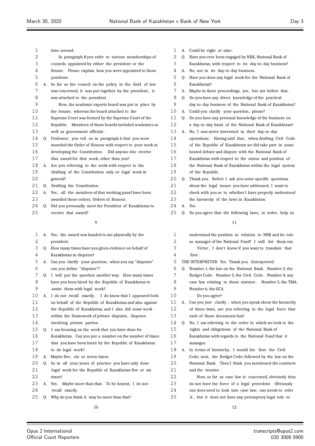| 1      |    | time around.                                             | 1  |    | A. Could be eight or nine.                               |
|--------|----|----------------------------------------------------------|----|----|----------------------------------------------------------|
| 2      |    | In paragraph 8 you refer to various memberships of       | 2  |    | Q. Have you ever been engaged by NBK, National Bank of   |
| 3      |    | councils appointed by either the president or the        | 3  |    | Kazakhstan, with respect to its day-to-day business?     |
| 4      |    | Senate. Please explain how you were appointed to those   | 4  |    | A. No, not in its day-to-day business.                   |
| 5      |    | positions.                                               | 5  |    | Q. Have you done any legal work for the National Bank of |
| 6      | А. | So far as the council on the policy in the field of law  | 6  |    | Kazakhstan?                                              |
| 7      |    | was concerned, it was put together by the president, it  | 7  | А. | Maybe in these proceedings, yes, but not before that.    |
| 8      |    | was attached to the president.                           | 8  | Q. | Do you have any direct knowledge of the practical        |
| 9      |    | Now, the academic experts board was put in place by      | 9  |    | day-to-day business of the National Bank of Kazakhstan?  |
| 10     |    | the Senate, whereas the board attached to the            | 10 | А. | Could you clarify your question, please?                 |
| 11     |    | Supreme Court was formed by the Supreme Court of the     | 11 | 0. | Do you have any personal knowledge of the business on    |
| 12     |    | Republic. Members of those boards included academics as  | 12 |    | a day-to-day basis of the National Bank of Kazakhstan?   |
| 13     |    | well as government officials.                            | 13 |    | A. No, I was never interested in their day-to-day        |
| 14     | 0. | Professor, you tell us in paragraph 6 that you were      | 14 |    | operations. Having said that, when drafting Civil Code   |
| 15     |    | awarded the Order of Honour with respect to your work in | 15 |    | of the Republic of Kazakhstan we did take part in some   |
| 16     |    | developing the Constitution. Did anyone else receive     | 16 |    | heated debate and dispute with the National Bank of      |
| 17     |    | that award for that work, other than you?                | 17 |    | Kazakhstan with respect to the status and position of    |
| 18     | А. | Are you referring to the work with respect to the        | 18 |    | the National Bank of Kazakhstan within the legal system  |
| 19     |    | drafting of the Constitution only or legal work in       | 19 |    | of the Republic.                                         |
| 20     |    | general?                                                 | 20 | 0. | Thank you. Before I ask you some specific questions      |
| 21     | 0. | Drafting the Constitution.                               | 21 |    | about the legal issues you have addressed, I want to     |
| 22     | А. | Yes, all the members of that working panel have been     | 22 |    | check with you as to whether I have properly understood  |
| 23     |    | awarded those orders, Orders of Honour.                  | 23 |    | the hierarchy of the laws in Kazakhstan.                 |
| 24     | 0. | Did you personally meet the President of Kazakhstan to   | 24 |    | A. Yes.                                                  |
| 25     |    | receive that award?                                      | 25 | Q. | Do you agree that the following laws, in order, help us  |
|        |    | 9                                                        |    |    | 11                                                       |
| 1      |    | A. Yes, the award was handed to me physically by the     | 1  |    | understand the position in relation to NBK and its role  |
| 2      |    | president.                                               | 2  |    | as manager of the National Fund? I will list them out.   |
| 3      | Q. | How many times have you given evidence on behalf of      | 3  |    | Victor, I don't know if you want to translate that       |
| 4      |    | Kazakhstan in disputes?                                  | 4  |    | first.                                                   |
| 5      | A. | Can you clarify your question; when you say "disputes"   | 5  |    | THE INTERPRETER: Yes. Thank you. (Interpreted)           |
| 6      |    | can you define "disputes"?                               | 6  |    | Number 1, the law on the National Bank. Number 2, the    |
| 7      |    | Q. I will put the question another way. How many times   | 7  |    | Budget Code. Number 3, the Civil Code. Number 4, any     |
| 8      |    | have you been hired by the Republic of Kazakhstan to     | 8  |    | case law relating to those statutes. Number 5, the TMA   |
| 9      |    | assist them with legal work?                             | 9  |    | Number 6, the GCA.                                       |
| 10     | А. | I do not recall exactly. I do know that I appeared both  | 10 |    | Do you agree?                                            |
| 11     |    | on behalf of the Republic of Kazakhstan and also against | 11 | А. | Can you just clarify, when you speak about the hierarchy |
| 12     |    | the Republic of Kazakhstan, and I also did some work     | 12 |    | of those laws, are you referring to the legal force that |
| 13     |    | within the framework of private disputes, disputes       | 13 |    | each of those documents has?                             |
| 14     |    | involving private parties.                               | 14 | 0. | No, I am referring to the order in which we look to the  |
| 15     | Q. | I am focusing on the work that you have done for         | 15 |    | rights and obligations of the National Bank of           |
| 16     |    | Kazakhstan. Can you put a number on the number of times  | 16 |    | Kazakhstan with regards to the National Fund that it     |
| $17\,$ |    | that you have been hired by the Republic of Kazakhstan   | 17 |    | manages.                                                 |
| $18\,$ |    | to do legal work?                                        | 18 | А. | In terms of hierarchy, I would list first the Civil      |
| 19     |    | A. Maybe five, six or seven times.                       | 19 |    | Code; next, the Budget Code; followed by the law on the  |
| 20     | 0. | So in all your years of practice you have only done      | 20 |    | National Bank. Then I think you mentioned the contracts  |
| 21     |    | legal work for the Republic of Kazakhstan five or six    | 21 |    | and the treaties.                                        |
| 22     |    | times?                                                   | 22 |    | Now, so far as case law is concerned, obviously they     |
| 23     |    | A. Yes. Maybe more than that. To be honest, I do not     | 23 |    | do not have the force of a legal precedent. Obviously    |
| 24     |    | recall exactly.                                          | 24 |    | one does need to look into case law, one needs to refer  |
| 25     | Q. | Why do you think it may be more than that?               | 25 |    | it, but it does not have any peremptory legal role or    |
|        |    |                                                          |    |    |                                                          |
|        |    | 10                                                       |    |    | 12                                                       |

Ξ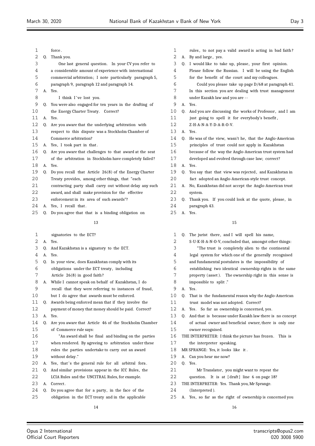| 1  |    | force.                                                   |
|----|----|----------------------------------------------------------|
| 2  | Q. | Thank you.                                               |
| 3  |    | One last general question. In your CV you refer to       |
| 4  |    | a considerable amount of experience with international   |
| 5  |    | commercial arbitration; I note particularly paragraph 5, |
| 6  |    | paragraph 9, paragraph 12 and paragraph 14.              |
| 7  |    | A. Yes.                                                  |
| 8  |    | I think I've lost you.                                   |
| 9  | 0. | You were also engaged for ten years in the drafting of   |
| 10 |    | the Energy Charter Treaty. Correct?                      |
| 11 | А. | Yes.                                                     |
| 12 | 0. | Are you aware that the underlying arbitration with       |
| 13 |    | respect to this dispute was a Stockholm Chamber of       |
| 14 |    | Commerce arbitration?                                    |
| 15 | А. | Yes, I took part in that.                                |
| 16 | 0. | Are you aware that challenges to that award at the seat  |
| 17 |    | of the arbitration in Stockholm have completely failed?  |
| 18 | А. | Yes.                                                     |
| 19 | Q. | Do you recall that Article 26(8) of the Energy Charter   |
| 20 |    | Treaty provides, among other things, that "each          |
| 21 |    | contracting party shall carry out without delay any such |
| 22 |    | award, and shall make provision for the effective        |
| 23 |    | enforcement in its area of such awards"?                 |
| 24 | А. | Yes, I recall that.                                      |
| 25 | Q. | Do you agree that that is a binding obligation on        |
|    |    | 13                                                       |
| 1. |    | signatories to the ECT?                                  |

- signatories to the ECT?
- A. Yes.
- Q. And Kazakhstan is a signatory to the ECT.
- A. Yes.
- Q. In your view, does Kazakhstan comply with its
- obligations under the ECT treaty , including
- Article 26(8) in good faith ?
- A. While I cannot speak on behalf of Kazakhstan, I do
- recall that they were referring to instances of fraud, but I do agree that awards must be enforced.
- Q. Awards being enforced mean that if they involve the
- payment of money that money should be paid. Correct? A. Yes.
- Q. Are you aware that Article 46 of the Stockholm Chamber of Commerce rule says:
- "An award shall be final and binding on the parties when rendered. By agreeing to arbitration under these rules the parties undertake to carry out an award
- without delay ."
- 20 A. Yes, that's the general rule for all arbitral fora.
- Q. And similar provisions appear in the ICC Rules, the LCIA Rules and the UNCITRAL Rules, for example.
- 23 A. Correct.
- Q. Do you agree that for a party, in the face of the
- obligation in the ECT treaty and in the applicable
- 1 rules, to not pay a valid award is acting in bad faith? 2 A. By and large, yes. 3 Q. I would like to take up, please, your first opinion. Please follow the Russian. I will be using the English for the benefit of the court and my colleagues. Could you please take up page D/68 at paragraph 41. In this section you are dealing with trust management under Kazakh law and you are - - A. Yes. 10 Q. And you are discussing the works of Professor, and I am 11 just going to spell it for everybody's benefit, Z-H-A-N-A-Y-D-A-R-O-V. A. Yes. Q. He was of the view, wasn't he, that the Anglo-American principles of trust could not apply in Kazakhstan because of the way the Anglo-American trust system had developed and evolved through case law; correct? A. Yes. Q. You say that that view was rejected , and Kazakhstan in fact adopted an Anglo-American-style trust concept. A. No, Kazakhstan did not accept the Anglo-American trust system.
- 23 Q. Thank you. If you could look at the quote, please, in paragraph 43.
- A. Yes.

- 1 Q. The jurist there, and I will spell his name, S-U-K-H-A-N-O-V, concluded that, amongst other things: "The trust is completely alien to the continental legal system for which one of the generally recognised and fundamental postulates is the impossibility of establishing two identical ownership rights in the same property (asset ). The ownership right in this sense is impossible to split ." A. Yes. Q. That is the fundamental reason why the Anglo-American trust model was not adopted. Correct? A. Yes. So far as ownership is concerned, yes. Q. And that is because under Kazakh law there is no concept of actual owner and beneficial owner, there is only one owner recognised. THE INTERPRETER: I think the picture has frozen . This is the interpreter speaking. MR SPRANGE: Yes, it looks like it . A. Can you hear me now? Q. Yes. Mr Translator, you might want to repeat the 22 question. It is at [draft] line 6 on page 18? THE INTERPRETER: Yes. Thank you, Mr Sprange. (Interpreted ).
- A. Yes, so far as the right of ownership is concerned you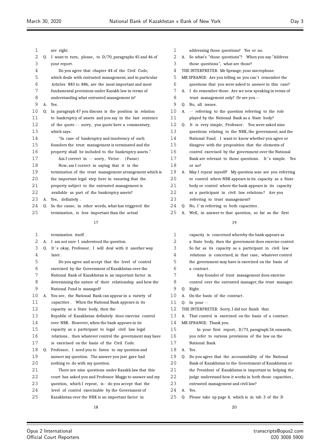| 1<br>2 |    | are right.<br>Q. I want to turn, please, to D/70, paragraphs 45 and 46 of | 1<br>2 |    | addressing those questions? Yes or no.<br>A. So what's "those questions"? When you say "Address |
|--------|----|---------------------------------------------------------------------------|--------|----|-------------------------------------------------------------------------------------------------|
| 3      |    | your report.                                                              | 3      |    | those questions", what are those?                                                               |
| 4      |    | Do you agree that chapter 44 of the Civil Code,                           | 4      |    | THE INTERPRETER: Mr Sprange, your microphone.                                                   |
| 5      |    | which deals with entrusted management, and in particular                  | 5      |    | MR SPRANGE: Are you telling us you can't remember the                                           |
| 6      |    | Articles 883 to 886, are the most important and most                      | 6      |    | questions that you were asked to answer in this case?                                           |
| 7      |    | fundamental provisions under Kazakh law in terms of                       | 7      |    | A. I do remember those. Are we now speaking in terms of                                         |
| 8      |    | understanding what entrusted management is?                               | 8      |    | trust management only? Or are you --                                                            |
| 9      |    | A. Yes.                                                                   | 9      |    | Q. No, all issues.                                                                              |
| 10     | 0. | In paragraph 47 you discuss is the position in relation                   | 10     | А. | -- referring to the question referring to the role                                              |
| 11     |    | to bankruptcy of assets and you say in the last sentence                  | 11     |    | played by the National Bank as a State body?                                                    |
| 12     |    | of the quote -- sorry, you quote here a commentary,                       | 12     | 0. | It is very simple, Professor. You were asked nine                                               |
| 13     |    | which says:                                                               | 13     |    | questions relating to the NBK, the government, and the                                          |
| 14     |    | "In case of bankruptcy and insolvency of such                             | 14     |    | National Fund. I want to know whether you agree or                                              |
| 15     |    | founders the trust management is terminated and the                       | 15     |    | disagree with the proposition that the elements of                                              |
| 16     |    | property shall be included to the bankruptcy assets."                     | 16     |    | control exercised by the government over the National                                           |
| 17     |    | Am I correct in -- sorry, Victor. (Pause)                                 | 17     |    | Bank are relevant to those questions. It's simple. Yes                                          |
| 18     |    | Now, am I correct in saying that it is the                                | 18     |    | or no?                                                                                          |
| 19     |    | termination of the trust management arrangement which is                  | 19     | А. | May I repeat myself? My question was: are you referring                                         |
| 20     |    | the important legal step here in ensuring that the                        | 20     |    | to control where NBK appears in its capacity as a State                                         |
| 21     |    | property subject to the entrusted management is                           | 21     |    | body or control where the bank appears in its capacity                                          |
| 22     |    | available as part of the bankruptcy assets?                               | 22     |    | as a participant in civil law relations? Are you                                                |
| 23     |    | A. Yes, definitely.                                                       | 23     |    | referring to trust management?                                                                  |
| 24     | 0. | So the cause, in other words, what has triggered the                      | 24     | 0. | No, I'm referring to both capacities.                                                           |
| 25     |    | termination, is less important than the actual                            | 25     |    | A. Well, in answer to that question, so far as the first                                        |
|        |    | 17                                                                        |        |    | 19                                                                                              |
|        |    |                                                                           |        |    |                                                                                                 |
| 1      |    | termination itself.                                                       | 1      |    | capacity is concerned whereby the bank appears as                                               |
| 2      |    | A. I am not sure I understood the question.                               | 2      |    | a State body, then the government does exercise control.                                        |
| 3      | Q. | It's okay, Professor, I will deal with it another way                     |        |    |                                                                                                 |
|        |    |                                                                           | 3      |    | So far as its capacity as a participant in civil law                                            |
| 4      |    | later.                                                                    | 4      |    | relations is concerned, in that case, whatever control                                          |
| 5      |    | Do you agree and accept that the level of control                         | 5      |    | the government may have is exercised on the basis of                                            |
| 6      |    | exercised by the Government of Kazakhstan over the                        | 6      |    | a contract.                                                                                     |
| 7      |    | National Bank of Kazakhstan is an important factor in                     | 7      |    | Any founder of trust management does exercise                                                   |
| 8      |    | determining the nature of their relationship and how the                  | 8      |    | control over the entrusted manager, the trust manager.                                          |
| 9      |    | National Fund is managed?                                                 | 9      |    | Q. Right.                                                                                       |
| 10     | А. | You see, the National Bank can appear in a variety of                     | 10     |    | A. On the basis of the contract.                                                                |
| 11     |    | capacities. When the National Bank appears in its                         | 11     |    | $Q.$ In your $-$                                                                                |
| 12     |    | capacity as a State body, then the                                        | 12     |    | THE INTERPRETER: Sorry, I did not finish that.                                                  |
| 13     |    | Republic of Kazakhstan definitely does exercise control                   | 13     |    | A. That control is exercised on the basis of a contract.                                        |
| 14     |    | over NBK. However, when the bank appears in its                           | 14     |    | MR SPRANGE: Thank you.                                                                          |
| 15     |    | capacity as a participant to legal civil law legal                        | 15     |    | In your first report, D/73, paragraph 56 onwards,                                               |
| 16     |    | relations, then whatever control the government may have                  | 16     |    | you refer to various provisions of the law on the                                               |
| 17     |    | is exercised on the basis of the Civil Code.                              | 17     |    | National Bank.                                                                                  |
| 18     | Q. | Professor, I need you to listen to my question and                        | 18     | A. | Yes.                                                                                            |
| 19     |    | answer my question. The answer you just gave had                          | 19     | Q. | Do you agree that the accountability of the National                                            |
| 20     |    | nothing to do with my question.                                           | 20     |    | Bank of Kazakhstan to the Government of Kazakhstan or                                           |
| 21     |    | There are nine questions under Kazakh law that this                       | 21     |    | the President of Kazakhstan is important in helping the                                         |
| 22     |    | court has asked you and Professor Maggs to answer and my                  | 22     |    | judge understand how it works in both those capacities,                                         |

- A. Yes.
- Q. Please take up page 4, which is in tab 3 of the D

 level of control exercisable by the Government of Kazakhstan over the NBK is an important factor in

 $\equiv$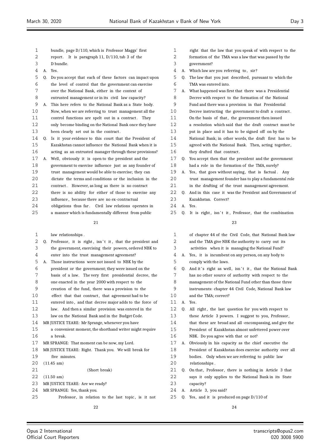| 1  |    | bundle, page D/110, which is Professor Maggs' first         |
|----|----|-------------------------------------------------------------|
| 2  |    | report. It is paragraph 11, $D/110$ , tab 3 of the          |
| 3  |    | D bundle.                                                   |
| 4  | А. | Yes.                                                        |
| 5  | Q. | Do you accept that each of these factors can impact upon    |
| 6  |    | the level of control that the government can exercise       |
| 7  |    | over the National Bank, either in the context of            |
| 8  |    | entrusted management or in its civil law capacity?          |
| 9  | А. | This here refers to the National Bank as a State body.      |
| 10 |    | Now, when we are referring to trust management all the      |
| 11 |    | control functions are spelt out in a contract.<br>They      |
| 12 |    | only become binding on the National Bank once they have     |
| 13 |    | been clearly set out in the contract.                       |
| 14 | Q. | Is it your evidence to this court that the President of     |
| 15 |    | Kazakhstan cannot influence the National Bank when it is    |
| 16 |    | acting as an entrusted manager through these provisions?    |
| 17 | А. | Well, obviously it is open to the president and the         |
| 18 |    | government to exercise influence just as any founder of     |
| 19 |    | trust management would be able to exercise; they can        |
| 20 |    | dictate the terms and conditions or the inclusion in the    |
| 21 |    | contract. However, as long as there is no contract          |
| 22 |    | there is no ability for either of those to exercise any     |
| 23 |    | influence, because there are no ex-contractual              |
| 24 |    | obligations thus far. Civil law relations operates in       |
| 25 |    | a manner which is fundamentally different from public       |
|    |    | 21                                                          |
| 1  |    | law relationships.                                          |
| 2  |    | Q. Professor, it is right, isn't it, that the president and |
| 3  |    | the government, exercising their powers, ordered NBK to     |
| 4  |    | enter into the trust management agreement?                  |
| 5  | А. | Those instructions were not issued to NBK by the            |
| 6  |    | president or the government; they were issued on the        |
| 7  |    | basis of a law. The very first presidential decree, the     |
| 8  |    | one enacted in the year 2000 with respect to the            |
| 9  |    | creation of the fund, there was a provision to the          |
| 10 |    | effect that that contract, that agreement had to be         |
| 11 |    | entered into, and that decree major adds to the force of    |
| 12 |    | law. And then a similar provision was entered in the        |
| 13 |    | law on the National Bank and in the Budget Code.            |
| 14 |    | MR JUSTICE TEARE: Mr Sprange, whenever you have             |
| 15 |    | a convenient moment, the shorthand writer might require     |
| 16 |    | a break.                                                    |

- MR SPRANGE: That moment can be now, my Lord.
- MR JUSTICE TEARE: Right. Thank you. We will break for five minutes. (11.45 am) (Short break)
- (11.50 am)
- MR JUSTICE TEARE: Are we ready?
- MR SPRANGE: Yes, thank you.
- Professor , in relation to the last topic , is it not
- right that the law that you speak of with respect to the
- formation of the TMA was a law that was passed by the
- government?
- 4 A. Which law are you referring to, sir?
- Q. The law that you just described, pursuant to which the TMA was entered into.
- A. What happened was first that there was a Presidential Decree with respect to the formation of the National
- Fund and there was a provision in that Presidential
- Decree instructing the government to draft a contract .
- 11 On the basis of that, the government then issued
- a resolution which said that the draft contract must be
- put in place and it has to be signed off on by the
- National Bank; in other words, the draft first has to be
- agreed with the National Bank. Then, acting together ,
- they drafted that contract .
- Q. You accept then that the president and the government had a role in the formation of the TMA, surely?
- 19 A. Yes, that goes without saying, that is factual. Any trust management founder has to play a fundamental role
- in the drafting of the trust management agreement.
- Q. And in this case it was the President and Government of Kazakhstan. Correct?
- A. Yes.
- O. It is right, isn't it, Professor, that the combination

| 1  |    | of chapter 44 of the Civil Code, that National Bank law  |
|----|----|----------------------------------------------------------|
| 2  |    | and the TMA give NBK the authority to carry out its      |
| 3  |    | activities when it is managing the National Fund?        |
| 4  | А. | Yes, it is incumbent on any person, on any body to       |
| 5  |    | comply with the laws.                                    |
| 6  | 0. | And it's right as well, isn't it, that the National Bank |
| 7  |    | has no other source of authority with respect to the     |
| 8  |    | management of the National Fund other than those three   |
| 9  |    | instruments: chapter 44 Civil Code, National Bank law    |
| 10 |    | and the TMA; correct?                                    |
| 11 | A. | Yes.                                                     |
| 12 | 0. | All right, the last question for you with respect to     |
| 13 |    | these Article 3 powers. I suggest to you, Professor,     |
| 14 |    | that these are broad and all-encompassing, and give the  |
| 15 |    | President of Kazakhstan almost unfettered power over     |
| 16 |    | NBK. Do you agree with that or not?                      |
| 17 | А. | Obviously in his capacity as the chief executive the     |
| 18 |    | President of Kazakhstan does exercise authority over all |
| 19 |    | bodies. Only when we are referring to public law         |
| 20 |    | relationships.                                           |
| 21 | 0. | On that, Professor, there is nothing in Article 3 that   |
| 22 |    | says it only applies to the National Bank in its State   |
| 23 |    | capacity?                                                |
| 24 | А. | Article 3, you said?                                     |
| 25 | 0. | Yes, and it is produced on page $D/110$ of               |
|    |    |                                                          |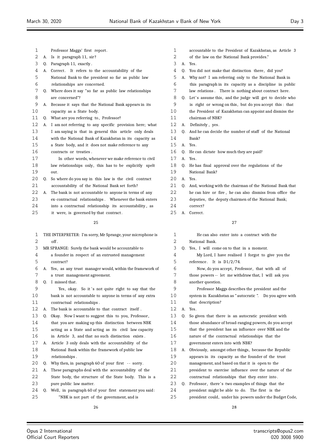| Professor Maggs' first report. |  |
|--------------------------------|--|
|--------------------------------|--|

- A. Is it paragraph 11, sir ?
- Q. Paragraph 11, exactly .
- 4 A. Correct. It refers to the accountability of the
- National Bank to the president so far as public law relationships are concerned.
- Q. Where does it say "so far as public law relationships are concerned"?
- A. Because it says that the National Bank appears in its capacity as a State body.
- 11 Q. What are you referring to, Professor?
- A. I am not referring to any specific provision here; what I am saying is that in general this article only deals
- with the National Bank of Kazakhstan in its capacity as
- a State body, and it does not make reference to any
- contracts or treaties .
- **In other words, whenever we make reference to civil**  law relationships only, this has to be explicitly spelt out.
- 20 Q. So where do you say in this law is the civil contract accountability of the National Bank set forth?
- A. The bank is not accountable to anyone in terms of any
- ex-contractual relationships . Whenever the bank enters into a contractual relationship its accountability , as it were, is governed by that contract .
	-
- THE INTERPRETER: I'm sorry, Mr Sprange, your microphone is off MR SPRANGE: Surely the bank would be accountable to a founder in respect of an entrusted management contract? A. Yes, as any trust manager would, within the framework of a trust management agreement. Q. I missed that . 9 Yes, okay. So it's not quite right to say that the bank is not accountable to anyone in terms of any extra contractual relationships . A. The bank is accountable to that contract itself . Q. Okay. Now I want to suggest this to you, Professor , that you are making up this distinction between NBK acting as a State and acting as its civil law capacity in Article 3, and that no such distinction exists . A. Article 3 only deals with the accountability of the National Bank within the framework of public law relationships . 20 Q. Why then, in paragraph 60 of your first -- sorry. A. These paragraphs deal with the accountability of the State body, the structure of the State body. This is a pure public law matter. Q. Well, in paragraph 60 of your first statement you said: "NBK is not part of the government, and is
- accountable to the President of Kazakhstan, as Article 3
- of the law on the National Bank provides."
- A. Yes.
- Q. You did not make that distinction there , did you?
- A. Why not? I am referring only to the National Bank in
- this paragraph in its capacity as a discipline in public law relations . There is nothing about contract here.
- 8 Q. Let's assume this, and the judge will get to decide who is right or wrong on this , but do you accept this : that
- the President of Kazakhstan can appoint and dismiss the
- chairman of NBK?
- A. Definitely , yes.
- Q. And he can decide the number of staff of the National
- Bank?
- A. Yes.
- Q. He can dictate how much they are paid?
- A. Yes.
- Q. He has final approval over the regulations of the
- National Bank?
- A. Yes.
- 21 Q. And, working with the chairman of the National Bank that he can hire or fire , he can also dismiss from office the deputies, the deputy chairmen of the National Bank;
- correct?
- A. Correct .
	-

#### 

 He can also enter into a contract with the National Bank. Q. Yes, I will come on to that in a moment. My Lord, I have realised I forgot to give you the reference . It is D1/2/74. Now, do you accept, Professor , that with all of those powers -- let me withdraw that, I will ask you another question. Professor Maggs describes the president and the system in Kazakhstan as " autocratic ". Do you agree with 11 that description? A. Yes. Q. So given that there is an autocratic president with those abundance of broad-ranging powers, do you accept that the president has an influence over NBK and the nature of the contractual relationships that the government enters into with NBK? A. Obviously, amongst other things, because the Republic appears in its capacity as the founder of the trust management, and based on that it is open to the **president to exercise influence over the nature of the**  contractual relationships that they enter into . 23 Q. Professor, there's two examples of things that the president might be able to do. The first is the president could, under his powers under the Budget Code,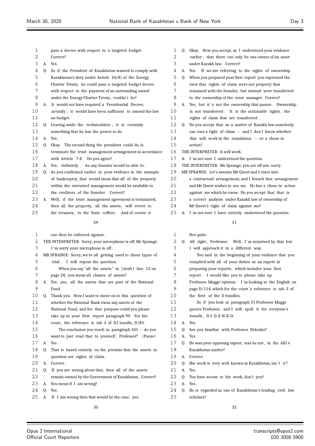| 1  |    | pass a decree with respect to a targeted budget.          | 1  |
|----|----|-----------------------------------------------------------|----|
| 2  |    | Correct?                                                  | 2  |
| 3  |    | A. Yes.                                                   | 3  |
| 4  | 0. | So if the President of Kazakhstan wanted to comply with   | 4  |
| 5  |    | Kazakhstan's duty under Article 26(8) of the Energy       | 5  |
| 6  |    | Charter Treaty, he could pass a targeted budget decree    | 6  |
| 7  |    | with respect to the payment of an outstanding award       | 7  |
| 8  |    | under the Energy Charter Treaty, couldn't he?             | 8  |
| 9  | А. | It would not have required a Presidential Decree,         | 9  |
| 10 |    | actually; it would have been sufficient to amend the law  | 10 |
| 11 |    | on budget.                                                | 11 |
| 12 | 0. | Leaving aside the technicalities, it is certainly         | 12 |
| 13 |    | something that he has the power to do.                    | 13 |
| 14 |    | A. Yes.                                                   | 14 |
| 15 | 0. | Okay. The second thing the president could do is          | 15 |
| 16 |    | terminate the trust management arrangement in accordance  | 16 |
| 17 |    | with Article 7.4. Do you agree?                           | 17 |
| 18 |    | A. Yes, definitely. As any founder would be able to.      | 18 |
| 19 | 0. | As you confirmed earlier in your evidence in the example  | 19 |
| 20 |    | of bankruptcy, that would mean that all of the property   | 20 |
| 21 |    | within the entrusted management would be available to     | 21 |
| 22 |    | the creditors of the founder. Correct?                    | 22 |
| 23 |    | A. Well, if the trust management agreement is terminated, | 23 |
| 24 |    | then all the property, all the assets, will revert to     | 24 |
|    |    |                                                           |    |

25 the treasury, to the State coffers. And of course it

#### 

| 1  |                                                  | can then be enforced against.                               | 1  |                | Not qui |
|----|--------------------------------------------------|-------------------------------------------------------------|----|----------------|---------|
| 2  |                                                  | THE INTERPRETER: Sorry, your microphone is off, Mr Sprange. | 2  | 0.             | All rig |
| 3  | 3<br>I'm sorry your microphone is off.<br>I will |                                                             |    |                |         |
| 4  |                                                  | MR SPRANGE: Sorry, we're all getting used to these types of | 4  |                | You     |
| 5  |                                                  | trial. I will repeat the question.                          | 5  |                | compli  |
| 6  |                                                  | When you say "all the assets" in [draft] line 12 on         | 6  |                | prepari |
| 7  |                                                  | page 28, you mean all classes of assets?                    | 7  |                | report. |
| 8  | А.                                               | Yes, yes, all the assets that are part of the National      | 8  |                | Profess |
| 9  |                                                  | Fund.                                                       | 9  |                | page D  |
| 10 | 0.                                               | Thank you. Now I want to move on to this question of        | 10 |                | the fir |
| 11 |                                                  | whether the National Bank owns any assets of the            | 11 |                | So      |
| 12 |                                                  | National Fund, and for that purpose could you please        | 12 |                | quotes  |
| 13 |                                                  | take up in your first report paragraph 99. For the          | 13 |                | benefit |
| 14 |                                                  | court, the reference is tab 2 of D1 bundle, D/83.           | 14 | A <sub>1</sub> | Yes.    |
| 15 |                                                  | The conclusion you reach in paragraph 101 -- do you         | 15 | 0.             | Are you |
| 16 |                                                  | want to just read that to yourself, Professor? (Pause)      | 16 | А.             | Yes.    |
| 17 | A.                                               | Yes.                                                        | 17 | 0.             | He was  |
| 18 | 0.                                               | That is based entirely on the premise that the assets in    | 18 |                | Kazakh  |
| 19 |                                                  | question are rights of claim.                               | 19 | А.             | Correct |
| 20 | А.                                               | Correct.                                                    | 20 | 0.             | His wo  |
| 21 | 0.                                               | If you are wrong about that, then all of the assets         | 21 | А.             | Yes.    |
| 22 |                                                  | remain owned by the Government of Kazakhstan. Correct?      | 22 | Q.             | You hay |
| 23 | А.                                               | You mean if I am wrong?                                     | 23 | A.             | Yes.    |
| 24 | 0.                                               | Yes.                                                        | 24 | 0.             | He is r |
| 25 | А.                                               | If I am wrong then that would be the case, yes.             | 25 |                | scholar |
|    |                                                  | 30                                                          |    |                |         |

|  |  | 1 Q. Okay. Now you accept, as I understood your evidence |  |
|--|--|----------------------------------------------------------|--|

- earlier, that there can only be one owner of an asset under Kazakh law. Correct?
- A. Yes. If we are referring to the rights of ownership.
- Q. When you prepared your first report you expressed the
- view that rights of claim were not property that remained with the founder, but instead were transferred
- to the ownership of the trust manager. Correct?
- A. Yes, but it's not the ownership that passes. Ownership is not transferred. It is the actionable rights, the rights of claim that are transferred.
- Q. Do you accept that as a matter of Kazakh law somebody
- can own a right of claim -- and I don't know whether
- this will work in the translation -- or a chose in action?
- THE INTERPRETER: It will work.
- A. I'm not sure I understood the question.
- THE INTERPRETER: Mr Sprange, you are off mic, sorry.
- MR SPRANGE: Let's assume Mr Quest and I enter into
- a contractual arrangement, and I breach that arrangement
- and Mr Quest wishes to sue me. He has a chose in action
- against me which he owns. Do you accept that that is
- a correct analysis under Kazakh law of ownership of
- Mr Quest's right of claim against me?
- 25 A. I'm not sure I have entirely understood the question.

## 

# ite .

| 2  |    | Q. All right, Professor. Well, I'm surprised by that but   |
|----|----|------------------------------------------------------------|
| 3  |    | I will approach it in a different way.                     |
| 4  |    | You said in the beginning of your evidence that you        |
| 5  |    | complied with all of your duties as an expert in           |
| 6  |    | preparing your reports, which includes your first          |
| 7  |    | report. I would like you to please take up                 |
| 8  |    | Professor Maggs' opinion. I'm looking at the English on    |
| 9  |    | page $D/114$ , which for the court's reference is tab 3 of |
| 10 |    | the first of the D bundles.                                |
| 11 |    | So if you look at paragraph 31 Professor Maggs             |
| 12 |    | quotes Professor, and I will spell it for everyone's       |
| 13 |    | benefit, D-I-D-E-N-K-O.                                    |
| 14 | A. | Yes.                                                       |
| 15 | 0. | Are you familiar with Professor Didenko?                   |
| 16 | A. | Yes.                                                       |
| 17 | 0. | He was your opposing expert, was he not, in the AIG v      |
| 18 |    | Kazakhstan matter?                                         |
| 19 | A. | Correct.                                                   |
| 20 | 0. | His work is very well-known in Kazakhstan, isn't it?       |
| 21 | A. | Yes.                                                       |
| 22 | 0. | You have access to his work, don't you?                    |
| 23 | A. | Yes.                                                       |
| 24 | 0. | He is regarded as one of Kazakhstan's leading civil law    |
| 25 |    | scholars?                                                  |
|    |    |                                                            |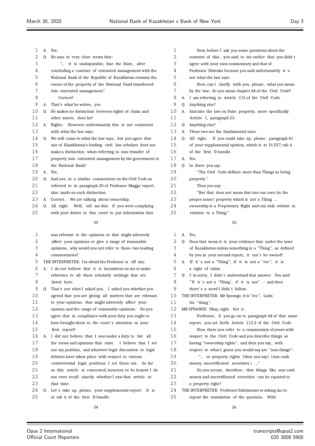| 1  | А. | Yes.                                                               |
|----|----|--------------------------------------------------------------------|
| 2  | 0. | He says in very clear terms that:                                  |
| 3  |    | it is undisputable, that the State, after<br>$\mathbf{r}_{\ldots}$ |
| 4  |    | concluding a contract of entrusted management with the             |
| 5  |    | National Bank of the Republic of Kazakhstan remains the            |
| 6  |    | owner of the property of the National Fund transferred             |
| 7  |    | into entrusted management."                                        |
| 8  |    | Correct?                                                           |
| 9  | А. | That's what he writes, yes.                                        |
| 10 | 0. | He makes no distinction between rights of claim and                |
| 11 |    | other assets, does he?                                             |
| 12 | А. | However, unfortunately this is not consistent<br>Rights.           |
| 13 |    | with what the law says.                                            |
| 14 | 0. | We will come to what the law says, but you agree that              |
| 15 |    | one of Kazakhstan's leading civil law scholars does not            |
| 16 |    | make a distinction when referring to non-transfer of               |
| 17 |    | property into entrusted management by the government to            |
| 18 |    | the National Bank?                                                 |
| 19 | А. | Yes.                                                               |
| 20 | 0. | And you, in a similar commentary on the Civil Code as              |
| 21 |    | referred to in paragraph 30 of Professor Maggs' report,            |
| 22 |    | also made no such distinction.                                     |
| 23 | А. | Correct. We are talking about ownership.                           |
| 24 | 0. | All right. Well, tell me this: if you were complying               |
| 25 |    | with your duties to this court to put information that             |
|    |    | 33                                                                 |
| 1  |    | was relevant to the opinions or that might adversely               |
| 2  |    | affect your opinions or give a range of reasonable                 |
|    |    |                                                                    |

- opinions, why would you not refer to these two leading commentaries?
- THE INTERPRETER: I'm afraid the Professor is off mic.
- A. I do not believe that it is incumbent on me to make reference to all these scholarly writings that are listed here.
- Q. That's not what I asked you. I asked you whether you agreed that you are giving all matters that are relevant to your opinions, that might adversely affect your opinion and the range of reasonable opinions. Do you agree that in compliance with your duty you ought to 14 have brought these to the court's attention in your first report? A. I did not believe that I was under a duty to list all the views and opinions that exist . I believe that I set out my position, and wherever legal discussion or legal debates have taken place with respect to various controversial legal positions I set those out. So far as this article is concerned, however, to be honest I do not even recall exactly whether I saw that article at that time. 24 Q. Let's take up, please, your supplemental report. It is at tab 6 of the first D bundle.
- Now, before I ask you some questions about the 2 contents of this, you said to me earlier that you didn't agree with your own commentary and that of Professor Didenko because you said unfortunately it ' s not what the law says . Now, can I clarify with you, please , what you mean by the law; do you mean chapter 44 of the Civil Code? A. I am referring to Article 115 of the Civil Code. Q. Anything else? A. And also the law on State property, more specifically Article 1, paragraph 23. Q. Anything else? A. These two are the fundamental ones. 14 Q. All right. If you could take up, please, paragraph 41 of your supplemental opinion, which is at D/227, tab 6 of the first D bundle. A. Yes. Q. In there you say: "The Civil Code defines more than Things as being property ." Then you say: "But that does not mean that one can own (in the proper sense) property which is not a Thing ...
	- ownership is a Proprietary Right and can only subsist in
	- relation to a Thing."
		-
		-

| 1  |    | A. Yes.                                                 |
|----|----|---------------------------------------------------------|
| 2  | 0. | Does that mean it is your evidence that under the laws  |
| 3  |    | of Kazakhstan unless something is a "Thing", as defined |
| 4  |    | by you in your second report, it can't be owned?        |
| 5  |    | A. If it's not a "Thing", if it is not a "res", it is   |
| 6  |    | a right of claim.                                       |
| 7  | 0. | I'm sorry, I didn't understand that answer. You said    |
| 8  |    | "If it's not a 'Thing', if it is not" -- and then       |
| 9  |    | there's a word I didn't follow.                         |
| 10 |    | THE INTERPRETER: Mr Sprange, it is "res", Latin         |
| 11 |    | for "thing".                                            |
| 12 |    | MR SPRANGE: Okay, right. Got it.                        |
| 13 |    | Professor, if you go on to paragraph 44 of that same    |
| 14 |    | report, you set forth Article 115.2 of the Civil Code.  |
| 15 |    | Now, there you refer to a commentary of yours with      |
| 16 |    | respect to the Civil Code and you describe things as    |
| 17 |    | having "ownership rights", and then you say, with       |
| 18 |    | respect to what I guess you would say are "non-things": |
| 19 |    | " or property rights [then you say] (non-cash           |
| 20 |    | money, uncertificated securities ) "                    |
| 21 |    | Do you accept, therefore, that things like non-cash     |
| 22 |    | money and uncertificated securities can be equated to   |

- a property right?
- THE INTERPRETER: Professor Suleimenov is asking me to
- repeat the translation of the question. With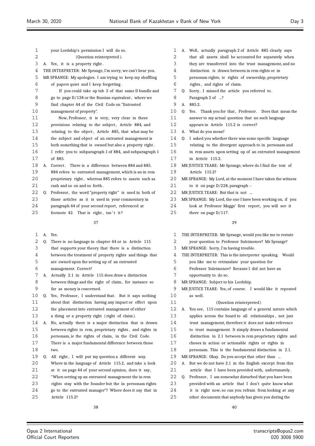your Lordship's permission I will do so. (Question reinterpreted ). A. Yes, it is a property right . THE INTERPRETER: Mr Sprange, I'm sorry, we can't hear you. MR SPRANGE: My apologies. I am trying to keep my shuffling of papers quiet and I keep forgetting . If you could take up tab 3 of that same D bundle and 8 go to page  $D/138$  or the Russian equivalent, where we find chapter 44 of the Civil Code on "Entrusted management of property". Now, Professor, it is very, very clear in these 12 provisions relating to the subject, Article 884, and relating to the object , Article 885, that what may be the subject and object of an entrusted management is both something that is owned but also a property right . I refer you to subparagraph 1 of 884, and subparagraph 1 of 885. 18 A. Correct. There is a difference between 884 and 885. 884 refers to entrusted management, which is an in rem 20 proprietary right, whereas 885 refers to assets such as 21 cash and so on and so forth. 22 Q. Professor, the word "property right" is used in both of those articles as it is used in your commentary in paragraph 44 of your second report, referenced at 25 footnote 42. That is right, isn't it? A. Yes. Q. There is no language in chapter 44 or in Article 115 that supports your theory that there is a distinction between the treatment of property rights and things that

- are owned upon the setting up of an entrusted
- management. Correct?
- A. Actually 2.1 in Article 115 does draw a distinction
- between things and the right of claim, for instance so far as money is concerned.
- 10 Q. Yes, Professor, I understand that. But it says nothing about that distinction having any impact or effect upon the placement into entrusted management of either a thing or a property right ( right of claim ).
- A. No, actually there is a major distinction that is drawn between rights in rem, proprietary rights , and rights in personam, ie the rights of claim, in the Civil Code. There is a major fundamental difference between those two.
- 19 Q. All right, I will put my question a different way.
- Where in the language of Article 115.2, and take a look
- at it on page 44 of your second opinion, does it say,
- "When setting up an entrusted management the in rem
- rights stay with the founder but the in personam rights
- go to the entrusted manager"? Where does it say that in Article 115.2?
	-
- 
- A. Well, actually paragraph 2 of Article 885 clearly says that all assets shall be accounted for separately when
- they are transferred into the trust management, and no
- distinction is drawn between in rem rights or in
- personam rights; ie rights of ownership, proprietary rights , and rights of claim.
- Q. Sorry, I missed the article you referred to .
- 8 Paragraph 2 of ...?
- A. 885.2.
- 10 Q. Yes. Thank you for that, Professor. Does that mean the answer to my actual question that no such language
- appears in Article 115.2 is correct?
- A. What do you mean?
- Q. I asked you whether there was some specific language relating to the divergent approach to in personam and
- in rem assets upon setting up of an entrusted management in Article 115.2.
- MR JUSTICE TEARE: Mr Sprange, where do I find the text of Article 115.2?
- MR SPRANGE: My Lord, at the moment I have taken the witness
- to it on page D/228, paragraph --
- 22 MR JUSTICE TEARE: But that is not ...
- MR SPRANGE: My Lord, the one I have been working on, if you
- 24 look at Professor Maggs' first report, you will see it
- there on page D/117.

- THE INTERPRETER: Mr Sprange, would you like me to restate
- your question to Professor Suleimenov? Mr Sprange?
- MR SPRANGE: Sorry, I'm having trouble.
- THE INTERPRETER: This is the interpreter speaking. Would
- you like me to retranslate your question for
- Professor Suleimenov? Because I did not have an
- opportunity to do so.
- MR SPRANGE: Subject to his Lordship.
- MR JUSTICE TEARE: Yes, of course. I would like it repeated 10 as well.
- (Question reinterpreted)
- A. You see, 115 contains language of a general nature which
- applies across the board to all relationships , not just
- trust management, therefore it does not make reference
- to trust management. It simply draws a fundamental
- distinction in 2.1 between in rem proprietary rights and
- choses in action or actionable rights or rights in
- personam. This is the fundamental distinction in 2.1.
- MR SPRANGE: Okay. Do you accept that other than ...
- A. But we do not have 2.1 in the English excerpt from this article that I have been provided with, unfortunately .
- 22 Q. Professor, I am somewhat disturbed that you have been
- provided with an article that I don't quite know what
- it is right now, so can you refrain from looking at any
- other documents that anybody has given you during the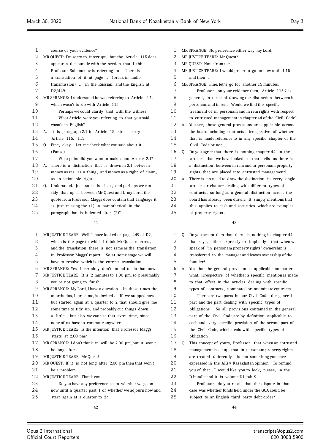| 1  |    | course of your evidence?                                   |
|----|----|------------------------------------------------------------|
| 2  |    | MR QUEST: I'm sorry to interrupt, but the Article 115 does |
| 3  |    | appear in the bundle with the section that I think         |
| 4  |    | Professor Suleimenov is referring to. There is             |
| 5  |    | a translation of it at page  (break in audio               |
| 6  |    | transmission)  in the Russian, and the English at          |
| 7  |    | D2/449.                                                    |
| 8  |    | MR SPRANGE: I understood he was referring to Article 2.1,  |
| 9  |    | which wasn't to do with Article 115.                       |
| 10 |    | Perhaps we could clarify that with the witness.            |
| 11 |    | What Article were you referring to that you said           |
| 12 |    | wasn't in English?                                         |
| 13 | А. | It is paragraph 2.1 in Article 15, sir -- sorry,           |
| 14 |    | Article 115. 115.                                          |
| 15 | 0. | Fine, okay. Let me check what you said about it.           |
| 16 |    | (Pause)                                                    |
| 17 |    | What point did you want to make about Article 2.1?         |
| 18 | А. | There is a distinction that is drawn in 2.1 between        |
| 19 |    | money as res, as a thing, and money as a right of claim,   |
| 20 |    | as an actionable right.                                    |
| 21 | Q. | Understood. Just so it is clear, and perhaps we can        |
| 22 |    | tidy that up as between Mr Quest and I, my Lord, the       |
| 23 |    | quote from Professor Maggs does contain that language it   |
| 24 |    | is just missing the $(1)$ in parenthetical in the          |
| 25 |    | paragraph that is indented after (2)?                      |
|    |    | 41                                                         |

| 1                 | MR JUSTICE TEARE: Well, I have looked at page 449 of D2,    |
|-------------------|-------------------------------------------------------------|
| 2                 | which is the page to which I think Mr Quest referred,       |
| 3                 | and the translation there is not same as the translation    |
| 4                 | in Professor Maggs' report. So at some stage we will        |
| 5                 | have to resolve which is the correct translation.           |
| 6                 | MR SPRANGE: Yes. I certainly don't intend to do that now.   |
| 7                 | MR JUSTICE TEARE: It is 2 minutes to 1.00 pm, so presumably |
| 8                 | you're not going to finish.                                 |
| 9                 | MR SPRANGE: My Lord, I have a question. In these times the  |
| $10 \,$           | unorthodox, I presume, is invited. If we stopped now        |
| 11                | but started again at a quarter to 2 that should give me     |
| $12 \overline{ }$ | some time to tidy up, and probably cut things down          |
| 13                | a little, but also we can use that extra time, since        |
| 14                | none of us have to commute anywhere.                        |
| 15                | MR JUSTICE TEARE: Is the intention that Professor Maggs     |
| 16                | starts at 2.00 pm?                                          |
| 17                | MR SPRANGE: I don't think it will be 2.00 pm, but it won't  |
| 18                | be long after.                                              |
| 19                | MR JUSTICE TEARE: Mr Quest?                                 |
| 20                | MR QUEST: If it is not long after 2.00 pm then that won't   |
| 21                | be a problem.                                               |
| 22                | MR JUSTICE TEARE: Thank you.                                |
| 23                | Do you have any preference as to whether we go on           |
| 24                | now until a quarter past 1 or whether we adjourn now and    |
| 25                | start again at a quarter to 2?                              |
|                   |                                                             |

- MR SPRANGE: No preference either way, my Lord.
- 2 MR JUSTICE TEARE: Mr Ouest?
- MR QUEST: None from me.
- MR JUSTICE TEARE: I would prefer to go on now until 1.15
- and then ...
- MR SPRANGE: Fine, let' s go for another 15 minutes.
- Professor , on your evidence then, Article 115.2 is 8 general, in terms of drawing the distinction between in
- personam and in rem. Would we find the specific
- treatment of in personam and in rem rights with respect
- to entrusted management in chapter 44 of the Civil Code?
- A. You see, those general provisions are applicable across
- the board including contracts , irrespective of whether that is made reference to in any specific chapter of the
- Civil Code or not.
- Q. Do you agree that there is nothing chapter 44, in the
- 17 articles that we have looked at, that tells us there is a distinction between in rem and in personam property
- rights that are placed into entrusted management?
- A. There is no need to draw the distinction in every single article or chapter dealing with different types of contracts , so long as a general distinction across the board has already been drawn. It simply mentions that this applies to cash and securities which are examples of property rights .

| 1  | 0. | Do you accept then that there is nothing in chapter 44   |
|----|----|----------------------------------------------------------|
| 2  |    | that says, either expressly or implicitly, that when we  |
| 3  |    | speak of "in personam property rights" ownership is      |
| 4  |    | transferred to the manager and leaves ownership of the   |
| 5  |    | founder?                                                 |
| 6  | А. | Yes, but the general provision is applicable no matter   |
| 7  |    | what, irrespective of whether a specific mention is made |
| 8  |    | to that effect in the articles dealing with specific     |
| 9  |    | types of contracts, nominated or innominate contracts.   |
| 10 |    | There are two parts in our Civil Code, the general       |
| 11 |    | part and the part dealing with specific types of         |
| 12 |    | obligations. So all provisions contained in the general  |
| 13 |    | part of the Civil Code are by definition applicable to   |
| 14 |    | each and every specific provision of the second part of  |
| 15 |    | the Civil Code, which deals with specific types of       |
| 16 |    | obligation.                                              |
| 17 | Q. | This concept of yours, Professor, that when an entrusted |
| 18 |    | management is set up, that in personam property rights   |
| 19 |    | are treated differently, is not something you have       |
| 20 |    | expressed in the AIG v Kazakhstan opinion. To remind     |
| 21 |    | you of that, I would like you to look, please, in the    |
| 22 |    | D bundle and it is volume D1, tab 9.                     |
| 23 |    | Professor, do you recall that the dispute in that        |
| 24 |    | case was whether funds held under the GCA could be       |
| 25 |    | subject to an English third party debt order?            |
|    |    |                                                          |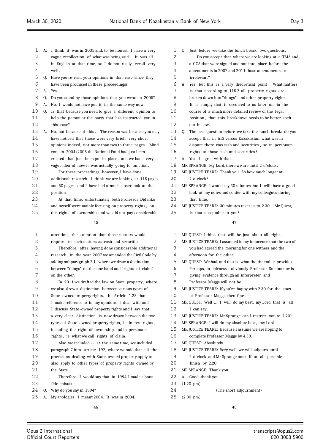| 1  | А. | I think it was in 2005 and, to be honest, I have a very  | $\mathbf{1}$ |
|----|----|----------------------------------------------------------|--------------|
| 2  |    | vague recollection of what was being said.<br>It was all | 2            |
| 3  |    | in English at that time, so I do not really recall very  | 3            |
| 4  |    | well.                                                    | 4            |
| 5  | Q. | Have you re-read your opinions in that case since they   | 5            |
| 6  |    | have been produced in these proceedings?                 | 6            |
| 7  | А. | Yes.                                                     | 7            |
| 8  | Q. | Do you stand by those opinions that you wrote in 2005?   | 8            |
| 9  | А. | No, I would not have put it in the same way now.         | 9            |
| 10 | Q. | Is that because you need to give a different opinion to  | 10           |
| 11 |    | help the person or the party that has instructed you in  | 11           |
| 12 |    | this case?                                               | 12           |
| 13 | А. | No, not because of this. The reason was because you may  | 13           |
| 14 |    | have noticed that those were very brief, very short      | 14           |
| 15 |    | opinions indeed, not more than two to three pages. Mind  | 15           |
| 16 |    | you, in 2004/2005 the National Fund had just been        | 16           |
| 17 |    | created, had just been put in place, and we had a very   | 17           |
| 18 |    | vague idea of how it was actually going to function.     | 18           |
| 19 |    | For these proceedings, however, I have done              | 19           |
| 20 |    | additional research, I think we are looking at 115 pages | 20           |
| 21 |    | and 50 pages, and I have had a much closer look at the   | 21           |
| 22 |    | position.                                                | 22           |
| 23 |    | At that time, unfortunately both Professor Didenko       | 23           |
| 24 |    | and myself were mainly focusing on property rights, on   | 24           |
| 25 |    | the rights of ownership, and we did not pay considerable | 25           |
|    |    | 45                                                       |              |
| 1  |    | attention, the attention that those matters would        | 1            |
| 2  |    | require, to such matters as cash and securities.         | 2            |
| 3  |    | Therefore, after having done considerable additional     | 3            |
| 4  |    | research, in the year 2007 we amended the Civil Code by  | 4            |
| 5  |    | adding subparagraph 2.1, where we draw a distinction     | 5            |
| 6  |    | between "things" on the one hand and "rights of claim"   | 6            |
| 7  |    | on the other.                                            | 7            |
| 8  |    | In 2011 we drafted the law on State property, where      | 8            |
| 9  |    | we also drew a distinction between various types of      | 9            |
| 10 |    | State-owned property rights. In Article 1.23 that        | 10           |
| 11 |    | I make reference to in my opinions, I deal with and      | 11           |
| 12 |    | I discuss State-owned property rights and I say that     | 12           |
| 13 |    | a very clear distinction is now drawn between the two    | 13           |
| 14 |    | types of State-owned property rights, ie in rem rights,  | 14           |
| 15 |    | including the right of ownership, and in personam        | 15           |
| 16 |    | rights, ie what we call rights of claim.                 | 16           |
| 17 |    | Also we included -- at the same time, we included        | 17           |
| 18 |    | paragraph 7 into Article 192, where we said that all the | 18           |
| 19 |    | provisions dealing with State-owned property apply to -- | 19           |
| 20 |    | also apply to other types of property rights owned by    | 20           |
| 21 |    | the State.                                               | 21           |
| 22 |    | Therefore, I would say that in 1994 I made a bona        | 22           |
| 23 |    | fide mistake.                                            | 23           |

- Q. Why do you say in 1994?
- A. My apologies, I meant 2004. It was in 2004.

0. Just before we take the lunch break, two questions. Do you accept that where we are looking at a TMA and a GCA that were signed and put into place before the amendments in 2007 and 2011 those amendments are irrelevant ? A. Yes, but this is a very theoretical point. What matters is that according to 115.2 all property rights are broken down into "things" and other property rights. It is simply that it occurred to us later on, in the course of a much more detailed review of the legal position, that this breakdown needs to be better spelt out in law. Q. The last question before we take the lunch break: do you accept that in AIG versus Kazakhstan, what was in dispute there was cash and securities, so in personam rights to those cash and securities? A. Yes, I agree with that. MR SPRANGE: My Lord, there we are until 2 o'clock. MR JUSTICE TEARE: Thank you. So how much longer at 2 o'clock? MR SPRANGE: I would say 30 minutes, but I will have a good look at my notes and confer with my colleagues during that time. MR JUSTICE TEARE: 30 minutes takes us to 2.30. Mr Quest, is that acceptable to you? 

MR QUEST: I think that will be just about all right. MR JUSTICE TEARE: I assumed in my innocence that the two of you had agreed the morning for one witness and the

afternoon for the other.

MR QUEST: We had, and that is what the timetable provides.

- Perhaps, in fairness , obviously Professor Suleimenov is
- giving evidence through an interpreter and
- Professor Maggs will not be.

MR JUSTICE TEARE: If you're happy with 2.30 for the start of Professor Maggs, then fine .

MR QUEST: Well ... I will do my best, my Lord, that is all I can say.

- MR JUSTICE TEARE: Mr Sprange, can I restrict you to 2.20?
- MR SPRANGE: I will do my absolute best, my Lord.
- MR JUSTICE TEARE: Because I assume we are hoping to
- complete Professor Maggs by 4.30.
- MR QUEST: Absolutely.
- MR JUSTICE TEARE: Very well, we will adjourn until
- 2 o'clock and Mr Sprange must, if at all possible ,
- finish by  $2.20$ .
- MR SPRANGE: Thank you.
- A. Good, thank you.
- (1.20 pm)
- (The short adjournment)
- (2.00 pm)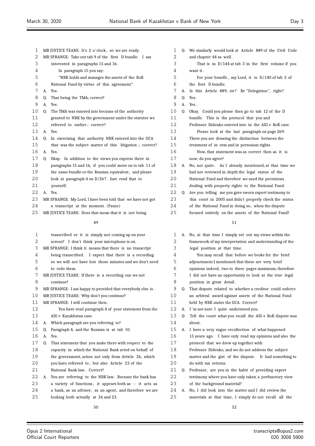| $\mathbf 1$ |    | MR JUSTICE TEARE: It's 2 o'clock, so we are ready.         |
|-------------|----|------------------------------------------------------------|
| 2           |    | MR SPRANGE: Take out tab 9 of the first D bundle. I am     |
| 3           |    | interested in paragraphs 15 and 16.                        |
| 4           |    | In paragraph 15 you say:                                   |
| 5           |    | "NBK holds and manages the assets of the RoK               |
| 6           |    | National Fund by virtue of this agreement."                |
| 7           | A. | Yes.                                                       |
| 8           | 0. | That being the TMA; correct?                               |
| 9           | A. | Yes.                                                       |
| 10          | 0. | The TMA was entered into because of the authority          |
| 11          |    | granted to NBK by the government under the statutes we     |
| 12          |    | referred to earlier; correct?                              |
| 13          | А. | Yes.                                                       |
| 14          | 0. | In exercising that authority NBK entered into the GCA      |
| 15          |    | that was the subject matter of this litigation; correct?   |
| 16          | A. | Yes.                                                       |
| 17          | 0. | Okay. In addition to the views you express there in        |
| 18          |    | paragraphs 15 and 16, if you could move on to tab 11 of    |
| 19          |    | the same bundle or the Russian equivalent, and please      |
| 20          |    | look at paragraph 4 on D/267. Just read that to            |
| 21          |    | yourself.                                                  |
| 22          | А. | Yes.                                                       |
| 23          |    | MR SPRANGE: My Lord, I have been told that we have not got |
| 24          |    | a transcript at the moment. (Pause)                        |
| 25          |    | MR JUSTICE TEARE: Does that mean that it is not being      |
|             |    |                                                            |
|             |    | 49                                                         |
| 1           |    | transcribed or it is simply not coming up on your          |
|             |    |                                                            |

 screen? I don't think your microphone is on. MR SPRANGE: I think it means that there is no transcript being transcribed . I expect that there is a recording so we will not have lost those minutes and we don't need to redo them. MR JUSTICE TEARE: If there is a recording can we not continue? MR SPRANGE: I am happy to provided that everybody else is . MR JUSTICE TEARE: Why don't you continue? MR SPRANGE: I will continue then. You have read paragraph 4 of your statement from the AIG v Kazakhstan case. A. Which paragraph are you referring to? Q. Paragraph 4, and the Russian is at tab 10. A. Yes. Q. That statement that you make there with respect to the capacity in which the National Bank acted on behalf of the government, arises not only from Article 26, which 20 you have referred to, but also Article 23 of the National Bank law. Correct? A. You are referring to the NBK law. Because the bank has 23 a variety of functions, it appears both as -- it acts as 24 a bank, as an adviser, as an agent, and therefore we are looking both actually at 26 and 23. 

| 2  |    | and chapter 44 as well.                                 |
|----|----|---------------------------------------------------------|
| 3  |    | That is in $D/144$ at tab 3 in the first volume if you  |
| 4  |    | want it.                                                |
| 5  |    | For your benefit, my Lord, it is D/140 of tab 3 of      |
| 6  |    | the first D bundle.                                     |
| 7  | А. | Is this Article 889, sir? Re "Delegation", right?       |
| 8  | 0. | Yes.                                                    |
| 9  | А. | Yes.                                                    |
| 10 | O. | Okay. Could you please then go to tab 12 of the D       |
| 11 |    | This is the protocol that you and<br>bundle.            |
| 12 |    | Professor Didenko entered into in the AIG v RoK case.   |
| 13 |    | Please look at the last paragraph on page 269.          |
| 14 |    | There you are drawing the distinction between the       |
| 15 |    | treatment of in rem and in personam rights.             |
| 16 |    | Now, that statement was as correct then as it is        |
| 17 |    | now; do you agree?                                      |
| 18 | А. | No, not quite. As I already mentioned, at that time we  |
| 19 |    | had not reviewed in depth the legal status of the       |
| 20 |    | National Fund and therefore we used the provisions      |
| 21 |    | dealing with property rights to the National Fund.      |
| 22 | 0. | Are you telling me you gave sworn expert testimony to   |
| 23 |    | this court in 2005 and didn't properly check the status |
| 24 |    | of the National Fund in doing so, when the dispute      |
| 25 |    | focused entirely on the assets of the National Fund?    |
|    |    | 51                                                      |
| 1  | А. | No, at that time I simply set out my views within the   |
| 2  |    | framework of my interpretation and understanding of the |
| 3  |    | legal position at that time.                            |
| 4  |    | You may recall that before we broke for the brief       |
| 5  |    | adjournment I mentioned that these are very brief       |
| 6  |    | opinions indeed, two to three pages maximum, therefore  |
| 7  |    | I did not have an opportunity to look at the true legal |
| 8  |    | position in great detail.                               |

Q. We similarly would look at Article 889 of the Civil Code

- Q. That dispute related to whether a creditor could enforce an arbitral award against assets of the National Fund
- held by NBK under the GCA. Correct?
- 12 A. I'm not sure I quite understood you.
- Q. Tell the court what you recall the AIG v RoK dispute was about.
- A. I have a very vague recollection of what happened
- 15 years ago. I have only read my opinions and also the protocol that we drew up together with
- Professor Didenko, and we do not address the subject
- matter and the gist of the dispute. It had something to 20 do with tax returns.
- 21 Q. Professor, are you in the habit of providing expert
- testimony where you have only taken a perfunctory view of the background material?
- A. No, I did look into the matter and I did review the materials at that time, I simply do not recall all the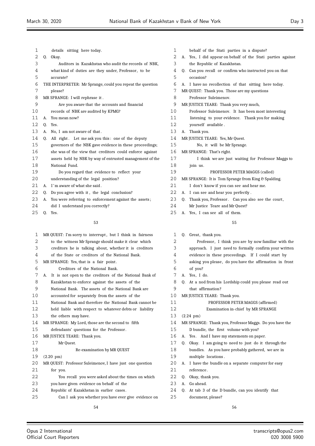| 1  |              | details sitting here today.                                |
|----|--------------|------------------------------------------------------------|
| 2  |              | 0. Okay.                                                   |
| 3  |              | Auditors in Kazakhstan who audit the records of NBK,       |
| 4  |              | what kind of duties are they under, Professor, to be       |
| 5  |              | accurate?                                                  |
| 6  |              | THE INTERPRETER: Mr Sprange, could you repeat the question |
| 7  |              | please?                                                    |
| 8  |              | MR SPRANGE: I will rephrase it.                            |
| 9  |              | Are you aware that the accounts and financial              |
| 10 |              | records of NBK are audited by KPMG?                        |
| 11 | A.           | You mean now?                                              |
| 12 | 0.           | Yes.                                                       |
| 13 | А.           | No, I am not aware of that.                                |
| 14 | 0.           | All right. Let me ask you this: one of the deputy          |
| 15 |              | governors of the NBK gave evidence in these proceedings;   |
| 16 |              | she was of the view that creditors could enforce against   |
| 17 |              | assets held by NBK by way of entrusted management of the   |
| 18 |              | National Fund.                                             |
| 19 |              | Do you regard that evidence to reflect your                |
| 20 |              | understanding of the legal position?                       |
| 21 | $\mathbf{A}$ | I'm aware of what she said.                                |
| 22 | 0.           | Do you agree with it, the legal conclusion?                |
| 23 | A.           | You were referring to enforcement against the assets;      |
| 24 |              | did I understand you correctly?                            |
| 25 | 0.           | Yes.                                                       |
|    |              | 53                                                         |
|    |              |                                                            |
| 1  |              | MR QUEST: I'm sorry to interrupt, but I think in fairness  |

| T  | MR QUEST: I'm sorry to interrupt, but I think in fairness     |
|----|---------------------------------------------------------------|
| 2  | to the witness Mr Sprange should make it clear which          |
| 3  | creditors he is talking about, whether it is creditors        |
| 4  | of the State or creditors of the National Bank.               |
| 5  | MR SPRANGE: Yes, that is a fair point.                        |
| 6  | Creditors of the National Bank.                               |
| 7  | It is not open to the creditors of the National Bank of<br>А. |
| 8  | Kazakhstan to enforce against the assets of the               |
| 9  | National Bank. The assets of the National Bank are            |
| 10 | accounted for separately from the assets of the               |
| 11 | National Bank and therefore the National Bank cannot be       |
| 12 | held liable with respect to whatever debts or liability       |
| 13 | the others may have.                                          |
| 14 | MR SPRANGE: My Lord, those are the second to fifth            |
| 15 | defendants' questions for the Professor.                      |
| 16 | MR JUSTICE TEARE: Thank you.                                  |
| 17 | Mr Quest.                                                     |
| 18 | Re-examination by MR QUEST                                    |
| 19 | $(2.20 \text{ pm})$                                           |
| 20 | MR QUEST: Professor Suleimenov, I have just one question      |
| 21 | for you.                                                      |
| 22 | You recall you were asked about the times on which            |
| 23 | you have given evidence on behalf of the                      |
| 24 | Republic of Kazakhstan in earlier cases.                      |
| 25 | Can I ask you whether you have ever give evidence on          |
|    |                                                               |

| 1  | behalf of the Stati parties in a dispute?                      |
|----|----------------------------------------------------------------|
| 2  | Yes, I did appear on behalf of the Stati parties against<br>А. |
| 3  | the Republic of Kazakhstan.                                    |
| 4  | Can you recall or confirm who instructed you on that<br>0.     |
| 5  | occasion?                                                      |
| 6  | I have no recollection of that sitting here today.<br>А.       |
| 7  | MR QUEST: Thank you. Those are my questions                    |
| 8  | Professor Suleimenov.                                          |
| 9  | MR JUSTICE TEARE: Thank you very much,                         |
| 10 | Professor Suleimenov. It has been most interesting             |
| 11 | listening to your evidence. Thank you for making               |
| 12 | yourself available.                                            |
| 13 | Thank you.<br>А.                                               |
| 14 | MR JUSTICE TEARE: Yes, Mr Quest.                               |
| 15 | No, it will be Mr Sprange.                                     |
| 16 | MR SPRANGE: That's right.                                      |
| 17 | I think we are just waiting for Professor Maggs to             |
| 18 | join us.                                                       |
| 19 | PROFESSOR PETER MAGGS (called)                                 |
| 20 | MR SPRANGE: It is Tom Sprange from King $\mathcal C$ Spalding. |
| 21 | I don't know if you can see and hear me.                       |
| 22 | I can see and hear you perfectly.<br>А.                        |
| 23 | 0.<br>Thank you, Professor. Can you also see the court,        |
| 24 | Mr Justice Teare and Mr Quest?                                 |
| 25 | A. Yes, I can see all of them.                                 |
|    |                                                                |
|    | 55                                                             |
| 1  | Q. Great, thank you.                                           |
| 2  | Professor, I think you are by now familiar with the            |
| 3  | approach. I just need to formally confirm your written         |
| 4  | evidence in these proceedings. If I could start by             |
| 5  | asking you please, do you have the affirmation in front        |
|    |                                                                |

- of you? A. Yes, I do.
- Q. At a nod from his Lordship could you please read out that affirmation?
- 10 MR JUSTICE TEARE: Thank you.

PROFESSOR PETER MAGGS (affirmed)

- Examination in-chief by MR SPRANGE
- (2.24 pm)
- MR SPRANGE: Thank you, Professor Maggs. Do you have the
- D bundle, the first volume with you?
- A. Yes. And I have my statements on paper.
- Q. Okay. I am going to need to just do it through the bundles. As you have probably gathered, we are in multiple locations .
- A. I have the bundle on a separate computer for easy reference .
- Q. Okay, thank you.
- A. Go ahead.
- Q. At tab 3 of the D bundle, can you identify that document, please?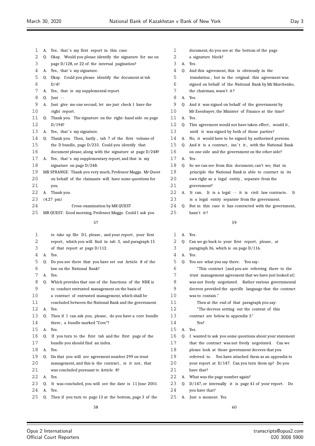| 1  | А. | Yes, that's my first report in this case.                  | $\mathbf{1}$ |
|----|----|------------------------------------------------------------|--------------|
| 2  | 0. | Okay. Would you please identify the signature for me on    | 2            |
| 3  |    | page D/128, or 22 of the internal pagination?              | 3            |
| 4  | А. | Yes, that's my signature.                                  | 4            |
| 5  | 0. | Okay. Could you please identify the document at tab        | 5            |
| 6  |    | D/4?                                                       | 6            |
| 7  | А. | Yes, that is my supplemental report.                       | 7            |
| 8  | Q. | $Just -$                                                   | 8            |
| 9  | А. | Just give me one second, let me just check I have the      | 9            |
| 10 |    | right report.                                              | 10           |
| 11 | Q. | Thank you. The signature on the right-hand side on page    | 11           |
| 12 |    | D/194?                                                     | 12           |
| 13 | А. | Yes, that's my signature.                                  | 13           |
| 14 | Q. | Thank you. Then, lastly, tab 7 of the first volume of      | 14           |
| 15 |    | the D bundle, page D/233. Could you identify that          | 15           |
| 16 |    | document please, along with the signature at page D/248?   | 16           |
| 17 | А. | Yes, that's my supplementary report, and that is my        | 17           |
| 18 |    | signature on page $D/248$ .                                | 18           |
| 19 |    | MR SPRANGE: Thank you very much, Professor Maggs. Mr Quest | 19           |
| 20 |    | on behalf of the claimants will have some questions for    | 20           |
| 21 |    | you.                                                       | 21           |
| 22 | А. | Thank you.                                                 | 22           |
| 23 |    | $(4.27 \text{ pm})$                                        | 23           |
| 24 |    | Cross-examination by MR QUEST                              | 24           |
| 25 |    | MR QUEST: Good morning, Professor Maggs. Could I ask you   | 25           |
|    |    | 57                                                         |              |
| 1  |    | to take up file D1, please, and your report, your first    | 1            |
| 2  |    | report, which you will find in tab 3, and paragraph 15     | 2            |
| 3  |    | of that report at page $D/112$ .                           | 3            |
| 4  | А. | Yes.                                                       | 4            |
| 5  | Q. | Do you see there that you have set out Article 8 of the    | 5            |
| 6  |    | law on the National Bank?                                  | 6            |
| 7  | A. | Yes.                                                       | 7            |

# Q. Which provides that one of the functions of the NBK is to conduct entrusted management on the basis of a contract of entrusted management, which shall be concluded between the National Bank and the government. A. Yes. 13 Q. Then if I can ask you, please, do you have a core bundle there , a bundle marked "Core"?  $15 \quad A \quad V_{\text{P}S}$  Q. If you turn to the first tab and the first page of the bundle you should find an index. A. Yes. Q. On that you will see agreement number 299 on trust management, and this is the contract , is it not, that was concluded pursuant to Article 8? A. Yes. Q. It was concluded, you will see the date is 11 June 2001.

- A. Yes.
- Q. Then if you turn to page 13 at the bottom, page 3 of the

 Yes? A. Yes. Q. I wanted to ask you some questions about your statement that the contract was not freely negotiated. Can we please look at those government decrees that you

document, do you see at the bottom of the page

 Q. And it was signed on behalf of the government by Mr Esenbayev, the Minister of Finance at the time?

 Q. This agreement would not have taken effect , would it , until it was signed by both of those parties? A. No, it would have to be signed by authorised persons. Q. And it is a contract, isn't it, with the National Bank on one side and the government on the other side?

0. So we can see from this document, can't we, that in principle the National Bank is able to contract in its own right as a legal entity, separate from the

A. It can. It is a legal -- it is civil law contracts. It is a legal entity separate from the government. Q. But in this case it has contracted with the government,

Q. Can we go back to your first report, please, at paragraph 36, which is on page  $D/116$ .

"This contract [and you are referring there to the trust management agreement that we have just looked at] was not freely negotiated. Rather various governmental decrees provided the specific language that the contract

Q. You see what you say there . You say:

 Then at the end of that paragraph you say: "The decrees setting out the content of this

translation, but in the original this agreement was signed on behalf of the National Bank by Mr Marchenko,

Q. And this agreement, this is obviously in the

a signature block?

the chairman, wasn't it?

A. Yes.

A. Yes.

A. Yes.

A. Yes.

government?

hasn't it?

A. Yes.

A. Yes.

was to contain ."

- referred to . You have attached them as an appendix to your report at D/147. Can you turn them up? Do you have that?
- A. What was the page number again?

contract are below in appendix 3."

- 23 Q. D/147, or internally it is page 41 of your report. Do you have that?
- A. Just a moment. Yes.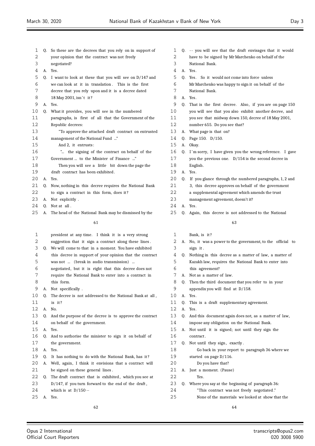| 1    | Q. | So these are the decrees that you rely on in support of     | 1  |    | Q. -- you will see that the draft envisages that it would   |
|------|----|-------------------------------------------------------------|----|----|-------------------------------------------------------------|
| 2    |    | your opinion that the contract was not freely               | 2  |    | have to be signed by Mr Marchenko on behalf of the          |
| 3    |    | negotiated?                                                 | 3  |    | National Bank.                                              |
| 4    |    | A. Yes.                                                     | 4  |    | A. Yes.                                                     |
| 5    |    | Q. I want to look at these that you will see on D/147 and   | 5  |    | Q. Yes. So it would not come into force unless              |
| 6    |    | we can look at it in translation. This is the first         | 6  |    | Mr Marchenko was happy to sign it on behalf of the          |
| 7    |    | decree that you rely upon and it is a decree dated          | 7  |    | National Bank.                                              |
| 8    |    | 18 May 2001, isn't it?                                      | 8  |    | A. Yes.                                                     |
| 9    | A. | Yes.                                                        | 9  |    | Q. That is the first decree. Also, if you are on page 150   |
| 10   | Q. | What it provides, you will see in the numbered              | 10 |    | you will see that you also exhibit another decree, and      |
| 11   |    | paragraphs, is first of all that the Government of the      | 11 |    |                                                             |
|      |    |                                                             |    |    | you see that midway down 150, decree of 18 May 2001,        |
| 12   |    | Republic decrees:                                           | 12 |    | number 655. Do you see that?                                |
| 13   |    | "To approve the attached draft contract on entrusted        | 13 |    | A. What page is that on?                                    |
| 14   |    | management of the National Fund "                           | 14 |    | Q. Page 150. D/150.                                         |
| 15   |    | And 2, it entrusts:                                         | 15 |    | A. Okay.                                                    |
| 16   |    | " the signing of the contract on behalf of the              | 16 |    | Q. I'm sorry, I have given you the wrong reference. I gave  |
| 17   |    | Government  to the Minister of Finance "                    | 17 |    | you the previous one. $D/154$ is the second decree in       |
| 18   |    | Then you will see a little bit down the page the            | 18 |    | English.                                                    |
| 19   |    | draft contract has been exhibited.                          | 19 |    | A. Yes.                                                     |
| 20   | А. | Yes.                                                        | 20 |    | Q. If you glance through the numbered paragraphs, 1, 2 and  |
| 21   |    | Q. Now, nothing in this decree requires the National Bank   | 21 |    | 3, this decree approves on behalf of the government         |
| 22   |    | to sign a contract in this form, does it?                   | 22 |    | a supplemental agreement which amends the trust             |
| 23   |    |                                                             | 23 |    | management agreement, doesn't it?                           |
|      |    | A. Not explicitly.                                          | 24 |    |                                                             |
| 24   | Q. | Not at all.                                                 |    |    | A. Yes.                                                     |
| 25   | А. | The head of the National Bank may be dismissed by the       | 25 |    | Q. Again, this decree is not addressed to the National      |
|      |    | 61                                                          |    |    | 63                                                          |
| 1    |    | president at any time. I think it is a very strong          | 1  |    | Bank, is it?                                                |
| 2    |    | suggestion that it sign a contract along these lines.       | 2  |    | A. No, it was a power to the government, to the official to |
|      |    |                                                             | 3  |    |                                                             |
| 3    |    | Q. We will come to that in a moment. You have exhibited     |    |    | sign it.                                                    |
| 4    |    | this decree in support of your opinion that the contract    | 4  |    | Q. Nothing in this decree as a matter of law, a matter of   |
| 5    |    | was not  (break in audio transmission)                      | 5  |    | Kazakh law, requires the National Bank to enter into        |
| 6    |    | negotiated, but it is right that this decree does not       | 6  |    | this agreement?                                             |
| 7    |    | require the National Bank to enter into a contract in       | 7  |    | A. Not as a matter of law.                                  |
| 8    |    | this form.                                                  | 8  |    | Q. Then the third document that you refer to in your        |
| 9    |    | A. Not specifically.                                        | 9  |    | appendix you will find at D/158.                            |
| 10   | Q. | The decree is not addressed to the National Bank at all,    | 10 |    | A. Yes.                                                     |
| 11   |    | is it?                                                      | 11 | Q. | This is a draft supplementary agreement.                    |
| 12   |    | A. No.                                                      | 12 |    | A. Yes.                                                     |
| 13   |    | Q. And the purpose of the decree is to approve the contract | 13 |    | Q. And this document again does not, as a matter of law,    |
| 14   |    | on behalf of the government.                                | 14 |    | impose any obligation on the National Bank.                 |
| 15   |    | A. Yes.                                                     | 15 |    | A. Not until it is signed; not until they sign the          |
| 16   | Q. | And to authorise the minister to sign it on behalf of       | 16 |    | contract.                                                   |
| $17$ |    | the government.                                             | 17 |    | Q. Not until they sign, exactly.                            |
| 18   |    | A. Yes.                                                     | 18 |    |                                                             |
|      |    |                                                             |    |    | Go back in your report to paragraph 36 where we             |
| 19   | Q. | It has nothing to do with the National Bank, has it?        | 19 |    | started on page D/116.                                      |
| 20   | А. | Well, again, I think it envisions that a contract will      | 20 |    | Do you have that?                                           |
| 21   |    | be signed on these general lines.                           | 21 | A. | Just a moment. (Pause)                                      |
| 22   | Q. | The draft contract that is exhibited, which you see at      | 22 |    | Yes.                                                        |
| 23   |    | D/147, if you turn forward to the end of the draft,         | 23 |    | Q. Where you say at the beginning of paragraph 36:          |
| 24   |    | which is at $D/150$ --                                      | 24 |    | "This contract was not freely negotiated."                  |
| 25   |    | A. Yes.                                                     | 25 |    | None of the materials we looked at show that the            |
|      |    |                                                             |    |    |                                                             |
|      |    | 62                                                          |    |    | 64                                                          |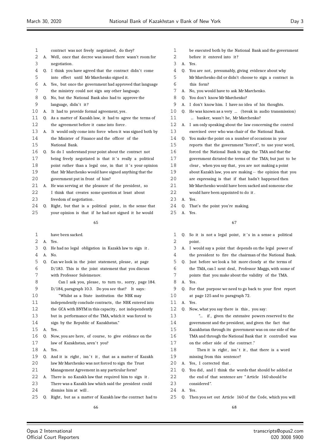- contract was not freely negotiated, do they?
- A. Well, once that decree was issued there wasn't room for negotiation .
- 4 Q. I think you have agreed that the contract didn't come
- into effect until Mr Marchenko signed it.
- A. Yes, but once the government had approved that language the ministry could not sign any other language.
- Q. No, but the National Bank also had to approve the 9 language, didn't it?
- A. It had to provide formal agreement, yes.
- Q. As a matter of Kazakh law, it had to agree the terms of the agreement before it came into force .
- A. It would only come into force when it was signed both by the Minister of Finance and the officer of the National Bank.
- Q. So do I understand your point about the contract not
- 17 being freely negotiated is that it's really a political
- 18 point rather than a legal one, in that it's your opinion
- that Mr Marchenko would have signed anything that the
- government put in front of him?
- A. He was serving at the pleasure of the president, so I think that creates some question at least about
- 23 freedom of negotiation.
- 24 Q. Right, but that is a political point, in the sense that your opinion is that if he had not signed it he would
	-
	- have been sacked.
	- A. Yes.
	- Q. He had no legal obligation in Kazakh law to sign it .
	- A. No.
	- Q. Can we look in the joint statement, please , at page D/183. This is the joint statement that you discuss
	- with Professor Suleimenov. 8 Can I ask you, please, to turn to, sorry, page 184.
- D/184, paragraph 10.3. Do you see that? It says:
- "Whilst as a State institution the NBK may
- independently conclude contracts , the NBK entered into
- 12 the GCA with BNYM in this capacity, not independently but in performance of the TMA, which it was forced to
- sign by the Republic of Kazakhstan."
- A. Yes.
- Q. Now, you are here, of course, to give evidence on the 17 law of Kazakhstan, aren't you?
- A. Yes.
- 19 Q. And it is right, isn't it, that as a matter of Kazakh law Mr Marchenko was not forced to sign the Trust Management Agreement in any particular form?
- A. There is no Kazakh law that required him to sign it .
- There was a Kazakh law which said the president could dismiss him at will .
- 25 Q. Right, but as a matter of Kazakh law the contract had to
- be executed both by the National Bank and the government
- before it entered into it ?
- A. Yes.
- Q. You are not, presumably, giving evidence about why
- Mr Marchenko did or didn't choose to sign a contract in this form?
- A. No, you would have to ask Mr Marchenko.
- Q. You don't know Mr Marchenko?
- A. I don't know him. I have no idea of his thoughts.
- Q. He was known as a very ... (break in audio transmission)
- 11 ... banker, wasn't he, Mr Marchenko?
- A. I am only speaking about the law concerning the control exercised over who was chair of the National Bank.
- Q. You make the point on a number of occasions in your
- reports that the government "forced", to use your word,
- forced the National Bank to sign the TMA and that the
- government dictated the terms of the TMA; but just to be
- clear , when you say that, you are not making a point
- about Kazakh law, you are making -- the opinion that you
- are expressing is that if that hadn't happened then
- Mr Marchenko would have been sacked and someone else
- would have been appointed to do it .
- A. Yes.
- Q. That's the point you're making.
- A. Yes.

- 1 Q. So it is not a legal point, it's in a sense a political 2 point.
- A. I would say a point that depends on the legal power of the president to fire the chairman of the National Bank.
- Q. Just before we look a bit more closely at the terms of
- 6 the TMA, can I next deal, Professor Maggs, with some of points that you make about the validity of the TMA.
- A. Yes.
- Q. For that purpose we need to go back to your first report at page 125 and to paragraph 72.
- A. Yes.
- Q. Now, what you say there is this , you say:
- "... if , given the extensive powers reserved to the
- government and the president, and given the fact that
- Kazakhstan through its government was on one side of the
- TMA and through the National Bank that it controlled was
- on the other side of the contract ."
- 18 Then it is right, isn't it, that there is a word
- missing from this sentence?
- 20 A. Yes, I corrected that.
- 21 Q. You did, and I think the words that should be added at
- 22 the end of that sentence are "Article 160 should be
- considered ".
- A. Yes.
- Q. Then you set out Article 160 of the Code, which you will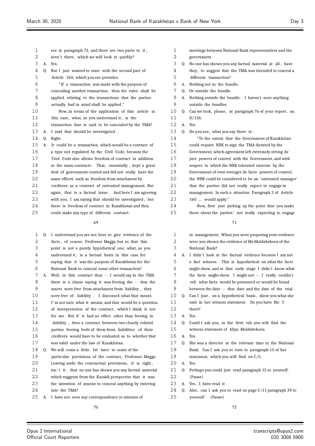| $\mathbf 1$ |    | see in paragraph 72, and there are two parts to it,     |
|-------------|----|---------------------------------------------------------|
| 2           |    | aren't there, which we will look at quickly?            |
| 3           | A. | Yes.                                                    |
| 4           | 0. | But I just wanted to start with the second part of      |
| 5           |    | Article 160, which you see provides:                    |
| 6           |    | "If a transaction was made with the purpose of          |
| 7           |    | concealing another transaction, then the rules shall be |
| 8           |    | applied relating to the transactions that the parties   |
| 9           |    | actually had in mind shall be applied."                 |
| 10          |    | Now, in terms of the application of this article in     |
| 11          |    | this case, what, as you understand it, is the           |
| 12          |    | transaction that is said to be concealed by the TMA?    |
| 13          | А. | I said that should be investigated.                     |
| 14          | Q. | Right.                                                  |
| 15          | А. | It could be a transaction which would be a contract of  |
| 16          |    | a type not regulated by the Civil Code, because the     |
| 17          |    | Civil Code also allows freedom of contract in addition  |
| 18          |    | to the main contracts. That, essentially, kept a great  |
| 19          |    | deal of government control and did not really have the  |
| 20          |    | same effects such as freedom from attachment by         |
| 21          |    | creditors as a contract of entrusted management. But    |
| 22          |    | again, that is a factual issue. And here I am agreeing  |
| 23          |    | with you, I am saying that should be investigated, but  |
|             |    |                                                         |

there is freedom of contract in Kazakhstan and they

could make any type of different contract .

| 1  | 0. | I understand you are not here to give evidence of the    |
|----|----|----------------------------------------------------------|
| 2  |    | facts, of course, Professor Maggs, but so that this      |
| 3  |    | point is not a purely hypothetical one, what, as you     |
| 4  |    | understand it, is a factual basis in this case for       |
| 5  |    | saying that it was the purpose of Kazakhstan for the     |
| 6  |    | National Bank to conceal some other transaction?         |
| 7  |    | A. Well, in this contract they -- I would say in the TMA |
| 8  |    | there is a clause saying it was freeing the -- that the  |
| 9  |    | assets were free from attachment from liability, they    |
| 10 |    | were free of liability. I discussed what that meant.     |
| 11 |    | I'm not sure what it means, and that would be a question |
| 12 |    | of interpretation of the contract, which I think is not  |
| 13 |    | for me. But if it had no effect other than freeing in    |
| 14 |    | liability, then a contract between two closely related   |
| 15 |    | parties freeing both of them from liabilities of their   |
| 16 |    | creditors would have to be evaluated as to whether that  |
| 17 |    | was valid under the law of Kazakhstan.                   |
| 18 | 0. | We will come a little bit later to some of the           |
| 19 |    | particular provisions of the contract, Professor Maggs.  |
| 20 |    | Leaving aside the contractual provisions, it is right,   |
| 21 |    | isn't it, that no one has shown you any factual material |
| 22 |    | which suggests from the Kazakh perspective that it was   |
| 23 |    | the intention of anyone to conceal anything by entering  |
| 24 |    | into the TMA?                                            |
|    |    |                                                          |

A. I have not seen any correspondence or minutes of

- meetings between National Bank representatives and the government. Q. No one has shown you any factual material at all , have
- they, to suggest that the TMA was intended to conceal a different transaction?
- A. Nothing not in the bundle.
- Q. Or outside the bundle.
- A. Nothing outside the bundle. I haven't seen anything outside the bundles.
- 10 Q. Can we look, please, at paragraph 76 of your report, on D/126.
- A. Yes.
- Q. Do you see, what you say there is :
- "To the extent that the Government of Kazakhstan could require NBK to sign the TMA dictated by the Government, which agreement left extremely strong de jure powers of control with the Government, and with
- respect to which the NBK tolerated exercise by the
- Government of even stronger de facto powers of control ,
- the NBK could be considered to be an 'entrusted manager'
- that the parties did not really expect to engage in
- management. In such a situation Paragraph 2 of Article 160 ... would apply."
- Now, first just picking up the point that you make there about the parties ' not really expecting to engage

| $\mathbf{1}$ |              | in management. When you were preparing your evidence                   |
|--------------|--------------|------------------------------------------------------------------------|
| 2            |              | were you shown the evidence of Ms Moldabekova of the                   |
| 3            |              | National Bank?                                                         |
| 4            | А.           | I didn't look at the factual evidence because I am not                 |
| 5            |              | a fact witness. This is hypothetical on what the facts                 |
| 6            |              | might show, and at that early stage I didn't know what                 |
| 7            |              | the facts might show. I might not -- I really couldn't                 |
| 8            |              | tell what facts would be presented or would be found                   |
| 9            |              | between the date -- that date and the date of the trial.               |
| 10           | 0.           | Can I just, on a hypothetical basis, show you what she                 |
| 11           |              | said in her witness statement. Do you have file C                      |
| 12           |              | there?                                                                 |
| 13           | A.           | Yes.                                                                   |
| 14           | 0.           | Could I ask you, in the first tab you will find the                    |
| 15           |              | witness statement of Aliya Moldabekova.                                |
| 16           | $\mathbf{A}$ | Yes.                                                                   |
| 17           | 0.           | She was a director at the relevant time in the National                |
| 18           |              | Bank. Can I ask you to turn to paragraph 15 of her                     |
| 19           |              | statement, which you will find on C/5.                                 |
| 20           | A.           | Yes.                                                                   |
| 21           | 0.           | Perhaps you could just read paragraph 15 to yourself.                  |
| 22           |              | (Pause)                                                                |
| 23           | A.           | Yes, I have read it.                                                   |
| 24           |              | $\Omega$ Also can Lask vou to read on pade $\Omega/11$ paradraph 39 to |

Also, can I ask you to read on page C/11 paragraph 39 to 25 yourself. (Pause)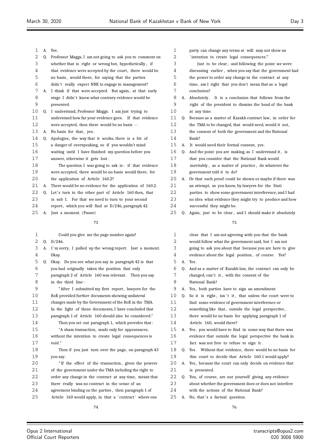| 1  | A. | Yes.                                                     |
|----|----|----------------------------------------------------------|
| 2  | 0. | Professor Maggs, I am not going to ask you to comment on |
| 3  |    | whether that is right or wrong but, hypothetically, if   |
| 4  |    | that evidence were accepted by the court, there would be |
| 5  |    | no basis, would there, for saying that the parties       |
| 6  |    | didn't really expect NBK to engage in management?        |
| 7  | А. | I think if that were accepted. But again, at that early  |
| 8  |    | stage I didn't know what contrary evidence would be      |
| 9  |    | presented.                                               |
| 10 | Q. | I understand, Professor Maggs. I am just trying to       |
| 11 |    | understand how far your evidence goes. If that evidence  |
| 12 |    | were accepted, then there would be no basis --           |
| 13 | A. | No basis for that, yes.                                  |
| 14 | 0. | Apologies, the way that it works, there is a bit of      |
| 15 |    | a danger of overspeaking, so if you wouldn't mind        |
| 16 |    | waiting until I have finished my question before you     |
| 17 |    | answer, otherwise it gets lost.                          |
| 18 |    | The question I was going to ask is: if that evidence     |
| 19 |    | were accepted, there would be no basis would there, for  |
| 20 |    | the application of Article 160.2?                        |
| 21 | А. | There would be no evidence for the application of 160.2. |
| 22 | 0. | Let's turn to the other part of Article 160 then, that   |
| 23 |    | is sub 1.<br>For that we need to turn to your second     |
| 24 |    | report, which you will find at D/246, paragraph 42.      |
| 25 | А. | Just a moment. (Pause)                                   |
|    |    | 73                                                       |
|    |    |                                                          |
| 1  |    | Could you give me the page number again?                 |
| 2  | Q. | D/246.                                                   |
| 3  | A. | I'm sorry, I pulled up the wrong report. Just a moment.  |
| 4  |    | Okay.                                                    |
| 5  | 0. | Okay. Do you see what you say in paragraph 42 is that    |
| 6  |    | you had originally taken the position that only          |
| 7  |    | paragraph 2 of Article 160 was relevant. Then you say    |
| 8  |    | in the third line:                                       |
| 9  |    | "After I submitted my first report, lawyers for the      |
| 10 |    | RoK provided further documents showing unilateral        |
| 11 |    | changes made by the Government of the RoK in the TMA.    |

In the light of these documents, I have concluded that

 paragraph 1 of Article 160 should also be considered." Then you set out paragraph 1, which provides that :

"A sham transaction, made only for appearances,

 without the intention to create legal consequences is void ."

 Then if you just turn over the page, on paragraph 43 you say:

20 <sup>"</sup> If the effect of the transaction, given the powers of the government under the TMA including the right to

- order any change in the contract at any time, meant that
- there really was no contract in the sense of an
- agreement binding on the parties , then paragraph 1 of 25 Article 160 would apply, in that a 'contract' where one

| 1  |    | party can change any terms at will may not show an       |
|----|----|----------------------------------------------------------|
| 2  |    | 'intention to create legal consequences'."               |
| 3  |    | Just to be clear, and following the point we were        |
| 4  |    | discussing earlier, when you say that the government had |
| 5  |    | the power to order any change in the contract at any     |
| 6  |    | time, am I right that you don't mean that as a legal     |
| 7  |    | conclusion?                                              |
| 8  | А. | Absolutely. It is a conclusion that follows from the     |
| 9  |    | right of the president to dismiss the head of the bank   |
| 10 |    | at any time.                                             |
| 11 | 0. | Because as a matter of Kazakh contract law, in order for |
| 12 |    | the TMA to be changed, that would need, would it not,    |
| 13 |    | the consent of both the government and the National      |
| 14 |    | Bank?                                                    |
| 15 | А. | It would need their formal consent, yes.                 |
| 16 | Q. | And the point you are making, as I understand it, is     |
| 17 |    | that you consider that the National Bank would           |
| 18 |    | inevitably, as a matter of practice, do whatever the     |
| 19 |    | government told it to do?                                |
| 20 | А. | Or that such proof could be shown or maybe if there was  |
| 21 |    | an attempt, as you know, by lawyers for the Stati        |
| 22 |    | parties to show some government interference, and I had  |
| 23 |    | no idea what evidence they might try to produce and how  |
| 24 |    | successful they might be.                                |
| 25 | Q. | Again, just to be clear, and I should make it absolutely |
|    |    | 75                                                       |
| 1  |    | clear that I am not agreeing with you that the bank      |
| 2  |    | would follow what the government said, but I am not      |
| 3  |    | going to ask you about that because you are here to give |
| 4  |    | evidence about the legal position, of course.<br>Yes?    |

- A. Yes.
- Q. And as a matter of Kazakh law, the contract can only be 7 changed, can't it, with the consent of the
- National Bank?
- A. Yes, both parties have to sign an amendment.
- Q. So it is right, isn't it, that unless the court were to find some evidence of government interference or
- 12 something like that, outside the legal perspective,
- there would be no basis for applying paragraph 1 of
- Article 160, would there?
- A. Yes, you would have to find in some way that there was evidence that outside the legal perspective the bank in fact was not free to refuse to sign it .
- Q. Yes. Without that evidence, there would be no basis for this court to decide that Article 160.1 would apply?
- A. Yes, because the court can only decide on evidence that is presented.
- Q. You, of course, are not yourself giving any evidence
- about whether the government does or does not interfere
- with the actions of the National Bank? 25 A. No, that's a factual question.
	-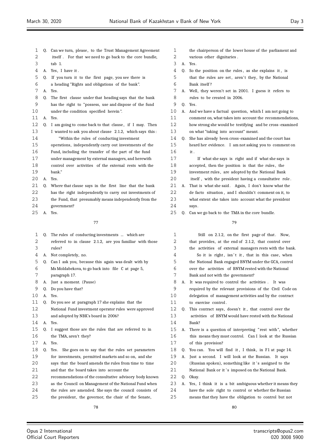| 1        | Q.       | Can we turn, please, to the Trust Management Agreement                                                    | 1        |    | the chairperson of the lower house of the parliament and                        |
|----------|----------|-----------------------------------------------------------------------------------------------------------|----------|----|---------------------------------------------------------------------------------|
| 2        |          | itself. For that we need to go back to the core bundle,                                                   | 2        |    | various other dignitaries.                                                      |
| 3        |          | tab 1.                                                                                                    | 3        | A. | Yes.                                                                            |
| 4        |          | A. Yes, I have it.                                                                                        | 4        | 0. | So the position on the rules, as she explains it, is                            |
| 5        |          | Q. If you turn it to the first page, you see there is                                                     | 5        |    | that the rules are set, aren't they, by the National                            |
| 6        |          | a heading "Rights and obligations of the bank".                                                           | 6        |    | Bank itself?                                                                    |
| 7        |          | A. Yes.                                                                                                   | 7        |    | A. Well, they weren't set in 2001. I guess it refers to                         |
| 8        | Q.       | The first clause under that heading says that the bank                                                    | 8        |    | rules to be created in 2006.                                                    |
| 9        |          | has the right to "possess, use and dispose of the fund                                                    | 9        | Q. | Yes.                                                                            |
| 10       |          | under the condition specified herein".                                                                    | 10       | А. | And we have a factual question, which I am not going to                         |
| 11       | Α.       | Yes.                                                                                                      | 11       |    | comment on, what takes into account the recommendations,                        |
| 12       | Q.       | I am going to come back to that clause, if I may. Then                                                    | 12       |    | how strong she would be testifying and be cross-examined                        |
| 13       |          | I wanted to ask you about clause 2.1.2, which says this:                                                  | 13       |    | on what "taking into account" meant.                                            |
| 14       |          | "Within the rules of conducting investment                                                                | 14       | Q. | She has already been cross-examined and the court has                           |
| 15       |          | operations, independently carry out investments of the                                                    | 15       |    | heard her evidence. I am not asking you to comment on                           |
| 16       |          | Fund, including the transfer of the part of the fund                                                      | 16       |    | it.                                                                             |
| 17       |          | under management by external managers, and herewith                                                       | 17       |    | If what she says is right and if what she says is                               |
| 18       |          | control over activities of the external rests with the                                                    | 18       |    | accepted, then the position is that the rules, the                              |
| 19       |          | bank."                                                                                                    | 19       |    | investment rules, are adopted by the National Bank                              |
| 20       | А.       | Yes.                                                                                                      | 20       |    | itself, with the president having a consultative role.                          |
| 21       | 0.       | Where that clause says in the first line that the bank                                                    | 21       | А. | That is what she said. Again, I don't know what the                             |
| 22       |          | has the right independently to carry out investments of                                                   | 22       |    | de facto situation, and I shouldn't comment on it, to                           |
| 23       |          | the Fund, that presumably means independently from the                                                    | 23       |    | what extent she takes into account what the president                           |
| 24       |          | government?                                                                                               | 24       |    | says.                                                                           |
| 25       |          | A. Yes.                                                                                                   | 25       |    | Q. Can we go back to the TMA in the core bundle.                                |
|          |          |                                                                                                           |          |    |                                                                                 |
|          |          | 77                                                                                                        |          |    | 79                                                                              |
|          |          |                                                                                                           |          |    |                                                                                 |
| 1        | Q.       | The rules of conducting investments  which are                                                            | 1        |    | Still on 2.1.2, on the first page of that. Now,                                 |
| 2        |          | referred to in clause 2.1.2, are you familiar with those                                                  | 2        |    | that provides, at the end of 2.1.2, that control over                           |
| 3        |          | rules?                                                                                                    | 3        |    | the activities of external managers rests with the bank.                        |
| 4        |          | A. Not completely, no.                                                                                    | 4        |    | So it is right, isn't it, that in this case, when                               |
| 5        | Q.       | Can I ask you, because this again was dealt with by                                                       | 5        |    | the National Bank engaged BNYM under the GCA, control                           |
| 6        |          | Ms Moldabekova, to go back into file C at page 5,                                                         | 6<br>7   |    | over the activities of BNYM rested with the National                            |
| 7        |          | paragraph 17.                                                                                             |          |    | Bank and not with the government?                                               |
| 8<br>9   |          | Just a moment. (Pause)                                                                                    | 8        |    | It was required to control the activities. It was                               |
| 10       | Q.<br>А. | Do you have that?<br>Yes.                                                                                 | 9        |    | required by the relevant provisions of the Civil Code on                        |
| 11       | Q.       |                                                                                                           | 10<br>11 |    | delegation of management activities and by the contract<br>to exercise control. |
| 12       |          | Do you see at paragraph 17 she explains that the<br>National Fund investment operator rules were approved | 12       | Q. | This contract says, doesn't it, that control over the                           |
| 13       |          | and adopted by NBK's board in 2006?                                                                       | 13       |    | activities of BNYM would have rested with the National                          |
| 14       |          | A. Yes.                                                                                                   | 14       |    | Bank?                                                                           |
| 15       |          | Q. I suggest those are the rules that are referred to in                                                  | 15       | A. | There is a question of interpreting "rest with", whether                        |
| 16       |          | the TMA, aren't they?                                                                                     | 16       |    | this means they must control. Can I look at the Russian                         |
| 17       | А.       | Yes.                                                                                                      | 17       |    | of this provision?                                                              |
| 18       | Q.       | Yes. She goes on to say that the rules set parameters                                                     | 18       | Q. | You can. You will find it, I think, in F1 at page 14.                           |
| 19       |          | for investments, permitted markets and so on, and she                                                     | 19       | А. | Just a second. I will look at the Russian. It says                              |
| 20       |          | says that the board amends the rules from time to time                                                    | 20       |    | (Russian spoken), something like it's assigned to the                           |
| 21       |          | and that the board takes into account the                                                                 | 21       |    | National Bank or it's imposed on the National Bank.                             |
| 22       |          | recommendations of the consultative advisory body known                                                   | 22       | Q. | Okay.                                                                           |
| 23       |          | as the Council on Management of the National Fund when                                                    | 23       |    | A. Yes, I think it is a bit ambiguous whether it means they                     |
| 24<br>25 |          | the rules are amended. She says the council consists of                                                   | 24       |    | have the sole right to control or whether the Russian                           |

find it, I think, in F1 at page 14. will look at the Russian. It says something like it 's assigned to the <sup>2</sup> 's imposed on the National Bank. a bit ambiguous whether it means they it to control or whether the Russian ve the obligation to control but not transcripts@opus2.com 020 3008 5900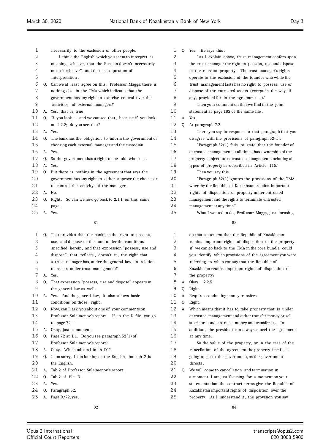| 1           |    | necessarily to the exclusion of other people.               |                |
|-------------|----|-------------------------------------------------------------|----------------|
| 2           |    | I think the English which you seem to interpret as          |                |
| 3           |    | meaning exclusive, that the Russian doesn't necessarily     |                |
| 4           |    | mean "exclusive", and that is a question of                 |                |
| 5           |    | interpretation.                                             |                |
| 6           |    | Q. Can we at least agree on this, Professor Maggs: there is |                |
| 7           |    | nothing else in the TMA which indicates that the            |                |
| 8           |    | government has any right to exercise control over the       |                |
| 9           |    | activities of external managers?                            |                |
| 10          | А. | Yes, that is true.                                          | 1              |
| 11          | 0. | If you look -- and we can see that, because if you look     | 1              |
| 12          |    | at 2.2.2; do you see that?                                  | $\mathbf 1$    |
| 13          | А. | Yes.                                                        | $\mathbf{1}$   |
| 14          | O. | The bank has the obligation to inform the government of     | $\mathbf 1$    |
| 15          |    | choosing each external manager and the custodian.           | $\mathbf 1$    |
| 16          | А. | Yes.                                                        | 1              |
| 17          | O. | So the government has a right to be told who it is.         | 1              |
| 18          | А. | Yes.                                                        | 1              |
| 19          | Q. | But there is nothing in the agreement that says the         | 1              |
| 20          |    | government has any right to either approve the choice or    | 2              |
| 21          |    | to control the activity of the manager.                     | 2              |
| 22          | А. | No.                                                         | $\overline{c}$ |
| 23          | Q. | Right. So can we now go back to 2.1.1 on this same          | $\overline{c}$ |
| 24          |    | page.                                                       | 2              |
| 25          |    | A. Yes.                                                     | 2              |
|             |    | 81                                                          |                |
| $\mathbf 1$ | O. | That provides that the bank has the right to possess,       |                |
| 2           |    | use, and dispose of the fund under the conditions           |                |

| 3  |    | specified herein, and that expression "possess, use and |
|----|----|---------------------------------------------------------|
| 4  |    | dispose", that reflects, doesn't it, the right that     |
| 5  |    | a trust manager has, under the general law, in relation |
| 6  |    | to assets under trust management?                       |
| 7  | A. | Yes.                                                    |
| 8  | 0. | That expression "possess, use and dispose" appears in   |
| 9  |    | the general law as well.                                |
| 10 | А. | Yes. And the general law, it also allows basic          |
| 11 |    | conditions on those, right.                             |
| 12 | 0. | Now, can I ask you about one of your comments on        |
| 13 |    | Professor Suleimenov's report. If in the D file you go  |
| 14 |    | to page $72 -$                                          |
| 15 | А. | Okay, just a moment.                                    |
| 16 | 0. | Page 72 at D1. Do you see paragraph 52(1) of            |
| 17 |    | Professor Suleimenov's report?                          |
| 18 | A. | Okay. Which tab am I in in D1?                          |
| 19 | 0. | I am sorry, I am looking at the English, but tab 2 is   |
| 20 |    | the English.                                            |
| 21 | А. | Tab 2 of Professor Suleimenov's report.                 |
| 22 | 0. | Tab 2 of file D.                                        |
| 23 | A. | Yes.                                                    |
| 24 | 0. | Paragraph 52.                                           |
| 25 | А. | Page $D/72$ , yes.                                      |
|    |    | 82                                                      |

| 1  |    | O. Yes. He says this:                                   |
|----|----|---------------------------------------------------------|
| 2  |    | "As I explain above, trust management confers upon      |
| 3  |    | the trust manager the right to possess, use and dispose |
| 4  |    | of the relevant property. The trust manager's rights    |
| 5  |    | operate to the exclusion of the founder who while the   |
| 6  |    | trust management lasts has no right to possess, use or  |
| 7  |    | dispose of the entrusted assets (except in the way, if  |
| 8  |    | any, provided for in the agreement )."                  |
| 9  |    | Then your comment on that we find in the joint          |
| 10 |    | statement at page 182 of the same file.                 |
| 11 | A. | Yes.                                                    |
| 12 | 0. | At paragraph 7.2.                                       |
| 13 |    | There you say in response to that paragraph that you    |
| 14 |    | disagree with the provisions of paragraph $52(1)$ :     |
| 15 |    | "Paragraph 52(1) fails to state that the founder of     |
| 16 |    | entrusted management at all times has ownership of the  |
| 17 |    | property subject to entrusted management, including all |
| 18 |    | types of property as described in Article 115."         |
| 19 |    | Then you say this:                                      |
| 20 |    | "Paragraph 52(1) ignores the provisions of the TMA,     |
| 21 |    | whereby the Republic of Kazakhstan retains important    |
| 22 |    | rights of disposition of property under entrusted       |
| 23 |    | management and the rights to terminate entrusted        |
| 24 |    | management at any time."                                |
| 25 |    | What I wanted to do, Professor Maggs, just focusing     |
|    |    | 83                                                      |

| $\mathbf{1}$ |    | on that statement that the Republic of Kazakhstan        |
|--------------|----|----------------------------------------------------------|
| 2            |    | retains important rights of disposition of the property, |
| 3            |    | if we can go back to the TMA in the core bundle, could   |
| 4            |    | you identify which provisions of the agreement you were  |
| 5            |    | referring to when you say that the Republic of           |
| 6            |    | Kazakhstan retains important rights of disposition of    |
| 7            |    | the property?                                            |
| 8            | A. | Okay. 2.2.5.                                             |
| 9            | 0. | Right.                                                   |
| 10           | А. | Requires conducting money transfers.                     |
| 11           | 0. | Right.                                                   |
| 12           | А. | Which means that it has to take property that is under   |
| 13           |    | entrusted management and either transfer money or sell   |
| 14           |    | stock or bonds to raise money and transfer it. In        |
| 15           |    | addition, the president can always cancel the agreement  |
| 16           |    | at any time.                                             |
| 17           |    | So the value of the property, or in the case of the      |
| 18           |    | cancellation of the agreement the property itself, is    |
| 19           |    | going to go to the government, as the government         |
| 20           |    | directs.                                                 |
| 21           |    | Q. We will come to cancellation and termination in       |
| 22           |    | a moment. I am just focusing for a moment on your        |
| 23           |    | statements that the contract terms give the Republic of  |
| 24           |    | Kazakhstan important rights of disposition over the      |

25 property. As I understand it, the provision you say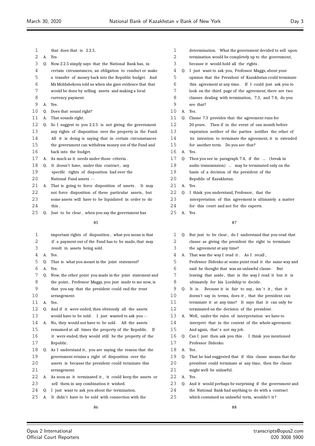| 1        |    | that does that is 2.2.5.                                                                                        | 1       |    | determination. What the government decided to sell upon                                                      |
|----------|----|-----------------------------------------------------------------------------------------------------------------|---------|----|--------------------------------------------------------------------------------------------------------------|
| 2        | А. | Yes.                                                                                                            | 2       |    | termination would be completely up to the government,                                                        |
| 3        | 0. | Now 2.2.5 simply says that the National Bank has, in                                                            | 3       |    | because it would hold all the rights.                                                                        |
| 4        |    | certain circumstances, an obligation to conduct or make                                                         | 4       | Q. | I just want to ask you, Professor Maggs, about your                                                          |
| 5        |    | a transfer of money back into the Republic budget. And                                                          | 5       |    | opinion that the President of Kazakhstan could terminate                                                     |
| 6        |    | Ms Moldabekova told us when she gave evidence that that                                                         | 6       |    | this agreement at any time. If I could just ask you to                                                       |
| 7        |    | would be done by selling assets and making a local                                                              | 7       |    | look on the third page of the agreement, there are two                                                       |
| 8        |    | currency payment.                                                                                               | 8       |    | clauses dealing with termination, 7.3, and 7.4; do you                                                       |
| 9        |    | A. Yes.                                                                                                         | 9       |    | see that?                                                                                                    |
| 10       | 0. | Does that sound right?                                                                                          | 10      | A. | Yes.                                                                                                         |
| 11       | А. | That sounds right.                                                                                              | 11      | 0. | Clause 7.3 provides that the agreement runs for                                                              |
| 12       |    | Q. So I suggest to you 2.2.5 is not giving the government                                                       | 12      |    | 20 years. Then if in the event of one month before                                                           |
| 13       |    | any rights of disposition over the property in the Fund.                                                        | 13      |    | expiration neither of the parties notifies the other of                                                      |
| 14       |    | All it is doing is saying that in certain circumstances                                                         | 14      |    | its intention to terminate the agreement, it is extended                                                     |
| 15       |    | the government can withdraw money out of the Fund and                                                           | 15      |    | for another term. Do you see that?                                                                           |
| 16       |    | back into the budget.                                                                                           | 16      |    | A. Yes.                                                                                                      |
| 17       |    | A. As much as it needs under those criteria.                                                                    | 17      | 0. | Then you see in paragraph 7.4, if the  (break in                                                             |
| 18       | 0. | It doesn't have, under this contract, any                                                                       | 18      |    | audio transmission)  may be terminated only on the                                                           |
| 19       |    | specific rights of disposition had over the                                                                     | 19      |    | basis of a decision of the president of the                                                                  |
| 20       |    | National Fund assets --                                                                                         | 20      |    | Republic of Kazakhstan.                                                                                      |
| 21       | A. | That is going to force disposition of assets. It may                                                            | 21      |    | A. Yes.                                                                                                      |
| 22       |    | not force disposition of these particular assets, but                                                           | 22      |    | Q. I think you understand, Professor, that the                                                               |
| 23       |    | some assets will have to be liquidated in order to do                                                           | 23      |    | interpretation of this agreement is ultimately a matter                                                      |
| 24       |    | this.                                                                                                           | 24      |    | for this court and not for the experts.                                                                      |
| 25       | 0. | Just to be clear, when you say the government has                                                               | 25      | А. | Yes.                                                                                                         |
|          |    | 85                                                                                                              |         |    | 87                                                                                                           |
| 1        |    | important rights of disposition, what you mean is that                                                          | 1       |    |                                                                                                              |
|          |    |                                                                                                                 |         | 0. |                                                                                                              |
| 2        |    |                                                                                                                 | 2       |    | But just to be clear, do I understand that you read that                                                     |
| 3        |    | if a payment out of the Fund has to be made, that may                                                           | 3       |    | clause as giving the president the right to terminate                                                        |
| 4        |    | result in assets being sold.<br>A. Yes.                                                                         | 4       |    | the agreement at any time?                                                                                   |
| 5        | Q. |                                                                                                                 | 5       |    | A. That was the way I read it. As I recall,                                                                  |
| 6        | А. | That is what you meant in the joint statement?<br>Yes.                                                          | 6       |    | Professor Didenko at some point read it the same way and<br>said he thought that was an unlawful clause. But |
| 7        | Q. |                                                                                                                 | 7       |    |                                                                                                              |
|          |    | Now, the other point you made in the joint statement and                                                        | 8       |    | leaving that aside, that is the way I read it but it is                                                      |
| 8        |    | the point, Professor Maggs, you just made to me now, is                                                         |         | Q. | ultimately for his Lordship to decide.                                                                       |
| 9        |    | that you say that the president could end the trust                                                             | 9<br>10 |    | It is. Because it is fair to say, isn't it, that it<br>doesn't say in terms, does it, that the president can |
| 10<br>11 | A. | arrangement.<br>Yes.                                                                                            | 11      |    | terminate it at any time? It says that it can only be                                                        |
| 12       | Q. | And if it were ended, then obviously all the assets                                                             | 12      |    | terminated on the decision of the president.                                                                 |
| 13       |    | would have to be sold. I just wanted to ask you --                                                              | 13      |    | A. Well, under the rules of interpretation we have to                                                        |
| 14       | А. | No, they would not have to be sold. All the assets                                                              | 14      |    | interpret that in the context of the whole agreement.                                                        |
| 15       |    | remained at all times the property of the Republic. If                                                          | 15      |    | And again, that's not my job.                                                                                |
| 16       |    | it were ended, they would still be the property of the                                                          | 16      | Q. | Can I just then ask you this. I think you mentioned                                                          |
| 17       |    | Republic.                                                                                                       | 17      |    | Professor Didenko.                                                                                           |
| 18       |    |                                                                                                                 | 18      |    | A. Yes.                                                                                                      |
| 19       |    | Q. As I understand it, you are saying the reason that the<br>government retains a right of disposition over the | 19      | Q. | That he had suggested that if this clause means that the                                                     |
| 20       |    | assets is because the president could terminate this                                                            | 20      |    | president could terminate at any time, then the clause                                                       |
| 21       |    | arrangement.                                                                                                    | 21      |    | might well be unlawful.                                                                                      |
| 22       |    | A. As soon as it terminated it, it could keep the assets or                                                     | 22      |    | A. Yes.                                                                                                      |
| 23       |    | sell them in any combination it wished.                                                                         | 23      |    | Q. And it would perhaps be surprising if the government and                                                  |
| 24       | Q. | I just want to ask you about the termination.                                                                   | 24      |    | the National Bank had anything to do with a contract                                                         |

25 A. It didn't have to be sold with connection with the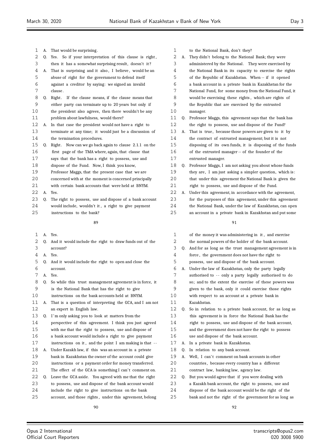| 1  | А. | That would be surprising.                                  | 1  |    | to the       |
|----|----|------------------------------------------------------------|----|----|--------------|
| 2  | 0. | So if your interpretation of this clause is right,<br>Yes. | 2  | А. | They         |
| 3  |    | then it has a somewhat surprising result, doesn't it?      | 3  |    | admir        |
| 4  | А. | That is surprising and it also, I believe, would be an     | 4  |    | the N        |
| 5  |    | abuse of right for the government to defend itself         | 5  |    | of the       |
| 6  |    | against a creditor by saying: we signed an invalid         | 6  |    | a ban        |
| 7  |    | clause.                                                    | 7  |    | <b>Natio</b> |
| 8  | Q. | Right. If the clause means, if the clause means that       | 8  |    | would        |
| 9  |    | either party can terminate up to 20 years but only if      | 9  |    | the R        |
| 10 |    | the president also agrees, then there wouldn't be any      | 10 |    | mana         |
| 11 |    | problem about lawfulness, would there?                     | 11 | Q. | Profe:       |
| 12 | А. | In that case the president would not have a right to       | 12 |    | the r        |
| 13 |    | terminate at any time; it would just be a discussion of    | 13 | А. | That         |
| 14 |    | the termination procedures.                                | 14 |    | the c        |
| 15 | Q. | Right. Now can we go back again to clause 2.1.1 on the     | 15 |    | dispo        |
| 16 |    | first page of the TMA where, again, that clause that       | 16 |    | of the       |
| 17 |    | says that the bank has a right to possess, use and         | 17 |    | entru        |
| 18 |    | dispose of the Fund. Now, I think you know,                | 18 | Q. | Profe:       |
| 19 |    | Professor Maggs, that the present case that we are         | 19 |    | they :       |
| 20 |    | concerned with at the moment is concerned principally      | 20 |    | that 1       |
| 21 |    | with certain bank accounts that were held at BNYM.         | 21 |    | right        |
| 22 | А. | Yes.                                                       | 22 | А. | Under        |
| 23 | Q. | The right to possess, use and dispose of a bank account    | 23 |    | for th       |
| 24 |    | would include, wouldn't it, a right to give payment        | 24 |    | the N        |
| 25 |    | instructions to the bank?                                  | 25 |    | an ac        |
|    |    | 89                                                         |    |    |              |
| 1  | А. | Yes.                                                       | 1  |    | of the       |
| 2  | Q. | And it would include the right to draw funds out of the    | 2  |    | the n        |
| 3  |    | account?                                                   | 3  | Q. | And f        |
| 4  | А. | Yes.                                                       | 4  |    | force        |
| 5  | Q. | And it would include the right to open and close the       | 5  |    | posse        |
| 6  |    | account.                                                   | 6  | А. | Under        |
| 7  | А. | Yes.                                                       | 7  |    | autho        |
| 8  | Q. | So while this trust management agreement is in force, it   | 8  |    | so; a        |
| 9  |    | is the National Bank that has the right to give            | 9  |    | given        |
| 10 |    | instructions on the bank accounts held at BNYM.            | 10 |    | with 1       |
| 11 | А. | That is a question of interpreting the GCA, and I am not   | 11 |    | Kazak        |
| 12 |    | an expert in English law.                                  | 12 | 0. | So in        |
| 13 | 0. | I'm only asking you to look at matters from the            | 13 |    | this a       |
| 14 |    | perspective of this agreement. I think you just agreed     | 14 |    | right        |
| 15 |    | with me that the right to possess, use and dispose of      | 15 |    | and tl       |
| 16 |    | a bank account would include a right to give payment       | 16 |    | use a        |
| 17 |    | instructions on it, and the point I am making is that --   | 17 | А. | $\ln a$      |
| 18 | А. | Under Kazakh law, if this was an account in a private      | 18 | Q. | In re        |
| 19 |    | bank in Kazakhstan the owner of the account could give     | 19 | A. | Well,        |
| 20 |    | instructions or a payment order for money transferred.     | 20 |    | count        |
| 21 |    | The effect of the GCA is something I can't comment on.     | 21 |    | contr        |
| 22 | Q. | Leave the GCA aside. You agreed with me that the right     | 22 | Q. | But y        |
| 23 |    | to possess, use and dispose of the bank account would      | 23 |    | a Kaz        |
| 24 |    | include the right to give instructions on the bank         | 24 |    | dispo        |
| 25 |    | account, and those rights, under this agreement, belong    | 25 |    | bank         |

| 1  |    | to the National Bank, don't they?                        |
|----|----|----------------------------------------------------------|
| 2  | А. | They didn't belong to the National Bank; they were       |
| 3  |    | administered by the National. They were exercised by     |
| 4  |    | the National Bank in its capacity to exercise the rights |
| 5  |    | of the Republic of Kazakhstan. When -- if it opened      |
| 6  |    | a bank account in a private bank in Kazakhstan for the   |
| 7  |    | National Fund, for some money from the National Fund, it |
| 8  |    | would be exercising these rights, which are rights of    |
| 9  |    | the Republic that are exercised by the entrusted         |
| 10 |    | manager.                                                 |
| 11 | Q. | Professor Maggs, this agreement says that the bank has   |
| 12 |    | the right to possess, use and dispose of the Fund?       |
| 13 | А. | That is true, because those powers are given to it by    |
| 14 |    | the contract of entrusted management; but it is not      |
| 15 |    | disposing of its own funds, it is disposing of the funds |
| 16 |    | of the entrusted manager -- of the founder of the        |
| 17 |    | entrusted manager.                                       |
| 18 | Q. | Professor Maggs, I am not asking you about whose funds   |
| 19 |    | they are, I am just asking a simpler question, which is: |
| 20 |    | that under this agreement the National Bank is given the |
| 21 |    | right to possess, use and dispose of the Fund.           |
| 22 | А. | Under this agreement, in accordance with the agreement,  |
| 23 |    | for the purposes of this agreement, under this agreement |
| 24 |    | the National Bank, under the law of Kazakhstan, can open |
| 25 |    | an account in a private bank in Kazakhstan and put some  |
|    |    | 91                                                       |
|    |    |                                                          |
| 1  |    | of the money it was administering in it, and exercise    |
| 2  |    | the normal powers of the holder of the bank account.     |
| 3  | 0. | And for as long as the trust management agreement is in  |
| 4  |    | force, the government does not have the right to         |
| 5  |    | possess, use and dispose of the bank account.            |
| 6  | А. | Under the law of Kazakhstan, only the party legally      |
| 7  |    | authorised to -- only a party legally authorised to do   |
| 8  |    | so; and to the extent the exercise of these powers was   |
| 9  |    | given to the bank, only it could exercise those rights   |
| 10 |    | with respect to an account at a private bank in          |
| 11 |    | Kazakhstan.                                              |
| 12 | Q. | So in relation to a private bank account, for as long as |
| 13 |    | this agreement is in force the National Bank has the     |
| 14 |    | right to possess, use and dispose of the bank account,   |
| 15 |    | and the government does not have the right to possess    |
| 16 |    | use and dispose of the bank account.                     |

- private bank in Kazakhstan.
- lation to any bank account.
- I can't comment on bank accounts in other
- tries, because every country has a different
- act law, banking law, agency law.
- ou would agree that if you were dealing with
- zakh bank account, the right to possess, use and
- ase of the bank account would be the right of the
- and not the right of the government for as long as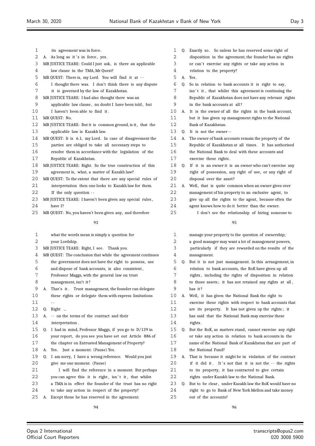| 1        |    | its agreement was in force.                                 |
|----------|----|-------------------------------------------------------------|
| 2        | А. | As long as it's in force, yes.                              |
| 3        |    | MR JUSTICE TEARE: Could I just ask, is there an applicable  |
| 4        |    | law clause in the TMA, Mr Quest?                            |
| 5        |    | MR QUEST: There is, my Lord. You will find it at --         |
| 6        |    | I thought there was. I don't think there is any dispute     |
| 7        |    | it is governed by the law of Kazakhstan.                    |
| 8        |    | MR JUSTICE TEARE: I had also thought there was an           |
| 9        |    | applicable law clause, no doubt I have been told, but       |
| 10       |    | I haven't been able to find it.                             |
| 11       |    | MR QUEST: No.                                               |
| 12       |    | MR JUSTICE TEARE: But it is common ground, is it, that the  |
| 13       |    | applicable law is Kazakh law.                               |
| 14       |    | MR QUEST: It is 6.1, my Lord. In case of disagreement the   |
| 15       |    | parties are obliged to take all necessary steps to          |
| 16       |    | resolve them in accordance with the legislation of the      |
| 17       |    | Republic of Kazakhstan.                                     |
| 18       |    | MR JUSTICE TEARE: Right. So the true construction of this   |
| 19       |    | agreement is, what, a matter of Kazakh law?                 |
| 20       |    | MR QUEST: To the extent that there are any special rules of |
| 21       |    | interpretation then one looks to Kazakh law for them.       |
| 22       |    | If the only question --                                     |
| 23       |    | MR JUSTICE TEARE: I haven't been given any special rules,   |
| 24       |    | have I?                                                     |
| 25       |    | MR QUEST: No, you haven't been given any, and therefore     |
|          |    |                                                             |
|          |    | 93                                                          |
|          |    |                                                             |
| 1        |    | what the words mean is simply a question for                |
| 2        |    | your Lordship.                                              |
| 3        |    | MR JUSTICE TEARE: Right, I see. Thank you.                  |
| 4        |    | MR QUEST: The conclusion that while the agreement continues |
| 5        |    | the government does not have the right to possess, use      |
| 6        |    | and dispose of bank accounts, is also consistent,           |
| 7        |    | Professor Maggs, with the general law on trust              |
| 8        |    | management, isn't it?                                       |
| 9        | А. | That's it. Trust management, the founder can delegate       |
| 10       |    | these rights or delegate them with express limitations      |
| 11       |    |                                                             |
| 12       | Q. | Right                                                       |
| 13       | А. | -- on the terms of the contract and their                   |
| 14       |    | interpretation.                                             |
| 15       | Q. | I had in mind, Professor Maggs, if you go to D/139 in       |
| 16       |    | your report, do you see you have set out Article 886 of     |
| 17       |    | the chapter on Entrusted Management of Property?            |
| 18       | А. | Just a moment. (Pause) Yes.<br>Yes.                         |
| 19       | Q. | I am sorry, I have a wrong reference. Would you just        |
| 20       |    | give me one moment. (Pause)                                 |
| 21       |    | I will find the reference in a moment. But perhaps          |
| 22       |    | you can agree this it is right, isn't it, that whilst       |
| 23       |    | a TMA is in effect the founder of the trust has no right    |
|          |    | to take any action in respect of the property?              |
| 24<br>25 | А. | Except those he has reserved in the agreement.              |

| 1           | Q. | Exactly so. So unless he has reserved some right of      |
|-------------|----|----------------------------------------------------------|
| 2           |    | disposition in the agreement, the founder has no rights  |
| $\mathsf 3$ |    | or can't exercise any rights or take any action in       |
| 4           |    | relation to the property?                                |
| 5           | А. | Yes.                                                     |
| 6           | Q. | So in relation to bank accounts it is right to say,      |
| 7           |    | isn't it, that whilst this agreement is continuing the   |
| 8           |    | Republic of Kazakhstan does not have any relevant rights |
| 9           |    | in the bank accounts at all?                             |
| 10          | А. | It is the owner of all the rights in the bank account,   |
| 11          |    | but it has given up management rights to the National    |
| 12          |    | Bank of Kazakhstan.                                      |
| 13          | Q. | It is not the owner--                                    |
| 14          | A. | The owner of bank accounts remain the property of the    |
| 15          |    | Republic of Kazakhstan at all times. It has authorised   |
| 16          |    | the National Bank to deal with these accounts and        |
| 17          |    | exercise these rights.                                   |
| 18          | Q. | If it is an owner it is an owner who can't exercise any  |
| 19          |    | right of possession, any right of use, or any right of   |
| 20          |    | disposal over the asset?                                 |
| 21          | А. | Well, that is quite common when an owner gives over      |
| 22          |    | management of his property to an exclusive agent, to     |
| 23          |    | give up all the rights to the agent, because often the   |
| 24          |    | agent knows how to do it better than the owner.          |
| 25          |    | I don't see the relationship of hiring someone to        |
|             |    | 95                                                       |
| 1           |    | manage your property to the question of ownership;       |
| 2           |    | a good manager may want a lot of management powers,      |
| 3           |    | particularly if they are rewarded on the results of the  |
| 4           |    | management.                                              |
| 5           | Q. | But it is not just management. In this arrangement, in   |
| 6           |    | relation to bank accounts, the RoK have given up all     |
| 7           |    | rights, including the rights of disposition in relation  |
| 8           |    | to those assets; it has not retained any rights at all,  |
| 9           |    | has it?                                                  |
| 10          | А. | Well, it has given the National Bank the right to        |
| 11          |    | exercise these rights with respect to bank accounts that |
| 12          |    | are its property. It has not given up the rights; it     |
| 13          |    | has said that the National Bank may exercise these       |
| 14          |    | rights.                                                  |

- Q. But the RoK, as matters stand, cannot exercise any right or take any action in relation to bank accounts in the name of the National Bank of Kazakhstan that are part of the National Fund?
- A. That is because it might be in violation of the contract
- 20 if it did it. It's not that it is not the -- the rights
- to its property, it has contracted to give certain
- rights under Kazakh law to the National Bank.
- Q. But to be clear , under Kazakh law the RoK would have no right to go to Bank of New York Mellon and take money out of the accounts?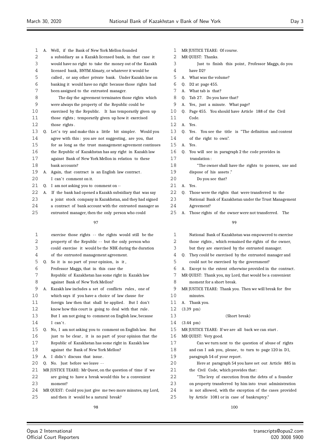| 1            | A. Well, if the Bank of New York Mellon founded             | 1        | MR JUSTICE TEARE: Of course.                         |
|--------------|-------------------------------------------------------------|----------|------------------------------------------------------|
| 2            | a subsidiary as a Kazakh licensed bank, in that case it     | 2        | MR QUEST: Thanks.                                    |
| 3            | would have no right to take the money out of the Kazakh     | 3        | Just to finish this po                               |
| 4            | licensed bank, BNYM Almaty, or whatever it would be         | 4        | have D2?                                             |
| 5            | called, or any other private bank. Under Kazakh law on      | 5        | A. What was the volume?                              |
| 6            | banking it would have no right because those rights had     | 6        | Q. D2 at page 455.                                   |
| 7            | been assigned to the entrusted manager.                     | 7        | A. What tab is that?                                 |
| 8            | The day the agreement terminates those rights which         | 8        | Q. Tab 27. Do you have that?                         |
| $\mathsf 9$  | were always the property of the Republic could be           | 9        | A. Yes, just a minute. What                          |
| 10           | exercised by the Republic. It has temporarily given up      | 10       | Q. Page 455. You should have                         |
| 11           | those rights; temporarily given up how it exercised         | 11       | Code.                                                |
| 12           | those rights.                                               | 12       | A. Yes.                                              |
| 13           | Q. Let's try and make this a little bit simpler. Would you  | 13       | Q. Yes. You see the title is                         |
| 14           | agree with this: you are not suggesting, are you, that      | 14       | of the right to own".                                |
| 15           | for as long as the trust management agreement continues     | 15       | A. Yes.                                              |
| 16           | the Republic of Kazakhstan has any right in Kazakh law      | 16       | Q. You will see in paragraph                         |
| 17           | against Bank of New York Mellon in relation to these        | 17       | translation:                                         |
| 18           | bank accounts?                                              | 18       | "The owner shall have                                |
| 19           | A. Again, that contract is an English law contract.         | 19       | dispose of his assets."                              |
| 20           | I can't comment on it.                                      | 20       | Do you see that?                                     |
| 21           | Q. I am not asking you to comment on --                     | 21       | A. Yes.                                              |
| 22           | A. If the bank had opened a Kazakh subsidiary that was say  | 22       | Q. Those were the rights that                        |
| 23           | a joint stock company in Kazakhstan, and they had signed    | 23       | National Bank of Kazakhsta                           |
| 24           | a contract of bank account with the entrusted manager as    | 24       | Agreement?                                           |
| 25           | entrusted manager, then the only person who could           | 25       | Those rights of the owner<br>А.                      |
|              | 97                                                          |          | 99                                                   |
| $\mathbf{1}$ | exercise those rights -- the rights would still be the      | 1        | National Bank of Kazakhsta                           |
| 2            | property of the Republic -- but the only person who         | 2        | those rights, which remain                           |
| 3            | could exercise it would be the NBK during the duration      | 3        | but they are exercised by                            |
| 4            | of the entrusted management agreement.                      | 4        | Q. They could be exercised by                        |
| 5            | Q. So it is no part of your opinion, is it,                 | 5        | could not be exercised by                            |
| 6            | Professor Maggs, that in this case the                      | 6        | A. Except to the extent other                        |
| 7            | Republic of Kazakhstan has some right in Kazakh law         | 7        | MR QUEST: Thank you, my Lord                         |
| 8            | against Bank of New York Mellon?                            | 8        | moment for a short break.                            |
| $\mathsf 9$  | A. Kazakh law includes a set of conflicts rules, one of     | 9        | MR JUSTICE TEARE: Thank you                          |
| 10           | which says if you have a choice of law clause for           | 10       | minutes.                                             |
| 11           | foreign law then that shall be applied. But I don't         | 11       | A. Thank you.                                        |
| 12           | know how this court is going to deal with that rule.        | 12       | $(3.39 \text{ pm})$                                  |
| 13           | But I am not going to comment on English law, because       | 13       | (Short)                                              |
| 14           | I can't.                                                    | 14       |                                                      |
| 15           | Q. No, I am not asking you to comment on English law. But   | 15       | $(3.44 \text{ pm})$<br>MR JUSTICE TEARE: If we are a |
| 16           |                                                             | 16       |                                                      |
| 17           | just to be clear, it is no part of your opinion that the    | 17       | MR QUEST: Very good.                                 |
|              | Republic of Kazakhstan has some right in Kazakh law         |          | Can we turn next to th                               |
| 18           | against the Bank of New York Mellon?                        | 18       | and can I ask you, please,                           |
| 19           | A. I didn't discuss that issue.                             | 19       | paragraph 54 of your repor                           |
| 20           | Q. No. Just before we leave --                              | 20       | Here at paragraph 54 y                               |
| 21<br>22     | MR JUSTICE TEARE: Mr Quest, on the question of time if we   | 21<br>22 | the Civil Code, which prov                           |
|              | are going to have a break would this be a convenient        | 23       | "The levy of execution                               |
| 23           | moment?                                                     |          | on property transferred by                           |
| 24           | MR QUEST: Could you just give me two more minutes, my Lord, | 24       | is not allowed, with the e                           |

and then it would be a natural break?

- $\mathop{\mathrm{oint}}$ , Professor Maggs, do you
- page?
- Article 188 of the Civil
- "The definition and content
- 2 the code provides in
	- the rights to possess, use and
- were transferred to the an under the Trust Management
- were not transferred. The

| 1  | National Bank of Kazakhstan was empowered to exercise          |
|----|----------------------------------------------------------------|
| 2  | those rights, which remained the rights of the owner,          |
| 3  | but they are exercised by the entrusted manager.               |
| 4  | They could be exercised by the entrusted manager and<br>0.     |
| 5  | could not be exercised by the government?                      |
| 6  | Except to the extent otherwise provided in the contract.<br>A. |
| 7  | MR QUEST: Thank you, my Lord, that would be a convenient       |
| 8  | moment for a short break.                                      |
| 9  | MR JUSTICE TEARE: Thank you. Then we will break for five       |
| 10 | minutes.                                                       |
| 11 | A. Thank you.                                                  |
| 12 | $(3.39 \text{ pm})$                                            |
| 13 | (Short break)                                                  |
| 14 | $(3.44 \text{ pm})$                                            |
| 15 | MR JUSTICE TEARE: If we are all back we can start.             |
| 16 | MR QUEST: Very good.                                           |
| 17 | Can we turn next to the question of abuse of rights            |
| 18 | and can I ask you, please, to turn to page 120 in D1,          |
| 19 | paragraph 54 of your report.                                   |
| 20 | Here at paragraph 54 you have set out Article 885 in           |
| 21 | the Civil Code, which provides that:                           |
| 22 | "The levy of execution from the debts of a founder"            |
| 23 | on property transferred by him into trust administration       |
| 24 | is not allowed, with the exception of the cases provided       |
| 25 | by Article 1081 or in case of bankruptcy."                     |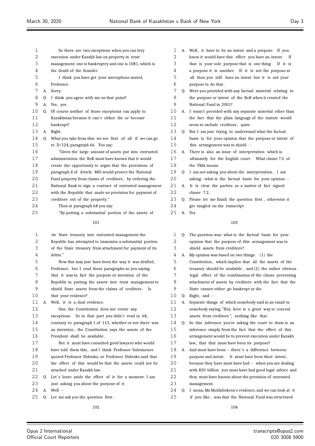| 1  |    | So there are two exceptions when you can levy            |
|----|----|----------------------------------------------------------|
| 2  |    | execution under Kazakh law on property in trust          |
| 3  |    | management; one is bankruptcy and one is 1081, which is  |
| 4  |    | the death of the founder.                                |
| 5  |    | I think you have got your microphone muted,              |
| 6  |    | Professor.                                               |
| 7  | А. | Sorry.                                                   |
| 8  | 0. | I think you agree with me on that point?                 |
| 9  | А. | Yes, yes.                                                |
| 10 | 0. | Of course neither of those exceptions can apply to       |
| 11 |    | Kazakhstan because it can't either die or become         |
| 12 |    | bankrupt?                                                |
| 13 | А. | Right.                                                   |
| 14 | 0. | What you take from that we see first of all if we can go |
| 15 |    | to $D/124$ , paragraph 66. You say:                      |
| 16 |    | "Given the large amount of assets put into entrusted     |
| 17 |    | administration the RoK must have known that it would     |
| 18 |    | create the opportunity to argue that the provisions of   |
| 19 |    | paragraph 4 of Article 885 would protect the National    |
| 20 |    | Fund property from claims of creditors, by ordering the  |
| 21 |    | National Bank to sign a contract of entrusted management |
| 22 |    | with the Republic that made no provision for payment of  |
| 23 |    | creditors out of the property."                          |
| 24 |    | Then at paragraph 68 you say:                            |
| 25 |    | "By putting a substantial portion of the assets of       |
|    |    | 101                                                      |
| 1  |    | its State treasury into entrusted management the         |
| っ  |    | Republic has attempted to immunise a substantial portion |

Republic has attempted to immunise a substantial portion of the State treasury from attachment for payment of its debts ." Now this may just have been the way it was drafted, Professor , but I read those paragraphs as you saying that it was in fact the purpose or intention of the Republic in putting the assets into trust management to shield State assets from the claims of creditors . Is that your evidence? A. Well, it is a dual evidence. One, the Constitution does not create any 13 exceptions. So in that part you didn't read in 68, contrary to paragraph 1 of 113, whether or not there was an intention , the Constitution says the assets of the President shall be available . But it must have consulted good lawyers who would have told them this , and I think Professor Suleimenov quoted Professor Didenko, or Professor Didenko said that the effect of this would be that the assets could not be attached under Kazakh law. 22 Q. Let's leave aside the effect of it for a moment. I am just asking you about the purpose of it . A. Well - - Q. Let me ask you the question first . 

- A. Well, it have to be an intent and a purpose. If you
- 2 know it would have this effect you have an intent. If
- 3 that is your sole purpose that is one thing. If it is
- a purpose it is another. If it is not the purpose at
- all then you still have an intent but it is not your purpose to do that .
- Q. Were you provided with any factual material relating to the purpose or intent of the RoK when it created the National Fund in 2001?
- A. I wasn't provided with any separate material other than the fact that the plain language of the statute would seem to exclude creditors , quite .
- Q. But I am just trying to understand what the factual basis is for your opinion that the purpose or intent of this arrangement was to shield - -
- A. There is also an issue of interpretation which is
- 17 ultimately for the English court. What clause 7.2 of the TMA means.
- Q. I am not asking you about the interpretation , I am
- asking: what is the factual basis for your opinion -
- A. It is clear the parties as a matter of fact signed clause 7.2.
- Q. Please let me finish the question first , otherwise it
- get tangled on the transcript .
- A. Yes.

#### 

 Q. The question was: what is the factual basis for your opinion that the purpose of this arrangement was to shield assets from creditors? A. My opinion was based on two things. (1) the Constitution , which implies that all the assets of the treasury should be available , and (2) the rather obvious legal effect of the combination of the clause preventing attachment of assets by creditors with the fact that the State cannot either go bankrupt or die . Q. Right, and  $-$  A. Separate things of which somebody said in an email to somebody saying, "Hey, here is a great way to conceal assets from creditors ", nothing like that . Q. So this inference you're asking the court to draw is an inference simply from the fact that the effect of this arrangement would be to prevent execution under Kazakh law, that that must have been its purpose? A. And must have been -- there' s a difference between 19 purpose and intent. It must have been their intent, because they have must have had -- when you are dealing with \$20 billion you must have had good legal advice and they must have known about the provision of entrusted management. Q. I mean, Ms Moldabekova's evidence, and we can look at it if you like , was that the National Fund was structured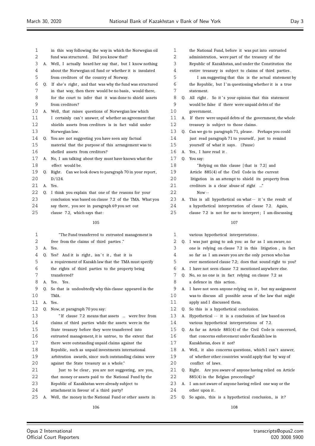| 1            |    | in this way following the way in which the Norwegian oil   | 1  |    | the National Fund, before it was put into entrusted        |
|--------------|----|------------------------------------------------------------|----|----|------------------------------------------------------------|
| 2            |    | fund was structured. Did you know that?                    | 2  |    | administration, were part of the treasury of the           |
| 3            |    | A. Well, I actually heard her say that, but I know nothing | 3  |    | Republic of Kazakhstan, and under the Constitution the     |
| 4            |    | about the Norwegian oil fund or whether it is insulated    | 4  |    | entire treasury is subject to claims of third parties.     |
| 5            |    | from creditors of the country of Norway.                   | 5  |    | I am suggesting that this is the actual statement by       |
| 6            | Q. | If she's right, and that was why the fund was structured   | 6  |    | the Republic, but I'm questioning whether it is a true     |
| 7            |    | in that way, then there would be no basis, would there,    | 7  |    | statement.                                                 |
| 8            |    | for the court to infer that it was done to shield assets   | 8  | Q. | All right. So it's your opinion that this statement        |
| 9            |    | from creditors?                                            | 9  |    | would be false if there were unpaid debts of the           |
| 10           | А. | Well, that raises questions of Norwegian law which         | 10 |    | government.                                                |
| 11           |    | I certainly can't answer, of whether an agreement that     | 11 | А. | If there were unpaid debts of the government, the whole    |
| 12           |    | shields assets from creditors is in fact valid under       | 12 |    | treasury is subject to those claims.                       |
| 13           |    | Norwegian law.                                             | 13 |    | Q. Can we go to paragraph 71, please. Perhaps you could    |
| 14           | 0. | You are not suggesting you have seen any factual           | 14 |    | just read paragraph 71 to yourself, just to remind         |
| 15           |    | material that the purpose of this arrangement was to       | 15 |    | yourself of what it says. (Pause)                          |
| 16           |    | shelled assets from creditors?                             | 16 |    | A. Yes, I have read it.                                    |
| 17           |    | A. No, I am talking about they must have known what the    | 17 | Q. | You say:                                                   |
| 18           |    | effect would be.                                           | 18 |    | "Relying on this clause [that is 7.2] and                  |
| 19           |    | Q. Right. Can we look down to paragraph 70 in your report, | 19 |    | Article 885(4) of the Civil Code in the current            |
| 20           |    | D/124.                                                     | 20 |    | litigation in an attempt to shield its property from       |
| 21           |    | A. Yes.                                                    | 21 |    | creditors is a clear abuse of right "                      |
| 22           | 0. | I think you explain that one of the reasons for your       | 22 |    | $Now -$                                                    |
| 23           |    | conclusion was based on clause 7.2 of the TMA. What you    | 23 | А. | This is all hypothetical on what -- it's the result of     |
| 24           |    | say there, you see in paragraph 69 you set out             | 24 |    | a hypothetical interpretation of clause 7.2. Again,        |
| 25           |    | clause 7.2, which says that:                               | 25 |    | clause 7.2 is not for me to interpret; I am discussing     |
|              |    | 105                                                        |    |    | 107                                                        |
|              |    |                                                            |    |    |                                                            |
| $\mathbf{1}$ |    | "The Fund transferred to entrusted management is           | 1  |    | various hypothetical interpretations.                      |
| 2            |    | free from the claims of third parties."                    | 2  |    | Q. I was just going to ask you: as far as I am aware, no   |
| 3            |    | A. Yes.                                                    | 3  |    | one is relying on clause 7.2 in this litigation, in fact   |
| 4            | Q. | Yes? And it is right, isn't it, that it is                 | 4  |    | so far as I am aware you are the only person who has       |
| 5            |    | a requirement of Kazakh law that the TMA must specify      | 5  |    | ever mentioned clause 7.2; does that sound right to you?   |
| 6            |    | the rights of third parties to the property being          | 6  |    | A. I have not seen clause 7.2 mentioned anywhere else.     |
| 7            |    | transferred?                                               | 7  |    | Q. No, so no one is in fact relying on clause 7.2 as       |
| 8            | Α. | Yes. Yes.                                                  | 8  |    | a defence in this action.                                  |
| 9            | Q. | So that is undoubtedly why this clause appeared in the     | 9  |    | A. I have not seen anyone relying on it, but my assignment |
| 10           |    | TMA.                                                       | 10 |    | was to discuss all possible areas of the law that might    |
| 11           | А. | Yes.                                                       | 11 |    | apply and I discussed them.                                |
| 12           | 0. | Now, at paragraph 70 you say:                              | 12 |    | Q. So this is a hypothetical conclusion.                   |
| 13           |    | "If clause 7.2 means that assets  were free from           | 13 |    | A. Hypothetical -- it is a conclusion of law based on      |
| 14           |    | claims of third parties while the assets were in the       | 14 |    | various hypothetical interpretations of 7.2.               |
| 15           |    | State treasury before they were transferred into           | 15 | Q. | As far as Article 885(4) of the Civil Code is concerned,   |
| 16           |    | entrusted management, it is untrue, to the extent that     | 16 |    | that concerns enforcement under Kazakh law in              |
| 17           |    | there were outstanding unpaid claims against the           | 17 |    | Kazakhstan, does it not?                                   |
| 18           |    | Republic, such as unpaid investments international         | 18 | A. | Well, it also concerns questions, which I can't answer,    |
| 19           |    | arbitration awards, since such outstanding claims were     | 19 |    | of whether other countries would apply that by way of      |
| 20           |    | against the State treasury as a whole."                    | 20 |    | conflict of laws.                                          |
| 21           |    | Just to be clear, you are not suggesting, are you,         | 21 |    | Q. Right. Are you aware of anyone having relied on Article |
| 22           |    | that money or assets paid to the National Fund by the      | 22 |    | 885(4) in the Belgian proceedings?                         |
| 23           |    | Republic of Kazakhstan were already subject to             | 23 |    | A. I am not aware of anyone having relied one way or the   |
| 24           |    | attachment in favour of a third party?                     | 24 |    | other upon it.                                             |
| 25           | А. | Well, the money in the National Fund or other assets in    | 25 | Q. | So again, this is a hypothetical conclusion, is it?        |
|              |    | 106                                                        |    |    | 108                                                        |
|              |    |                                                            |    |    |                                                            |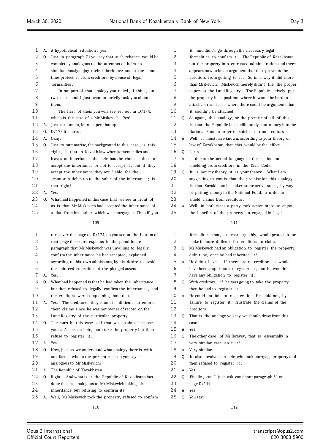| 1  | А. | A hypothetical situation, yes.                              | 1  |    | it,     |
|----|----|-------------------------------------------------------------|----|----|---------|
| 2  | Q. | Just in paragraph 71 you say that such reliance would be    | 2  |    | fori    |
| 3  |    | completely analogous to the attempts of heirs to            | 3  |    | put     |
| 4  |    | simultaneously enjoy their inheritance and at the same      | 4  |    | app     |
| 5  |    | time protect it from creditors by abuse of legal            | 5  |    | creo    |
| 6  |    | formalities.                                                | 6  |    | thar    |
| 7  |    | In support of that analogy you relied, I think, on          | 7  |    | pap     |
| 8  |    | two cases, and I just want to briefly ask you about         | 8  |    | the     |
| 9  |    | them.                                                       | 9  |    | atta    |
| 10 |    | The first of them you will see set out in $D/174$ ,         | 10 |    | it o    |
| 11 |    | which is the case of a Mr Miskevich. Yes?                   | 11 | O. | Soε     |
| 12 | А. | Just a moment, let me open that up.                         | 12 |    | is t    |
| 13 | Q. | $D/173$ it starts.                                          | 13 |    | Nati    |
| 14 | А. | Okay.                                                       | 14 | А. | Wel     |
| 15 | Q. | Just to summarise, the background to this case, is this     | 15 |    | law     |
| 16 |    | right, is that in Kazakh law when someone dies and          | 16 | Q. | Let'    |
| 17 |    | leaves an inheritance the heir has the choice either to     | 17 | А. | $- - 0$ |
| 18 |    | accept the inheritance or not to accept it, but if they     | 18 |    | shie    |
| 19 |    | accept the inheritance they are liable for the              | 19 | 0. | It i    |
| 20 |    | testator's debts up to the value of the inheritance; is     | 20 |    | sug     |
| 21 |    | that right?                                                 | 21 |    | is t    |
| 22 | А. | Yes.                                                        | 22 |    | of 1    |
| 23 | Q. | What had happened in this case that we see in front of      | 23 |    | shie    |
| 24 |    | us is that Mr Miskevich had accepted the inheritance of     | 24 | А. | Wel     |
| 25 |    | a flat from his father which was mortgaged. Then if you     | 25 |    | the     |
|    |    | 109                                                         |    |    |         |
|    |    |                                                             |    |    |         |
| 1  |    | turn over the page to $D/174$ , do you see at the bottom of | 1  |    | fori    |
| 2  |    | that page the court explains in the penultimate             | 2  |    | mak     |
| 3  |    | paragraph that Mr Miskevich was unwilling to legally        | 3  | 0. | Mr l    |
| 4  |    | confirm the inheritance he had accepted, explained,         | 4  |    | didi    |
| 5  |    | according to his own admissions, by his desire to avoid     | 5  | А. | He o    |
| 6  |    | the enforced collection of the pledged assets.              | 6  |    | hav     |
| 7  | А. | Yes.                                                        | 7  |    | hav     |
| ୪  | Q. | What had happened is that he had taken the inheritance      | 8  | Q. | Wit     |
| 9  |    | but then refused to legally confirm the inheritance, and    | 9  |    | ther    |
| 10 |    | the creditors were complaining about that.                  | 10 | А. | He o    |
| 11 | А. | The creditors, they found it difficult to enforce<br>Yes.   | 11 |    | fail    |
| 12 |    | their claims since he was not owner of record on the        | 12 |    | creo    |
| 13 |    | Land Registry of the particular property.                   | 13 | Q. | Tha     |
| 14 | Q. | The court in this case said that was an abuse because       | 14 |    | case    |
| 15 |    | you can't, as an heir, both take the property but then      | 15 | А. | Yes.    |
| 16 |    | refuse to register it.                                      | 16 | 0. | The     |
| 17 | А. | Yes.                                                        | 17 |    | very    |
| 18 | Q. | Now, just so we understand what analogy there is with       | 18 | А. | Very    |
| 19 |    | our facts, who in the present case do you say is            | 19 | Q. | Itε     |
| 20 |    | analogous to Mr Miskevich?                                  | 20 |    | ther    |
| 21 | А. | The Republic of Kazakhstan.                                 | 21 | А. | Yes.    |
| 22 | Q. | Right. And what is it the Republic of Kazakhstan has        | 22 | Q. | Fin     |
| 23 |    | done that is analogous to Mr Miskevich taking his           | 23 |    | pag     |
| 24 |    | inheritance but refusing to confirm it?                     | 24 | А. | Yes.    |

A. Well, Mr Miskevich took the property, refused to confirm

| 1  |    | it, and didn't go through the necessary legal            |
|----|----|----------------------------------------------------------|
| 2  |    | formalities to confirm it. The Republic of Kazakhstan    |
| 3  |    | put the property into entrusted administration and there |
| 4  |    | appears now to be an argument that that prevents the     |
| 5  |    | creditors from getting to it. So in a way it did more    |
| 6  |    | than Miskevich. Miskevich merely didn't file the proper  |
| 7  |    | papers at the Land Registry. The Republic actively put   |
| 8  |    | the property in a position where it would be hard to     |
| 9  |    | attach, or at least where there could be arguments that  |
| 10 |    | it couldn't be attached.                                 |
| 11 | 0. | So again, this analogy, or the premise of all of this,   |
| 12 |    | is that the Republic has deliberately put money into the |
| 13 |    | National Fund in order to shield it from creditors.      |
| 14 | А. | Well, it must have known, according to your theory of    |
| 15 |    | law of Kazakhstan, that this would be the effect --      |
| 16 | 0. | Let's $-$                                                |
| 17 | А. | -- due to the actual language of the section on          |
| 18 |    | shielding from creditors in the Civil Code.              |
| 19 | Q. | It is not my theory, it is your theory. What I am        |
| 20 |    | suggesting to you is that the premise for this analogy   |
| 21 |    | is that Kazakhstan has taken some active steps, by way   |
| 22 |    | of putting money in the National Fund, in order to       |
| 23 |    | shield claims from creditors.                            |
| 24 | А. | Well, in both cases a party took active steps to enjoy   |
| 25 |    | the benefits of the property but engaged in legal        |
|    |    | 111                                                      |
|    |    |                                                          |
| 1  |    | formalities that, at least arguably, would protect it or |
| 2  |    | make it more difficult for creditors to claim.           |
| 3  | O. | Mr Miskevich had an obligation to register the property, |
| 4  |    | didn't he, once he had inherited it?                     |
| 5  | А. | He didn't have -- if there are no creditors it would     |
| 6  |    | have been stupid not to register it, but he wouldn't     |
| 7  |    | have any obligation to register it.                      |

- ith creditors, if he was going to take the property en he had to register it .
- could not fail to register it. He could not, by ilure to register it, frustrate the claims of the editors .
- at is the analogy you say we should draw from this se.
- 16 acther case, of Mr Ibrayev, that is essentially a
	- ry similar case isn't it?
- ry similar.
- also involved an heir who took mortgage property and
- en refused to register it .
- nally , can I just ask you about paragraph 51 on
- ge D/119.
- 
- Q. You say: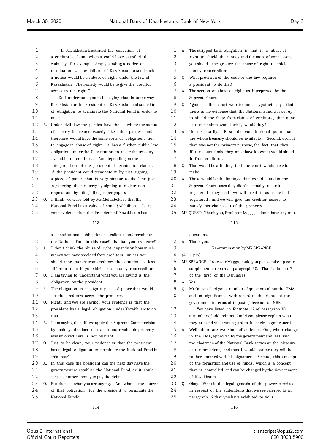| 3  |    | claim by, for example, simply sending a notice of        |
|----|----|----------------------------------------------------------|
| 4  |    | termination  the failure of Kazakhstan to send such      |
| 5  |    | a notice would be an abuse of right under the law of     |
| 6  |    | Kazakhstan. The remedy would be to give the creditor     |
| 7  |    | access to the right."                                    |
| 8  |    | Do I understand you to be saying that in some way        |
| 9  |    | Kazakhstan or the President of Kazakhstan had some kind  |
| 10 |    | of obligation to terminate the National Fund in order to |
| 11 |    | meet --                                                  |
| 12 | А. | Under civil law the parties have the -- where the status |
| 13 |    | of a party is treated exactly like other parties, and    |
| 14 |    | therefore would have the same sorts of obligations not   |
| 15 |    | to engage in abuse of right, it has a further public law |
| 16 |    | obligation under the Constitution to make the treasury   |
| 17 |    | available to creditors. And depending on the             |
| 18 |    | interpretation of the presidential termination clause,   |
| 19 |    | if the president could terminate it by just signing      |
| 20 |    | a piece of paper, that is very similar to the heir just  |
| 21 |    | registering the property by signing a registration       |
| 22 |    | request and by filing the proper papers.                 |
| 23 | 0. | I think we were told by Ms Moldabekova that the          |
| 24 |    | National Fund has a value of some \$60 billion.<br>Is it |
| 25 |    | your evidence that the President of Kazakhstan has       |
|    |    | 113                                                      |
|    |    |                                                          |
| 1  |    | a constitutional obligation to collapse and terminate    |
| 2  |    | the National Fund in this case? Is that your evidence?   |
| 3  | А. | I don't think the abuse of right depends on how much     |
| 4  |    | money you have shielded from creditors, unless you       |
| 5  |    | shield more money from creditors, the situation is less  |
| 6  |    | different than if you shield less money from creditors.  |
| 7  | Q. | I am trying to understand what you are saying is the     |
| 8  |    | obligation on the president.                             |
| 9  | А. | The obligation is to sign a piece of paper that would    |
| 10 |    | let the creditors access the property.                   |
| 11 | 0. | Right, and you are saying, your evidence is that the     |

 " If Kazakhstan frustrated the collection of 2 a creditor's claim, when it could have satisfied the

 president has a legal obligation under Kazakh law to do that .

- A. I am saying that if we apply the Supreme Court decisions by analogy, the fact that a lot more valuable property was involved here is not relevant .
- Q. Just to be clear , your evidence is that the president has a legal obligation to terminate the National Fund in this case?
- A. In this case the president can the next day have the government re-establish the National Fund, or it could
- just use other money to pay the debt.
- 23 Q. But that is what you are saying. And what is the source
- of that obligation , for the president to terminate the National Fund?
- A. The stripped back obligation is that it is abuse of
- 2 right to shield the money, and the more of your assets
- you shield , the greater the abuse of right to shield
- money from creditors.
- Q. What provision of the code or the law requires
- a president to do that?
- A. The section on abuse of right as interpreted by the Supreme Court.
- 9 Q. Again, if this court were to find, hypothetically, that there is no evidence that the National Fund was set up to shield the State from claims of creditors , then none
- 12 of these points would arise, would they?
- 13 A. Not necessarily . First, the constitutional point that 14 the whole treasury should be available . Second, even if
- that was not the primary purpose, the fact that they -
- 16 if the court finds they must have known it would shield
- it from creditors .
- Q. That would be a finding that the court would have to make.
- A. Those would be the findings that would -- and in the 21 Supreme Court cases they didn't actually make it
- registered , they said: we will treat it as if he had
- registered , and we will give the creditor access to
- satisfy his claims out of the property.
- MR QUEST: Thank you, Professor Maggs, I don't have any more

- questions.
- A. Thank you. Re-examination by MR SPRANGE
- (4.11 pm)
- MR SPRANGE: Professor Maggs, could you please take up your
- supplemental report at paragraph 30. That is in tab 7
- of the first of the D bundles.
- A. Yes.
- Q. Mr Quest asked you a number of questions about the TMA
- and its significance with regard to the rights of the
- government in terms of imposing decision on NBK.
- You have listed in footnote 12 of paragraph 30 a number of addendums. Could you please explain what
- 14 they are and what you regard to be their significance?
- A. Well, there are two kinds of addenda. One, where change
- in the TMA, approved by the government and, as I said ,
- the chairman of the National Bank serves at the pleasure
- of the president, and thus I would assume they will be
- rubber stamped with his signature . Second, this concept
- of the formation and use of funds, which is a concept
- that is controlled and can be changed by the Government of Kazakhstan.
- Q. Okay. What is the legal genesis of the power exercised in respect of the addendums that we see referred to in paragraph 12 that you have exhibited to your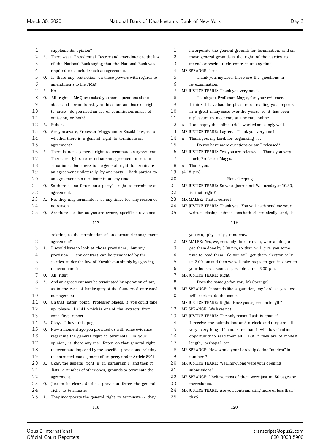| 1<br>supplemental opinion?<br>2<br>There was a Presidential Decree and amendment to the law<br>А.<br>3<br>of the National Bank saying that the National Bank was<br>4<br>required to conclude such an agreement.<br>5<br>Is there any restriction on those powers with regards to<br>Q.<br>6<br>amendments to the TMA?<br>7<br>А.<br>No.<br>8<br>All right. Mr Quest asked you some questions about<br>Q.<br>9<br>abuse and I want to ask you this: for an abuse of right<br>10<br>to arise, do you need an act of commission, an act of<br>11<br>omission, or both?<br>$12 \overline{)}$<br>Either.<br>А.<br>13<br>Are you aware, Professor Maggs, under Kazakh law, as to<br>0.<br>14<br>whether there is a general right to terminate an<br>15<br>agreement?<br>16<br>There is not a general right to terminate an agreement.<br>А.<br>17<br>There are rights to terminate an agreement in certain<br>18<br>situations, but there is no general right to terminate<br>19<br>an agreement unilaterally by one party. Both parties to<br>20<br>an agreement can terminate it at any time.<br>21<br>So there is no fetter on a party's right to terminate an<br>Q.<br>22<br>agreement.<br>23<br>No, they may terminate it at any time, for any reason or<br>A.<br>24<br>no reason.<br>25<br>Are there, as far as you are aware, specific provisions<br>Q.<br>117<br>1<br>relating to the termination of an entrusted management<br>2<br>agreement?<br>3<br>I would have to look at those provisions, but any<br>А.<br>4<br>provision -- any contract can be terminated by the<br>5<br>parties under the law of Kazakhstan simply by agreeing<br>6<br>to terminate it.<br>7<br>All right.<br>Q.<br>8<br>And an agreement may be terminated by operation of law,<br>А.<br>9<br>as in the case of bankruptcy of the founder of entrusted<br>10<br>management.<br>11<br>On that latter point, Professor Maggs, if you could take<br>Q.<br>12<br>up, please, $D/141$ , which is one of the extracts from<br>13<br>your first report.<br>14<br>Okay. I have this page.<br>А.<br>15<br>Now a moment ago you provided us with some evidence<br>Q.<br>16<br>regarding the general right to terminate. In your<br>17<br>opinion, is there any real fetter on that general right<br>18<br>to terminate imposed by the specific provisions relating |    |  |                                                        |  |  |  |  |
|-----------------------------------------------------------------------------------------------------------------------------------------------------------------------------------------------------------------------------------------------------------------------------------------------------------------------------------------------------------------------------------------------------------------------------------------------------------------------------------------------------------------------------------------------------------------------------------------------------------------------------------------------------------------------------------------------------------------------------------------------------------------------------------------------------------------------------------------------------------------------------------------------------------------------------------------------------------------------------------------------------------------------------------------------------------------------------------------------------------------------------------------------------------------------------------------------------------------------------------------------------------------------------------------------------------------------------------------------------------------------------------------------------------------------------------------------------------------------------------------------------------------------------------------------------------------------------------------------------------------------------------------------------------------------------------------------------------------------------------------------------------------------------------------------------------------------------------------------------------------------------------------------------------------------------------------------------------------------------------------------------------------------------------------------------------------------------------------------------------------------------------------------------------------------------------------------------------------------------------------------------------------------------------------------------------------------------------------|----|--|--------------------------------------------------------|--|--|--|--|
|                                                                                                                                                                                                                                                                                                                                                                                                                                                                                                                                                                                                                                                                                                                                                                                                                                                                                                                                                                                                                                                                                                                                                                                                                                                                                                                                                                                                                                                                                                                                                                                                                                                                                                                                                                                                                                                                                                                                                                                                                                                                                                                                                                                                                                                                                                                                         |    |  |                                                        |  |  |  |  |
|                                                                                                                                                                                                                                                                                                                                                                                                                                                                                                                                                                                                                                                                                                                                                                                                                                                                                                                                                                                                                                                                                                                                                                                                                                                                                                                                                                                                                                                                                                                                                                                                                                                                                                                                                                                                                                                                                                                                                                                                                                                                                                                                                                                                                                                                                                                                         |    |  |                                                        |  |  |  |  |
|                                                                                                                                                                                                                                                                                                                                                                                                                                                                                                                                                                                                                                                                                                                                                                                                                                                                                                                                                                                                                                                                                                                                                                                                                                                                                                                                                                                                                                                                                                                                                                                                                                                                                                                                                                                                                                                                                                                                                                                                                                                                                                                                                                                                                                                                                                                                         |    |  |                                                        |  |  |  |  |
|                                                                                                                                                                                                                                                                                                                                                                                                                                                                                                                                                                                                                                                                                                                                                                                                                                                                                                                                                                                                                                                                                                                                                                                                                                                                                                                                                                                                                                                                                                                                                                                                                                                                                                                                                                                                                                                                                                                                                                                                                                                                                                                                                                                                                                                                                                                                         |    |  |                                                        |  |  |  |  |
|                                                                                                                                                                                                                                                                                                                                                                                                                                                                                                                                                                                                                                                                                                                                                                                                                                                                                                                                                                                                                                                                                                                                                                                                                                                                                                                                                                                                                                                                                                                                                                                                                                                                                                                                                                                                                                                                                                                                                                                                                                                                                                                                                                                                                                                                                                                                         |    |  |                                                        |  |  |  |  |
|                                                                                                                                                                                                                                                                                                                                                                                                                                                                                                                                                                                                                                                                                                                                                                                                                                                                                                                                                                                                                                                                                                                                                                                                                                                                                                                                                                                                                                                                                                                                                                                                                                                                                                                                                                                                                                                                                                                                                                                                                                                                                                                                                                                                                                                                                                                                         |    |  |                                                        |  |  |  |  |
|                                                                                                                                                                                                                                                                                                                                                                                                                                                                                                                                                                                                                                                                                                                                                                                                                                                                                                                                                                                                                                                                                                                                                                                                                                                                                                                                                                                                                                                                                                                                                                                                                                                                                                                                                                                                                                                                                                                                                                                                                                                                                                                                                                                                                                                                                                                                         |    |  |                                                        |  |  |  |  |
|                                                                                                                                                                                                                                                                                                                                                                                                                                                                                                                                                                                                                                                                                                                                                                                                                                                                                                                                                                                                                                                                                                                                                                                                                                                                                                                                                                                                                                                                                                                                                                                                                                                                                                                                                                                                                                                                                                                                                                                                                                                                                                                                                                                                                                                                                                                                         |    |  |                                                        |  |  |  |  |
|                                                                                                                                                                                                                                                                                                                                                                                                                                                                                                                                                                                                                                                                                                                                                                                                                                                                                                                                                                                                                                                                                                                                                                                                                                                                                                                                                                                                                                                                                                                                                                                                                                                                                                                                                                                                                                                                                                                                                                                                                                                                                                                                                                                                                                                                                                                                         |    |  |                                                        |  |  |  |  |
|                                                                                                                                                                                                                                                                                                                                                                                                                                                                                                                                                                                                                                                                                                                                                                                                                                                                                                                                                                                                                                                                                                                                                                                                                                                                                                                                                                                                                                                                                                                                                                                                                                                                                                                                                                                                                                                                                                                                                                                                                                                                                                                                                                                                                                                                                                                                         |    |  |                                                        |  |  |  |  |
|                                                                                                                                                                                                                                                                                                                                                                                                                                                                                                                                                                                                                                                                                                                                                                                                                                                                                                                                                                                                                                                                                                                                                                                                                                                                                                                                                                                                                                                                                                                                                                                                                                                                                                                                                                                                                                                                                                                                                                                                                                                                                                                                                                                                                                                                                                                                         |    |  |                                                        |  |  |  |  |
|                                                                                                                                                                                                                                                                                                                                                                                                                                                                                                                                                                                                                                                                                                                                                                                                                                                                                                                                                                                                                                                                                                                                                                                                                                                                                                                                                                                                                                                                                                                                                                                                                                                                                                                                                                                                                                                                                                                                                                                                                                                                                                                                                                                                                                                                                                                                         |    |  |                                                        |  |  |  |  |
|                                                                                                                                                                                                                                                                                                                                                                                                                                                                                                                                                                                                                                                                                                                                                                                                                                                                                                                                                                                                                                                                                                                                                                                                                                                                                                                                                                                                                                                                                                                                                                                                                                                                                                                                                                                                                                                                                                                                                                                                                                                                                                                                                                                                                                                                                                                                         |    |  |                                                        |  |  |  |  |
|                                                                                                                                                                                                                                                                                                                                                                                                                                                                                                                                                                                                                                                                                                                                                                                                                                                                                                                                                                                                                                                                                                                                                                                                                                                                                                                                                                                                                                                                                                                                                                                                                                                                                                                                                                                                                                                                                                                                                                                                                                                                                                                                                                                                                                                                                                                                         |    |  |                                                        |  |  |  |  |
|                                                                                                                                                                                                                                                                                                                                                                                                                                                                                                                                                                                                                                                                                                                                                                                                                                                                                                                                                                                                                                                                                                                                                                                                                                                                                                                                                                                                                                                                                                                                                                                                                                                                                                                                                                                                                                                                                                                                                                                                                                                                                                                                                                                                                                                                                                                                         |    |  |                                                        |  |  |  |  |
|                                                                                                                                                                                                                                                                                                                                                                                                                                                                                                                                                                                                                                                                                                                                                                                                                                                                                                                                                                                                                                                                                                                                                                                                                                                                                                                                                                                                                                                                                                                                                                                                                                                                                                                                                                                                                                                                                                                                                                                                                                                                                                                                                                                                                                                                                                                                         |    |  |                                                        |  |  |  |  |
|                                                                                                                                                                                                                                                                                                                                                                                                                                                                                                                                                                                                                                                                                                                                                                                                                                                                                                                                                                                                                                                                                                                                                                                                                                                                                                                                                                                                                                                                                                                                                                                                                                                                                                                                                                                                                                                                                                                                                                                                                                                                                                                                                                                                                                                                                                                                         |    |  |                                                        |  |  |  |  |
|                                                                                                                                                                                                                                                                                                                                                                                                                                                                                                                                                                                                                                                                                                                                                                                                                                                                                                                                                                                                                                                                                                                                                                                                                                                                                                                                                                                                                                                                                                                                                                                                                                                                                                                                                                                                                                                                                                                                                                                                                                                                                                                                                                                                                                                                                                                                         |    |  |                                                        |  |  |  |  |
|                                                                                                                                                                                                                                                                                                                                                                                                                                                                                                                                                                                                                                                                                                                                                                                                                                                                                                                                                                                                                                                                                                                                                                                                                                                                                                                                                                                                                                                                                                                                                                                                                                                                                                                                                                                                                                                                                                                                                                                                                                                                                                                                                                                                                                                                                                                                         |    |  |                                                        |  |  |  |  |
|                                                                                                                                                                                                                                                                                                                                                                                                                                                                                                                                                                                                                                                                                                                                                                                                                                                                                                                                                                                                                                                                                                                                                                                                                                                                                                                                                                                                                                                                                                                                                                                                                                                                                                                                                                                                                                                                                                                                                                                                                                                                                                                                                                                                                                                                                                                                         |    |  |                                                        |  |  |  |  |
|                                                                                                                                                                                                                                                                                                                                                                                                                                                                                                                                                                                                                                                                                                                                                                                                                                                                                                                                                                                                                                                                                                                                                                                                                                                                                                                                                                                                                                                                                                                                                                                                                                                                                                                                                                                                                                                                                                                                                                                                                                                                                                                                                                                                                                                                                                                                         |    |  |                                                        |  |  |  |  |
|                                                                                                                                                                                                                                                                                                                                                                                                                                                                                                                                                                                                                                                                                                                                                                                                                                                                                                                                                                                                                                                                                                                                                                                                                                                                                                                                                                                                                                                                                                                                                                                                                                                                                                                                                                                                                                                                                                                                                                                                                                                                                                                                                                                                                                                                                                                                         |    |  |                                                        |  |  |  |  |
|                                                                                                                                                                                                                                                                                                                                                                                                                                                                                                                                                                                                                                                                                                                                                                                                                                                                                                                                                                                                                                                                                                                                                                                                                                                                                                                                                                                                                                                                                                                                                                                                                                                                                                                                                                                                                                                                                                                                                                                                                                                                                                                                                                                                                                                                                                                                         |    |  |                                                        |  |  |  |  |
|                                                                                                                                                                                                                                                                                                                                                                                                                                                                                                                                                                                                                                                                                                                                                                                                                                                                                                                                                                                                                                                                                                                                                                                                                                                                                                                                                                                                                                                                                                                                                                                                                                                                                                                                                                                                                                                                                                                                                                                                                                                                                                                                                                                                                                                                                                                                         |    |  |                                                        |  |  |  |  |
|                                                                                                                                                                                                                                                                                                                                                                                                                                                                                                                                                                                                                                                                                                                                                                                                                                                                                                                                                                                                                                                                                                                                                                                                                                                                                                                                                                                                                                                                                                                                                                                                                                                                                                                                                                                                                                                                                                                                                                                                                                                                                                                                                                                                                                                                                                                                         |    |  |                                                        |  |  |  |  |
|                                                                                                                                                                                                                                                                                                                                                                                                                                                                                                                                                                                                                                                                                                                                                                                                                                                                                                                                                                                                                                                                                                                                                                                                                                                                                                                                                                                                                                                                                                                                                                                                                                                                                                                                                                                                                                                                                                                                                                                                                                                                                                                                                                                                                                                                                                                                         |    |  |                                                        |  |  |  |  |
|                                                                                                                                                                                                                                                                                                                                                                                                                                                                                                                                                                                                                                                                                                                                                                                                                                                                                                                                                                                                                                                                                                                                                                                                                                                                                                                                                                                                                                                                                                                                                                                                                                                                                                                                                                                                                                                                                                                                                                                                                                                                                                                                                                                                                                                                                                                                         |    |  |                                                        |  |  |  |  |
|                                                                                                                                                                                                                                                                                                                                                                                                                                                                                                                                                                                                                                                                                                                                                                                                                                                                                                                                                                                                                                                                                                                                                                                                                                                                                                                                                                                                                                                                                                                                                                                                                                                                                                                                                                                                                                                                                                                                                                                                                                                                                                                                                                                                                                                                                                                                         |    |  |                                                        |  |  |  |  |
|                                                                                                                                                                                                                                                                                                                                                                                                                                                                                                                                                                                                                                                                                                                                                                                                                                                                                                                                                                                                                                                                                                                                                                                                                                                                                                                                                                                                                                                                                                                                                                                                                                                                                                                                                                                                                                                                                                                                                                                                                                                                                                                                                                                                                                                                                                                                         |    |  |                                                        |  |  |  |  |
|                                                                                                                                                                                                                                                                                                                                                                                                                                                                                                                                                                                                                                                                                                                                                                                                                                                                                                                                                                                                                                                                                                                                                                                                                                                                                                                                                                                                                                                                                                                                                                                                                                                                                                                                                                                                                                                                                                                                                                                                                                                                                                                                                                                                                                                                                                                                         |    |  |                                                        |  |  |  |  |
|                                                                                                                                                                                                                                                                                                                                                                                                                                                                                                                                                                                                                                                                                                                                                                                                                                                                                                                                                                                                                                                                                                                                                                                                                                                                                                                                                                                                                                                                                                                                                                                                                                                                                                                                                                                                                                                                                                                                                                                                                                                                                                                                                                                                                                                                                                                                         |    |  |                                                        |  |  |  |  |
|                                                                                                                                                                                                                                                                                                                                                                                                                                                                                                                                                                                                                                                                                                                                                                                                                                                                                                                                                                                                                                                                                                                                                                                                                                                                                                                                                                                                                                                                                                                                                                                                                                                                                                                                                                                                                                                                                                                                                                                                                                                                                                                                                                                                                                                                                                                                         |    |  |                                                        |  |  |  |  |
|                                                                                                                                                                                                                                                                                                                                                                                                                                                                                                                                                                                                                                                                                                                                                                                                                                                                                                                                                                                                                                                                                                                                                                                                                                                                                                                                                                                                                                                                                                                                                                                                                                                                                                                                                                                                                                                                                                                                                                                                                                                                                                                                                                                                                                                                                                                                         |    |  |                                                        |  |  |  |  |
|                                                                                                                                                                                                                                                                                                                                                                                                                                                                                                                                                                                                                                                                                                                                                                                                                                                                                                                                                                                                                                                                                                                                                                                                                                                                                                                                                                                                                                                                                                                                                                                                                                                                                                                                                                                                                                                                                                                                                                                                                                                                                                                                                                                                                                                                                                                                         |    |  |                                                        |  |  |  |  |
|                                                                                                                                                                                                                                                                                                                                                                                                                                                                                                                                                                                                                                                                                                                                                                                                                                                                                                                                                                                                                                                                                                                                                                                                                                                                                                                                                                                                                                                                                                                                                                                                                                                                                                                                                                                                                                                                                                                                                                                                                                                                                                                                                                                                                                                                                                                                         |    |  |                                                        |  |  |  |  |
|                                                                                                                                                                                                                                                                                                                                                                                                                                                                                                                                                                                                                                                                                                                                                                                                                                                                                                                                                                                                                                                                                                                                                                                                                                                                                                                                                                                                                                                                                                                                                                                                                                                                                                                                                                                                                                                                                                                                                                                                                                                                                                                                                                                                                                                                                                                                         |    |  |                                                        |  |  |  |  |
|                                                                                                                                                                                                                                                                                                                                                                                                                                                                                                                                                                                                                                                                                                                                                                                                                                                                                                                                                                                                                                                                                                                                                                                                                                                                                                                                                                                                                                                                                                                                                                                                                                                                                                                                                                                                                                                                                                                                                                                                                                                                                                                                                                                                                                                                                                                                         |    |  |                                                        |  |  |  |  |
|                                                                                                                                                                                                                                                                                                                                                                                                                                                                                                                                                                                                                                                                                                                                                                                                                                                                                                                                                                                                                                                                                                                                                                                                                                                                                                                                                                                                                                                                                                                                                                                                                                                                                                                                                                                                                                                                                                                                                                                                                                                                                                                                                                                                                                                                                                                                         |    |  |                                                        |  |  |  |  |
|                                                                                                                                                                                                                                                                                                                                                                                                                                                                                                                                                                                                                                                                                                                                                                                                                                                                                                                                                                                                                                                                                                                                                                                                                                                                                                                                                                                                                                                                                                                                                                                                                                                                                                                                                                                                                                                                                                                                                                                                                                                                                                                                                                                                                                                                                                                                         |    |  |                                                        |  |  |  |  |
|                                                                                                                                                                                                                                                                                                                                                                                                                                                                                                                                                                                                                                                                                                                                                                                                                                                                                                                                                                                                                                                                                                                                                                                                                                                                                                                                                                                                                                                                                                                                                                                                                                                                                                                                                                                                                                                                                                                                                                                                                                                                                                                                                                                                                                                                                                                                         |    |  |                                                        |  |  |  |  |
|                                                                                                                                                                                                                                                                                                                                                                                                                                                                                                                                                                                                                                                                                                                                                                                                                                                                                                                                                                                                                                                                                                                                                                                                                                                                                                                                                                                                                                                                                                                                                                                                                                                                                                                                                                                                                                                                                                                                                                                                                                                                                                                                                                                                                                                                                                                                         |    |  |                                                        |  |  |  |  |
|                                                                                                                                                                                                                                                                                                                                                                                                                                                                                                                                                                                                                                                                                                                                                                                                                                                                                                                                                                                                                                                                                                                                                                                                                                                                                                                                                                                                                                                                                                                                                                                                                                                                                                                                                                                                                                                                                                                                                                                                                                                                                                                                                                                                                                                                                                                                         |    |  |                                                        |  |  |  |  |
|                                                                                                                                                                                                                                                                                                                                                                                                                                                                                                                                                                                                                                                                                                                                                                                                                                                                                                                                                                                                                                                                                                                                                                                                                                                                                                                                                                                                                                                                                                                                                                                                                                                                                                                                                                                                                                                                                                                                                                                                                                                                                                                                                                                                                                                                                                                                         |    |  |                                                        |  |  |  |  |
|                                                                                                                                                                                                                                                                                                                                                                                                                                                                                                                                                                                                                                                                                                                                                                                                                                                                                                                                                                                                                                                                                                                                                                                                                                                                                                                                                                                                                                                                                                                                                                                                                                                                                                                                                                                                                                                                                                                                                                                                                                                                                                                                                                                                                                                                                                                                         |    |  |                                                        |  |  |  |  |
|                                                                                                                                                                                                                                                                                                                                                                                                                                                                                                                                                                                                                                                                                                                                                                                                                                                                                                                                                                                                                                                                                                                                                                                                                                                                                                                                                                                                                                                                                                                                                                                                                                                                                                                                                                                                                                                                                                                                                                                                                                                                                                                                                                                                                                                                                                                                         | 19 |  | to entrusted management of property under Article 891? |  |  |  |  |

- A. Okay, the general right is in paragraph 1, and then it lists a number of other ones, grounds to terminate the agreement.
- Q. Just to be clear , do those provision fetter the general right to terminate?

25 A. They incorporate the general right to terminate -- they

| $\mathbf 1$ | incorporate the general grounds for termination, and on   |
|-------------|-----------------------------------------------------------|
| 2           | those general grounds is the right of the parties to      |
| 3           | amend or rescind their contract at any time.              |
| 4           | MR SPRANGE: I see.                                        |
| 5           | Thank you, my Lord, those are the questions in            |
| 6           | re-examination.                                           |
| 7           | MR JUSTICE TEARE: Thank you very much.                    |
| 8           | Thank you, Professor Maggs, for your evidence.            |
| 9           | I think I have had the pleasure of reading your reports   |
| 10          | in a great many cases over the years, so it has been      |
| 11          | a pleasure to meet you, at any rate online.               |
| 12          | I am happy the online trial worked amazingly well.<br>A.  |
| 13          | MR JUSTICE TEARE: I agree. Thank you very much.           |
| 14          | Thank you, my Lord, for organising it.<br>А.              |
| 15          | Do you have more questions or am I released?              |
| 16          | MR JUSTICE TEARE: Yes, you are released. Thank you very   |
| 17          | much, Professor Maggs.                                    |
| 18          | Thank you.<br>А.                                          |
| 19          | $(4.18 \text{ pm})$                                       |
| 20          | Housekeeping                                              |
| 21          | MR JUSTICE TEARE: So we adjourn until Wednesday at 10.30, |
| 22          | is that right?                                            |
| 23          | MR MALEK: That is correct.                                |
| 24          | MR JUSTICE TEARE: Thank you. You will each send me your   |
| 25          | written closing submissions both electronically and, if   |
|             | 119                                                       |
|             |                                                           |

| 1  | you can, physically, tomorrow.                              |
|----|-------------------------------------------------------------|
| 2  | MR MALEK: Yes, we, certainly in our team, were aiming to    |
| 3  | get them done by 3.00 pm, so that will give you some        |
| 4  | time to read them. So you will get them electronically      |
| 5  | at 3.00 pm and then we will take steps to get it down to    |
| 6  | your house as soon as possible after 3.00 pm.               |
| 7  | MR JUSTICE TEARE: Right.                                    |
| 8  | Does the same go for you, Mr Sprange?                       |
| 9  | MR SPRANGE: It sounds like a gauntlet, my Lord, so yes, we  |
| 10 | will seek to do the same.                                   |
| 11 | MR JUSTICE TEARE: Right. Have you agreed on length?         |
| 12 | MR SPRANGE: We have not.                                    |
| 13 | MR JUSTICE TEARE: The only reason I ask is that if          |
| 14 | I receive the submissions at 3 o'clock and they are all     |
| 15 | very, very long, I'm not sure that I will have had an       |
| 16 | opportunity to read them all. But if they are of modest     |
| 17 | length, perhaps I can.                                      |
| 18 | MR SPRANGE: How would your Lordship define "modest" in      |
| 19 | numbers?                                                    |
| 20 | MR JUSTICE TEARE: Well, how long were your opening          |
| 21 | submissions?                                                |
| 22 | MR SPRANGE: I believe most of them were just on 50 pages or |
| 23 | thereabouts.                                                |
| 24 | MR JUSTICE TEARE: Are you contemplating more or less than   |
| 25 | that?                                                       |
|    |                                                             |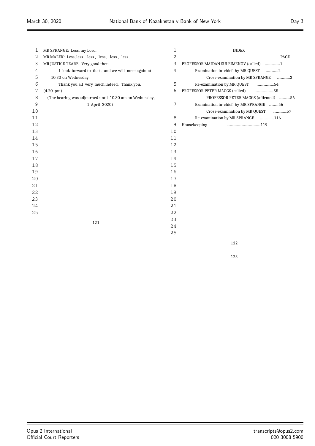| 1  | MR SPRANGE: Less, my Lord.                              | 1  | <b>INDEX</b>                           |
|----|---------------------------------------------------------|----|----------------------------------------|
| 2  | MR MALEK: Less, less, less, less, less, less.           | 2  | PAGE                                   |
| 3  | MR JUSTICE TEARE: Very good then.                       | 3  | PROFESSOR MAIDAN SULEIMENOV (called) 1 |
| 4  | I look forward to that, and we will meet again at       | 4  | Examination in-chief by MR QUEST<br>2  |
| 5  | 10.30 on Wednesday.                                     |    | Cross-examination by MR SPRANGE 3      |
| 6  | Thank you all very much indeed. Thank you.              | 5  | Re-examination by MR QUEST<br>54       |
| 7  | $(4.20 \text{ pm})$                                     | 6  | PROFESSOR PETER MAGGS (called)<br>55   |
| 8  | (The hearing was adjourned until 10.30 am on Wednesday, |    | PROFESSOR PETER MAGGS (affirmed) 56    |
| 9  | 1 April 2020)                                           | 7  | Examination in-chief by MR SPRANGE 56  |
| 10 |                                                         |    | Cross-examination by MR QUEST<br>57    |
| 11 |                                                         | 8  | Re-examination by MR SPRANGE 116       |
| 12 |                                                         | 9  | Housekeeping                           |
| 13 |                                                         | 10 |                                        |
| 14 |                                                         | 11 |                                        |
| 15 |                                                         | 12 |                                        |
| 16 |                                                         | 13 |                                        |
| 17 |                                                         | 14 |                                        |
| 18 |                                                         | 15 |                                        |
| 19 |                                                         | 16 |                                        |
| 20 |                                                         | 17 |                                        |
| 21 |                                                         | 18 |                                        |
| 22 |                                                         | 19 |                                        |
| 23 |                                                         | 20 |                                        |
| 24 |                                                         | 21 |                                        |
| 25 |                                                         | 22 |                                        |
|    | 121                                                     | 23 |                                        |
|    |                                                         | 24 |                                        |
|    |                                                         | 25 |                                        |
|    |                                                         |    |                                        |

 $\equiv$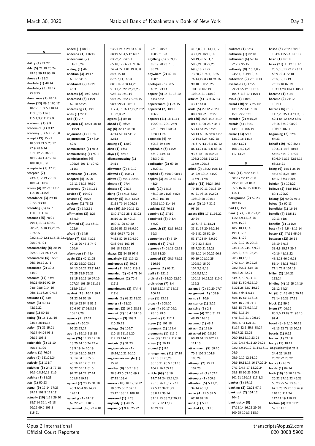**A**

**ability (1)** 21:22 **able (5)** 21:19 28:24 29:18 59:19 93:10 **above (1)** 83:2 **absolute (1)** 48:14 **absolutely (3)** 48:17 75:8,25 **abundance (1)** 28:14 **abuse (13)** 89:5 100:17 107:21 109:5 110:14 113:5,15 114:3 115:1,3,7 117:9,9 **academic (1)** 9:9 **academics (1)** 9:12 **academy (3)** 6:21 7:5,8 **accept (19)** 15:21 18:5,23 21:5 23:17 27:9 28:6,14 31:1,12,22 36:21 40:19 44:1 47:2,14 109:18,18,19 **acceptable (1)** 47:25 **accepted (7)** 73:4,7,12,19 79:18 109:24 110:4 **access (4)** 32:22 113:7 114:10 115:23 **accordance (3)** 29:16 91:22 93:16 **according (3)** 47:7 110:5 111:14 **account (25)** 78:21 79:11,13,23 89:23 90:3,6,16,18,19,23,25 91:6,25 92:2,5,10,12,14,16,18,23,24 95:10 97:24 **accountability (6)** 20:19 25:4,21,24 26:17,21 **accountable (5)** 25:22 26:3,10,12 27:1 **accounted (2)** 39:2 54:10 **accounts (14)** 53:9 89:21 90:10 92:19 94:6 95:6,9,14,16 96:6,11,16,25 97:18 **accurate (1)** 53:5 **across (3)** 40:13 43:12,22 **acted (1)** 50:18 **acting (5)** 15:1 21:16 23:15 26:15,15 **action (7)** 31:15,21 40:17 94:24 95:3 96:16 108:8 **actionable (3)** 31:10 40:17 41:20 **actions (1)** 76:24 **active (2)** 111:21,24 **actively (1)** 111:7 **activities (8)** 24:3 77:18 80:3,6,8,10,13 81:9 **activity (1)** 81:21 **acts (1)** 50:23 **actual (5)** 16:14 17:25 39:11 107:5 111:17 **actually (10)** 1:11 29:10 38:7,14 39:1 45:18 50:25 69:9 105:3 115:21

**added (1)** 68:21 **addenda (1)** 116:15 **addendums (2)** 116:13,24 **adding (1)** 46:5 **addition (3)** 49:17 69:17 84:15 **additional (2)** 45:20 46:3 **address (2)** 19:2 52:18 **addressed (3)** 11:21 62:10 63:25 **addressing (1)** 19:1 **adds (1)** 22:11 **adil (1)** 2:7 **adjourn (3)** 42:24 48:18 119:21 **adjourned (1)** 121:8 **adjournment (2)** 48:24 52:5 **administered (1)** 91:3 **administering (1)** 92:1 **administration (4)** 100:23 101:17 107:2 111:3 **admissions (1)** 110:5 **adopted (4)** 15:20 16:11 78:13 79:19 **adversely (2)** 34:1,11 **advice (1)** 104:21 **adviser (1)** 50:24 **advisory (1)** 78:22 **affect (2)** 34:2,11 **affirmation (3)** 1:25 56:5,9 **affirmed (3)** 2:3 56:11 122:6 **afraid (1)** 34:5 **after (7)** 33:3 41:25 42:18,20 46:3 74:9 120:6 **afternoon (1)** 48:4 **again (21)** 42:11,25  $60.2262206325$ 64:13 69:22 73:7 74:1 75:25 78:5 79:21 88:15 89:15,16 97:19 107:24 108:25 111:11 115:9 121:4 **against (15)** 10:11 30:1 31:22,24 52:10 53:16,23 54:8 55:2 89:6 97:17 98:8,18 106:17,20 **agency (1)** 92:21 **agent (4)** 50:24 95:22,23,24 **ago (2)** 52:16 118:15 **agree (26)** 11:25 12:10 13:25 14:10,24 17:4 18:5 19:14 20:19 24:16 28:10 29:17 33:14 34:13 35:3 43:16 47:17 51:17 53:22 65:11 81:6 92:22 94:22 97:14 101:8 119:13 **agreed (7)** 23:15 34:10 48:3 65:4 90:14,22 120:11 **agreeing (4)** 14:17 69:22 76:1 118:5 **agreement (65)** 22:4,10

23:21 26:7 29:23 49:6 58:19 59:4,5,12 60:7 63:22,23 64:6,11 65:10,12 66:21 71:16 74:24 77:1 81:19 83:8 84:4,15,18 87:6,7,11,14,23 88:3,14 90:8,14,25 91:11,20,22,22,23,23 92:3,13 93:1,19 94:4,25 95:2,7 97:8,15 98:4 99:24 105:11 117:4,15,16,17,19,20,22 118:2,8,22 **agrees (1)** 89:10 **ahead (1)** 56:23 **aig (6)** 32:17 44:20 47:14 50:13 51:12 52:13 **aiming (1)** 120:2 **alien (1)** 16:3 **aliya (1)** 72:15 **allencompassing (1)** 24:14 **allowance (2)** 8:9,12 **allowed (1)** 100:24 **allows (2)** 69:17 82:10 **almaty (1)** 97:4 **almost (1)** 24:15 **along (2)** 57:16 62:2 **already (5)** 1:14 43:23 51:18 79:14 106:23 **also (30)** 2:9 10:11,12 13:9 27:22 28:1 33:22 35:10 37:15 42:13 46:9,17,20 50:20 52:16 55:23 63:9,10 65:8 69:17 72:24 74:13 82:10 89:4,10 93:8 94:6 103:16 108:18 112:19 **always (2)** 84:15 97:9 **amazingly (1)** 119:12 **ambiguous (1)** 80:23 **amend (2)** 29:10 119:3 **amended (2)** 46:4 78:24 **amendment (2)** 76:9 117:2 **amendments (3)** 47:4,4 117:6 **amends (2)** 63:22 78:20 **among (1)** 13:20 **amongst (2)** 16:2 28:18 **amount (2)** 13:4 101:16 **analogous (3)** 109:3 110:20,23 **analogy (6)** 109:7 110:18 111:11,20 112:13 114:15 **analysis (1)** 31:23 **angloamerican (4)** 15:14,16,21 16:10 **angloamericanstyle (1)** 15:20 **another (8)** 10:7 18:3 28:8 43:6 63:10 69:7 87:15 103:4 **answer (10)** 18:19,19,22 19:6,25 36:7 39:11 73:17 105:11 108:18 **answered (1)** 1:23 **anybody (1)** 40:25 **anyone (7)** 9:16 25:22

26:10 70:23 108:9,21,23 **anything (6)** 35:9,12 65:19 70:23 71:8 88:24 **anywhere (2)** 42:14 108:6 **apologies (3)** 37:5 46:25 73:14 **appear (4)** 14:21 18:10 41:3 55:2 **appearances (1)** 74:15 **appeared (2)** 10:10 106:9 **appears (11)** 18:11,14 19:20,21 20:1 25:9 28:19 39:12 50:23 82:8 111:4 **appendix (4)** 7:4 60:13,19 64:9 **applicable (7)** 14:25 43:12 44:6,13 93:3,9,13 **application (3)** 69:10 73:20,21 **applied (3)** 69:8,9 98:11 **applies (3)** 24:22 40:13 43:24 **apply (10)** 15:15 46:19,20 71:23 74:25 76:19 101:10 108:11,19 114:14 **applying (1)** 76:13 **appoint (1)** 27:10 **appointed (3)** 9:3,4 67:22 **approach (3)** 32:3 39:15 56:3 **appropriate (1)** 5:19 **approval (1)** 27:18 **approve (4)** 61:13 62:13 65:8 81:20 **approved (3)** 65:6 78:12 116:16 **approves (1)** 63:21 **april (1)** 121:9 **arbitral (2)** 14:20 52:10 **arbitration (7)** 8:4 13:5,12,14,17 14:17 106:19 **area (1)** 13:23 **areas (1)** 108:10 **arent (4)** 66:17 69:2 78:16 79:5 **arguably (1)** 112:1 **argue (1)** 101:18 **argument (1)** 111:4 **arguments (1)** 111:9 **arise (2)** 115:12 117:10 **arises (1)** 50:19 **around (1)** 9:1 **arrangement (11)** 17:19 29:16 31:20,20 86:10,21 96:5 103:15 104:2,16 105:15 **article (69)** 13:19 14:7,14 24:13,21,24 25:13 26:16,17 27:1 29:5,17 34:21,22 35:8,11 36:14 37:12,13 38:2,7,20,25 39:1,7,12,17,19 40:21,23

41:2,8,9,11,13,14,17 43:7,21 46:10,18 50:19,20 51:1,7 58:5,21 68:22,25 69:5,10 71:22 73:20,22 74:7,13,25 76:14,19 83:18 94:16 99:10 100:20,25 101:19 107:19 108:15,21 118:19 **articles (4)** 17:6 37:23 43:17 44:8 **aside (5)** 29:12 70:20 88:7 90:22 102:22 **ask (36)** 2:23 4:14 5:19 8:17 11:20 28:7 35:1 53:14 54:25 57:25 58:13 60:16 66:8 67:7 72:14,18,24 73:2,18 76:3 77:13 78:5 82:12 86:13,24 87:4,6 88:16 93:3 100:18 102:25 108:2 109:8 112:22 117:9 120:13 **asked (9)** 18:22 19:6,12 34:9,9 39:14 54:22 116:9 117:8 **asking (12)** 36:24 56:5 79:15 90:13 91:18,19 97:21 98:15 102:23 103:19,20 104:14 **asset (3)** 16:7 31:2 95:20 **assets (56)** 17:11,16,22 29:24 30:6,7,8,11,18,21 33:11 37:20 39:2,16 49:5 51:25 52:10 53:17,23 54:8,9,10 70:9 82:6 83:7 85:7,20,21,22,23 86:3,12,14,20,22 96:8 99:19 101:16,25 102:8,9,15,20 104:3,5,8,13 105:8,12,16 106:13,14,22,25 110:6 115:2 **assigned (2)** 80:20 97:7 **assignment (1)** 108:9 **assist (1)** 10:9 **assistance (1)** 3:22 **assisting (1)** 2:8 **assume (4)** 27:8 31:19 48:15 116:18 **assumed (1)** 48:2 **attach (1)** 111:9 **attached (6)** 9:8,10 60:19 61:13 102:21 111:10 **attachment (5)** 69:20 70:9 102:3 104:8 106:24 **attempt (2)** 75:21 107:20 **attempted (1)** 102:2 **attempts (1)** 109:3 **attention (5)** 5:11,25 34:14 46:1,1 **audio (4)** 41:5 62:5 67:10 87:18 **audit (1)** 53:3 **audited (1)** 53:10

**auditors (1)** 53:3 **authorise (1)** 62:16 **authorised (4)** 59:14 92:7,7 95:15 **authority (9)** 7:5,7,8,9 24:2,7,18 49:10,14 **autocratic (2)** 28:10,13 **available (7)** 17:22 29:21 55:12 102:16 104:6 113:17 115:14 **avoid (1)** 110:5 **award (10)** 9:17,25 10:1 13:16,22 14:16,18 15:1 29:7 52:10 **awarded (2)** 9:15,23 **awards (4)** 13:23 14:10,11 106:19 **aware (13)** 5:13 13:12,16 14:14 53:9,13,21 108:2,4,21,23 117:13,25 **B back (14)** 60:2 64:18 68:9 77:2,12 78:6 79:25 81:23 84:3 85:5,16 89:15 100:15 115:1 **background (2)** 52:23 109:15 **bad (1)** 15:1 **bank (177)** 2:8 7:23,25 11:2,5,9,12,16,18 12:6,15,20 18:7,10,11,14 19:11,17,21 20:1,17,20 21:7,9,12,15 22:13 23:14,15 24:1,6,9,22 25:5,9,14,21,22,23 26:3,10,12,18 27:2,5,14,19,21,23 28:2 30:11 33:5,18 50:18,21,22,24 54:4,6,7,9,9,11,11 58:6,11 59:6,15,19 61:21,25 62:7,10,19 63:3,7 64:1,5,14 65:8,15 67:1,13,16 68:4,16 70:6 71:1 72:3,18 75:9,14,17 76:1,8,16,24 77:6,8,19,21 79:6,19 80:3,5,7,14,21,21 81:14 82:1 85:3 88:24 89:17,21,23,25 90:9,10,16,19,23,24 91:1,2,4,6,6,11,20,24,25 92:2,5,9,10,12,13,14,16, 94:6 95:6,9,10,12,14,16 96:6,10,11,13,16,17,22,24 97:1,2,4,5,17,18,22,24 98:8,18 99:23 100:1 101:21 116:17 117:3,3 **banker (1)** 67:11 **banking (2)** 92:21 97:6 **bankrupt (2)** 101:12 104:9 **bankruptcy (8)** 17:11,14,16,22 29:20 **based (5)** 28:20 30:18 104:4 105:23 108:13 **basic (1)** 82:10 **basis (21)** 11:12 18:17 20:5,10,13 22:7 23:11 58:9 70:4 72:10 73:5,12,13,19 76:13,18 87:19 103:14,20 104:1 105:7 **became (1)** 6:24 **become (2)** 21:12 101:11 **before (16)** 8:18 11:7,20 35:1 47:1,3,13 52:4 65:12 67:2 68:5 73:16 87:12 98:20 106:15 107:1 **beginning (2)** 32:4 64:23 **behalf (19)** 7:20 8:2,7 10:3,11 14:8 50:18 54:23 55:1,2 57:20 59:6,9 61:16 62:14,16 63:2,6,21 **being (9)** 14:11 35:19 45:2 49:8,25 50:4 65:17 86:3 106:6 **belgian (1)** 108:22 **believe (5)** 34:6,16,17 89:4 120:22 **belong (2)** 90:25 91:2 **below (1)** 60:13 **beneficial (1)** 16:14 **benefit (4)** 15:5,11 32:13 51:5

**benefits (1)** 111:25 **best (4)** 5:4,5 48:11,14 **better (2)** 47:11 95:24 **between (22)** 26:14 33:10 37:18 38:4,8,15,17 39:4 40:16 41:18,22 43:8,18 46:6,9,13 51:14 58:11 70:14 71:1 72:9 104:18 **billion (2)** 104:21 113:24 **binding (4)** 13:25 14:16 21:12 74:24 **bit (6)** 61:18 68:5 70:18 73:14 80:23 97:13 **block (1)** 59:2 **bnym (7)** 66:12 80:5,6,13 89:21 90:10  $97.4$ **board (8)** 9:9,10 40:13 43:13,23 78:13,20,21 **boards (1)** 9:12 **bodies (1)** 24:19 **body (11)** 18:12 1,18,49,23,242852 21:9 24:4 25:10,15 26:22,22 78:22 **bona (1)** 46:22 **bonds (1)** 84:14 **both (19)** 10:10 19:24 20:22 37:15,22 45:23 50:23,25 59:13 65:13 67:1 70:15 75:13 76:9 110:15 111:24 117:11,19 119:25 **bottom (4)** 3:9 58:25 59:1 110:1 020 3008 5900

100:25 101:3 118:9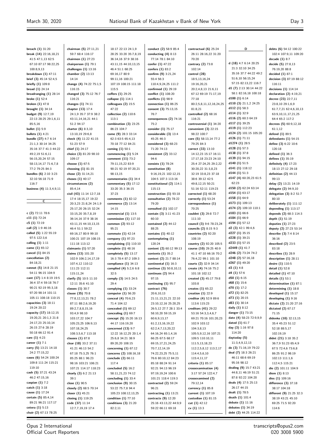**debts (6)** 54:12 100:22

**breach (1)** 31:20 **break (14)** 22:16,18,21 41:5 47:1,13 62:5 67:10 87:17 98:22,25 100:8,9,13 **breakdown (1)** 47:11 **brief (3)** 45:14 52:4,5 **briefly (1)** 109:8 **broad (1)** 24:14 **broadranging (1)** 28:14 **broke (1)** 52:4 **broken (1)** 47:8 **brought (1)** 34:14 **budget (9)** 12:7,19 22:13 28:25 29:1,6,11 85:5,16 **bullet (1)** 5:9 **bullets (1)** 4:21 **bundle (27)** 4:7 6:14 21:1,3 30:14 34:25 35:16 37:7 41:3 44:22 49:2,19 51:6,11 56:15,20,24 57:15 58:13,14,17 71:6,7,8 77:2 79:25 84:3 **bundles (6)** 2:10 3:23 32:10 56:18 71:9 116:7 **business (4)** 11:3,4,9,11 **C c (2)** 72:11 78:6 **c11 (1)** 72:24 **c5 (1)** 72:19 **call (2)** 1:9 46:16 **called (5)** 1:22 55:19 97:5 122:3,6 **calling (1)** 1:11 **came (1)** 65:12 **cancel (1)** 84:15 **cancellation (2)** 84:18,21 **cannot (5)** 14:8 21:15 54:11 96:15 104:9 **cant (17)** 1:4 8:19 19:5 36:4 37:4 59:18 76:7 90:21 92:19 95:3,18 97:20 98:14 101:11 105:11 108:18 110:15 **capacities (3)** 18:11 19:24 20:22 **capacity (17)** 18:12,15 19:20,21 20:1,3 21:8 24:17,23 25:10,14 26:15 27:6 28:19 50:18 66:12 91:4 **care (1)** 4:23 **career (1)** 7:1 **carry (5)** 13:21 14:18 24:2 77:15,22 **cases (6)** 54:24 100:24 109:8 111:24 115:21 119:10 **cash (5)** 37:21 43:24 46:2 47:15,16 **caspian (1)** 7:2 **catch (1)** 3:18 **cause (1)** 17:24 **certain (5)** 85:4,14 89:21 96:21 117:17 **cetera (1)** 5:13 **chair (2)** 67:13 78:25

**chairman (5)** 27:11,21 59:7 68:4 116:17 **chairmen (1)** 27:23 **chairperson (1)** 79:1 **challenges (1)** 13:16 **chamber (2)** 13:13 14:14 **change (4)** 74:22 75:1,5 116:15 **changed (3)** 75:12 76:7 116:21 **changes (1)** 74:11 **chapter (13)** 17:4 24:1,9 35:7 37:9 38:2 43:11,14,16,21 44:1 51:2 94:17 **charter (6)** 8:3,10 13:10,19 29:6,8 **check (4)** 11:22 41:15 51:23 57:9 **chief (1)** 24:17 **choice (3)** 81:20 98:10 109:17 **choose (1)** 67:5 **choosing (1)** 81:15 **chose (2)** 31:14,21 **choses (1)** 40:17 **circumstances (2)** 85:4,14 **civil (43)** 11:14 12:7,18 17:4 18:15,17 19:22 20:3,23 21:8,24 24:1,9 25:17,20 26:15 32:24 33:15,20 35:7,8,19 36:14,16 37:9 38:16 43:11,15 44:10,13,15 46:4 51:1 59:22 69:16,17 80:9 99:10 100:21 107:19 108:15 111:18 113:12 **claimants (1)** 57:20 **claims (13)** 101:20 102:9 106:2,14,17,19 107:4,12 110:12 111:23 112:11 115:11,24 **clarify (5)** 10:5 11:10 12:11 35:6 41:10 **classes (1)** 30:7 **clause (35)** 70:8 77:8,12,13,21 78:2 87:11 88:2,6,19,20 89:2,7,8,8,15,16 93:4,9 98:10 103:17,22 104:7 105:23,25 106:9,13 107:18,24,25 108:3,5,6,7 113:18 **clauses (1)** 87:8 **clear (18)** 33:2 37:11 41:21 46:13 54:2 67:18 75:3,25 76:1 85:25 88:1 96:23 98:16 103:21 106:21 107:21 114:17 118:23 **clearly (3)** 6:2 21:13 39:1 **close (1)** 90:5 **closely (2)** 68:5 70:14 **closer (1)** 45:21 **closing (1)** 119:25 **code (37)** 11:14 12:7,7,19,19 17:4

18:17 22:13 24:1,9 28:25 33:20 35:7,8,19 36:14,16 37:9 38:16 43:11,15 44:10,13,15 46:4 51:1 68:25 69:16,17 80:9 99:11,16 100:21 107:19 108:15 111:18 115:5 **coffers (1)** 29:25 **collapse (1)** 114:1 **colleagues (2)** 15:5 47:22 **collection (2)** 110:6 113:1 **combination (3)** 23:25 86:23 104:7 **come (9)** 28:3 33:14 62:3 63:5 65:4,13 70:18 77:12 84:21 **coming (1)** 50:1 **commencing (1)** 5:24 **comment (11)** 73:2 79:11,15,22 83:9 90:21 92:19 97:20,21 98:13,15 **commentaries (1)** 34:4 **commentary (5)** 17:12 33:20 35:3 36:15 37:23 **comments (1)** 82:12 **commerce (2)** 13:14 14:15 **commercial (1)** 13:5 **commission (1)** 117:10 **common (2)** 93:12 95:21 **commute (1)** 42:14 **company (1)** 97:23 **complaining (1)** 110:10 **complete (1)** 48:16 **completely (5)** 13:17 16:3 78:4 87:2 109:3 **compliance (1)** 34:13 **complied (4)** 5:2,6 6:8 32:5 **comply (3)** 14:5 24:5  $29.4$ **complying (1)** 33:24 **computer (1)** 56:20 **conceal (4)** 70:6,23 71:4 104:12 **concealed (1)** 69:12 **concealing (1)** 69:7 **concept (5)** 15:20 16:13 44:17 116:19,20 **concerned (13)** 9:7 12:22 16:12,25 20:1,4 25:6,8 34:21 38:9 89:20,20 108:15 **concerning (1)** 67:12 **concerns (2)** 108:16,18 **conclude (2)** 66:11 117:4 **concluded (5)** 16:2 58:11,21,23 74:12 **concluding (1)** 33:4 **conclusion (9)** 30:15 53:22 75:7,8 94:4 105:23 108:12,13,25 **condition (1)** 77:10 **conditions (3)** 21:20 82:2,11

**conduct (2)** 58:9 85:4 **conducting (4)** 8:13 77:14 78:1 84:10 **confer (1)** 47:22 **confers (1)** 83:2 **confirm (9)** 3:21,24 55:4 56:3 110:4,9,24,25 111:2 **confirmed (1)** 29:19 **conflict (1)** 108:20 **conflicts (1)** 98:9 **connection (1)** 86:25 **consent (3)** 75:13,15 76:7 **consequences (2)** 74:16 75:2 **consider (1)** 75:17 **considerable (3)** 13:4 45:25 46:3 **considered (3)** 68:23 71:20 74:13 **consistent (2)** 33:12 94:6 **consists (1)** 78:24 **constitution (8)** 9:16,19,21 102:12,15 104:5 107:3 113:16 **constitutional (2)** 114:1 115:13 **construction (1)** 93:18 **consultative (2)** 78:22 79:20 **consulted (1)** 102:17 **contain (3)** 3:11 41:23 60:10 **contained (2)** 44:12 88:25 **contains (1)** 40:12 **contemplating (1)** 120:24 **content (2)** 60:12 99:13 **contents (1)** 35:2 **context (2)** 21:7 88:14 **continental (1)** 16:3 **continue (3)** 50:8,10,11 **continues (2)** 94:4 97:15 **continuing (1)** 95:7 **contract (76)** 20:6,10,13 21:11,13,21,21 22:10 23:10,12,16 25:20,25 26:5,12 27:7 28:1 33:4 58:10,20 59:15,19 60:6,9,13,17 61:2,13,16,19,22 62:2,4,7,13,20,22 64:16,24 65:1,4,16 66:25 67:5 68:17 69:15,17,21,24,25 70:7,12,14,19 74:22,23,25 75:5,11 76:6 80:10,12 84:23 85:18 88:24 91:14 92:21 94:13 96:19 97:19,19,24 100:6 101:21 118:4 119:3 **contracted (2)** 59:24 96:21 **contracting (1)** 13:21 **contracts (9)** 12:20 25:16 43:13,22 44:9,9 59:22 66:11 69:18

**contractual (6)** 25:24 26:11 28:16,22 31:20 70:20 **contrary (2)** 73:8 102:14 **control (28)** 18:5,13,16,24 19:16,20,21 20:2,4,8,13 21:6,11 67:12 69:19 71:17,19 77:18 80:2,5,8,11,12,16,24,25 81:8,21 **controlled (2)** 68:16 116:21 **controversial (1)** 34:20 **convenient (3)** 22:15 98:22 100:7 **core (5)** 58:13,14 77:2 79:25 84:3 **correct (33)** 13:10 14:12,23 15:17 16:11 17:17,18 23:23 24:10 25:4 27:24,25 29:2,22 30:20,22 31:3,8,23 32:19 33:8,23 37:18 38:6 39:12 42:5 49:8,12,15 50:21 51:16 52:11 119:23 **corrected (1)** 68:20 **correctly (1)** 53:24 **correspondence (1)** 70:25 **couldnt (3)** 29:8 72:7 111:10 **council (3)** 9:6 78:23,24 **councils (2)** 8:15 9:3 **countries (2)** 92:20 108:19 **country (2)** 92:20 105:5 **course (10)** 29:25 40:9 41:1 47:10 66:16 70:2 76:4,22 99:1 101:10 **courts (2)** 32:9 34:14 **create (4)** 74:16 75:2 101:18 102:12 **created (3)** 45:17 79:8 103:8 **creates (1)** 65:22 **creation (1)** 22:9 **creditor (4)** 52:9 89:6 113:6 115:23 **creditors (41)** 29:22 53:16 54:3,3,4,6,7 69:21 70:16 101:20,23 102:9 103:12 104:3,8,13 105:5,9,12,16 107:21 109:5 110:10,11 111:5,13,18,23 112:2,5,8,12 113:2,17 114:4,5,6,10 115:4,11,17 **criteria (1)** 85:17 **crossexamination (4)** 3:17 57:24 122:4,7 **crossexamined (2)** 79:12,14 **currency (1)** 85:8 **current (1)** 107:19 **custodian (1)** 81:15 **cut (1)** 42:12 **cv (1)** 13:3

**D d (18)** 4:7 6:14 20:25 21:3 32:10 34:25 35:16 37:7 44:22 49:2 51:6,10 56:15,24 57:15 82:13,22 116:7 **d1 (7)** 2:13 30:14 44:22 58:1 82:16,18 100:18 **d100 (1)** 6:14 **d110 (3)** 21:1,2 24:25 **d112 (1)** 58:3 **d114 (1)** 32:9 **d116 (2)** 60:3 64:19 **d117 (1)** 39:25 **d119 (1)** 112:23 **d124 (2)** 101:15 105:20 **d126 (1)** 71:11 **d1274 (1)** 28:5 **d128 (1)** 57:3 **d138 (1)** 37:8 **d139 (1)** 94:15 **d140 (1)** 51:5 **d141 (1)** 118:12 **d144 (1)** 51:3 **d147 (4)** 60:20,23 61:5 62:23 **d150 (2)** 62:24 63:14 **d154 (1)** 63:17 **d158 (1)** 64:9 **d173 (1)** 109:13 **d174 (2)** 109:10 110:1 **d183 (1)** 66:6 **d184 (1)** 66:9 **d194 (1)** 57:12 **d2 (3)** 42:1 99:4,6 **d227 (1)** 35:15 **d228 (1)** 39:21 **d233 (1)** 57:15 **d2449 (1)** 41:7 **d246 (2)** 73:24 74:2 **d248 (2)** 57:16,18 **d267 (1)** 49:20 **d3 (1)** 4:8 **d4 (1)** 57:6 **d50 (1)** 6:15 **d68 (1)** 15:6 **d70 (1)** 17:2 **d72 (1)** 82:25 **d73 (1)** 20:15 **d83 (1)** 30:14 **daily (1)** 8:12 **danger (1)** 73:15 **date (4)** 58:23 72:9,9,9 **dated (1)** 61:7 **day (3)** 1:16 97:8 114:20 **daytoday (5)** 11:3,4,9,12,13 **de (3)** 71:16,19 79:22 **deal (7)** 18:3 26:21 46:11 68:6 69:19 95:16 98:12 **dealing (9)** 15:7 43:21 44:8,11 46:19 51:21 87:8 92:22 104:20 **deals (4)** 17:5 25:13 26:17 44:15 **dealt (1)** 78:5 **death (1)** 101:4 **debate (1)** 11:16 **debates (1)** 34:19 **debt (2)** 44:25 114:22

102:4 107:9,11 109:20 **decade (1)** 8:7 **decide (5)** 27:8,13 76:19,20 88:8 **decided (1)** 87:1 **decision (3)** 87:19 88:12 116:11 **decisions (1)** 114:14 **declaration (2)** 4:19,21 **decree (23)** 22:7,11 23:8,10 29:1,6,9 61:7,7,21 62:4,6,10,13 63:9,10,11,17,21,25 64:4 65:2 117:2 **decrees (5)** 60:9,12,18 61:1,12 **defend (1)** 89:5 **defendants (1)** 54:15 **define (3)** 6:22 10:6 120:18 **defined (1)** 36:3 **defines (1)** 35:19 **definitely (4)** 17:23 18:13 27:12 29:18 **definition (2)** 44:13 99:13 **delay (2)** 13:21 14:19 **delegate (2)** 94:9,10 **delegation (3)** 8:2 51:7 80:10 **deliberately (1)** 111:12 **depending (1)** 113:17 **depends (2)** 68:3 114:3 **depth (1)** 51:19 **deputies (1)** 27:23 **deputy (2)** 27:23 53:14 **describe (3)** 7:4 8:14 36:16 **described (2)** 23:5 83:18 **describes (1)** 28:9 **description (1)** 28:11 **desire (1)** 110:5 **detail (1)** 52:8 **detailed (1)** 47:10 **details (1)** 53:1 **determination (1)** 87:1 **determining (1)** 18:8 **developed (1)** 15:17 **developing (1)** 9:16 **dictate (2)** 21:20 27:16 **dictated (2)** 67:17 71:15 **didenko (10)** 32:13,15 35:4 45:23 51:12 52:18 88:5,17 102:19,19 **didnt (21)** 3:18 35:2 36:7,9 51:23 65:4,9 67:5 72:4,6 73:6,8 86:25 91:2 98:19 102:13 111:1,6 112:4,5 115:21 **die (2)** 101:11 104:9 **diem (1)** 8:13 **dies (1)** 109:16 **difference (3)** 37:18 38:17 104:18 **different (9)** 21:25 32:3 38:19 43:21 45:10 69:25 71:5 92:20 114:6

Opus 2 International Official Court Reporters transcripts@opus2.com 020 3008 5900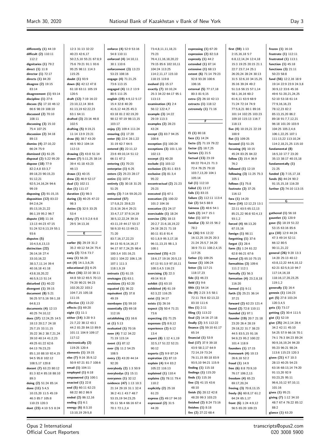| differently (1) 44:19                      | 12:3 31:13 32:22                                  | enforce (4) 52:9 53:16                      | 73:4,8,11,11,18,21                           | expressing $(1)$ 67:20                          | first $(59)$ 1:13                           | frozen $(1)$ 16:16                           |
|--------------------------------------------|---------------------------------------------------|---------------------------------------------|----------------------------------------------|-------------------------------------------------|---------------------------------------------|----------------------------------------------|
| difficult (2) 110:11                       | 40:23 42:6,17                                     | 54:8 110:11                                 | 75:23                                        | expression $(2)$ 82:3,8                         | 2:15,16,18 5:7                              | frustrate $(1)$ 112:11                       |
| 112:2                                      | 50:2,5,10 55:21 67:8,9                            | enforced (4) 14:10,11                       | 76:4,11,16,18,20,22                          | expressly $(1)$ 44:2                            | 6:8,12,14,24 12:4,18                        | frustrated $(1)$ 113:1                       |
| dignitaries (1) 79:2                       | 75:6 79:21 91:1 93:6                              | 30:1 110:6                                  | 79:15 85:6 102:10,11                         | extended (1) 87:14                              | 15:3 19:25 20:15 21:1                       | function (1) 45:18                           |
| direct (1) 11:8                            | 95:25 98:11 114:3                                 | enforcement $(3)$ 13:23<br>53:23 108:16     | 104:24 113:25                                | extensive $(1)$ 68:13<br>extent (6) 71:14 79:23 | 22:7 23:7,14 25:1<br>26:20,24 28:24 30:13   | functions $(3)$ 21:11<br>50:23 58:8          |
| director (1) 72:17<br>directs (1) 84:20    | 115:25<br>doubt (1) 93:9                          | engage (4) 71:21,25                         | 114:2,11,17 115:10<br>118:15 119:8           | 92:8 93:20 100:6                                | 31:5 32:6,10 34:15,25                       | fund (56) 12:2,16 18:9                       |
| disagree (2) 19:15                         | down (6) 42:12 47:8                               | 73:6 113:15                                 | evolved (1) 15:17                            | 106:16                                          | 35:16 39:24 49:2                            | 19:14 22:9 23:9 24:3,8                       |
| 83:14                                      | 61:18 63:11 105:19                                | engaged (4) 11:2 13:9                       | exactly (7) 10:10,24                         | external (5) 77:17,18                           | 51:3,6 56:15 57:1,14                        | 30:9,12 33:6 45:16                           |
| disagreement (1) 93:14                     | 120:5                                             | 80:5 111:25                                 | 25:3 34:22 64:17 95:1                        | 80:3 81:9,15                                    | 58:1,16,16 60:2                             | 49:6 51:20,21,24,25                          |
| discipline (1) 27:6                        | draft (12) 7:19 16:22                             | english (19) 4:9,12 5:17                    | 113:13                                       | extra (2) 26:10 42:13                           | 61:6,11 63:9 68:9                           | 52:10 53:18 61:14                            |
| discuss (5) 17:10 46:12                    | 23:10,12,14 30:6                                  | 15:4 32:8 40:20                             | examination $(4)$ 2:4                        | extracts (1) 118:12                             | 71:24 72:14 74:9                            | 77:9,16,16,23                                |
| 66:6 98:19 108:10                          | 61:13,19 62:22,23                                 | 41:6,12 44:25 45:3                          | 56:12 122:4,7                                | extremely $(1)$ 71:16                           | 77:5,8,21 80:1 89:16                        | 78:12,23 82:2                                |
| discussed (2) 70:10                        | 63:1 64:11                                        | 63:18 81:2 82:19,20                         | example (3) 14:22                            |                                                 | 101:14 102:25 103:23                        | 85:13,15,20 86:2                             |
| 108:11                                     | drafted (3) 23:16 46:8                            | 90:12 97:19 98:13,15                        | 29:19 113:3                                  | F                                               | 109:10 115:13 116:7                         | 89:18 91:7,7,12,21                           |
| discussing $(3)$ 15:10                     | 102:5                                             | 103:17                                      | examples (2) 28:23                           |                                                 | 118:13                                      | 96:18 101:20 103:9                           |
| 75:4 107:25                                | drafting $(5)$ 9:19,21                            | enjoy (2) 109:4 111:24                      | 43:24                                        | f1(1)80:18                                      | five (4) 10:19,21 22:19                     | 104:25 105:2,4,6                             |
| discussion (2) 34:18<br>89:13              | 11:14 13:9 23:21                                  | ensuring (1) 17:20                          | except (3) 83:7 94:25<br>100:6               | face (1) 14:24                                  | 100:9                                       | 106:1,22,25 107:1                            |
| dismiss (4) 27:10,22                       | draw (6) 38:7 43:20<br>46:5 90:2 104:14           | enter (6) $22:428:1,22$<br>31:19 62:7 64:5  | exception $(1)$ 100:24                       | facto (2) 71:19 79:22                           | flat (1) 109:25<br>focused $(1)$ 51:25      | 111:13,22 113:10,24<br>114:2,18,21,25 115:10 |
| 66:24 75:9                                 | 112:13                                            | entered (8) 22:11,12                        | exceptions $(3)$ 101:1,10                    | factor (2) 18:7,25                              | focusing $(4)$ 10:15                        | fundamental (8)                              |
| <b>dismissed (1)</b> 61:25                 | drawing (2) 43:8 51:14                            | 23:6 49:10,14 51:12                         | 102:13                                       | factors (1) 21:5                                | 45:24 83:25 84:22                           | 16:5,10 17:7 23:20                           |
| disposal (2) 5:22 95:20                    | drawn (7) 5:11,25 38:14                           | 66:11 67:2                                  | excerpt (1) 40:20                            | factual (13) 23:19                              | follow (3) 15:4 36:9                        | 35:13 38:17 40:15,18                         |
| dispose (18) 77:9                          | 39:4 41:18 43:23                                  | entering $(1)$ 70:23                        | exclude (1) 103:12                           | 69:22 70:4,21 71:3                              | 76:2                                        | fundamentally (1)                            |
| 82:2,4,8 83:3,7                            | 46:13                                             | enterprise $(1)$ 6:25                       | exclusion (2) 81:1 83:5                      | 72:4 76:25 79:10                                | followed (1) 12:19                          | 21:25                                        |
| 89:18,23 90:15,23                          | draws (1) 40:15                                   | enters (2) 25:23 28:17                      | exclusive (3) 81:3,4                         | 103:7,13,20 104:1                               | following (3) 11:25 75:3                    | funded (3) 7:15,17,18                        |
| 91:12,21                                   | drew (2) 46:9 52:17                               | entire (1) 107:4                            | 95:22                                        | 105:14                                          | 105:1                                       | funds $(6)$ 44:24 90:2                       |
| 92:5,14,16,24 94:6                         | dual $(1)$ 102:11                                 | entirely (3) 30:18 31:25                    | excontractual (2) 21:23                      | fail (1) 112:10                                 | follows $(1)$ 75:8                          | 91:15,15,18 116:20                           |
| 99:19                                      | due (1) 111:17                                    | 51:25                                       | 25:23                                        | failed (1) 13:17                                | footnote (2) 37:25                          | further (2) 74:10 113:15                     |
| disposing (2) 91:15,15                     | duration $(1)$ 98:3                               | entity (3) 7:14 59:20,23                    | executed $(1)$ 67:1                          | fails (1) 83:15                                 | 116:12                                      |                                              |
| disposition (12) 83:22                     | during (3) 40:25 47:22                            | entrusted (57)                              | execution (3) 100:22                         | failure (2) 112:11 113:4                        | fora (1) 14:20                              | G                                            |
| 84:2,6,24                                  | 98:3                                              | 17:5,8,21 20:8,23                           | 101:2 104:16                                 | fair (2) 54:5 88:9<br>fairness (2) 48:6 54:1    | force (14) 12:12,23 13:1                    |                                              |
| 85:13,19,21,22                             | duties (3) 32:5 33:25                             | 21:8,16 26:4 29:21                          | executive $(1)$ 24:17                        | faith (2) 14:7 15:1                             | 22:11 63:5 65:12,13                         | gathered (1) 56:18                           |
| 86:1,19 95:2 96:7<br>dispute (10) 11:16    | 53:4<br>duty (7) 4:3 5:2,6 6:8                    | 33:4,7,17 37:9,14,19<br>38:5,12,22,24 39:16 | exercisable (1) 18:24<br>exercise (25) 18:13 | false (1) 107:9                                 | 85:21,22 90:8 92:4,13<br>93:1,2             | gauntlet (1) 120:9                           |
| 13:13 44:23 47:15                          | 29:5 34:13,16                                     | 43:11,19 44:17 53:17                        | 20:2,7 21:6,18,19,22                         | familiar (3) 32:15 56:2                         | forced $(4)$ 66:13,20                       | gave (5) 18:19 51:22                         |
| 51:24 52:9,13,19 55:1                      |                                                   | 58:9,10 61:13 69:21                         | 24:18 28:21 71:18                            | 78:2                                            | 67:15,16                                    | 53:15 63:16 85:6                             |
| 93:6                                       | Е                                                 | 71:20                                       | 80:11 81:8 91:4                              | far $(16)$ 9:6 12:22                            | foreign (1) 98:11                           | gca (10) 12:9 44:24                          |
| disputes (5)                               |                                                   | 83:7,16,17,22,23                            | 92:1,8,9 95:3,17,18                          | 16:12,25 19:25 20:3                             | forgetting $(1)$ 37:6                       | 47:3 49:14 52:11                             |
| 10:4,5,6,13,13                             | earlier (6) 29:19 31:2                            | 84:13 91:9,14,16,17                         | 96:11,13,15 98:1,3                           | 21:24 25:5,7 34:20                              | forgot $(1)$ 28:4                           | 66:12 80:5                                   |
| distinction (22)                           | 35:2 49:12 54:24 75:4                             | 94:17 97:7,24,25 98:4                       | 100:1                                        | 38:9 73:11 108:2,4,15                           | form $(5)$ 1:24 61:22                       | 90:11,21,22                                  |
| 26:14,16 27:4                              | early (2) 72:6 73:7                               | 100:3,4 101:16,21                           | exercised $(15)$ 4:23                        | 117:25                                          | 62:8 66:21 67:6                             | general (26) 9:20 13:3                       |
| 33:10,16,22                                | easy (1) 56:20                                    | 102:1 104:22 106:1,16                       | 18:6,17 19:16 20:5,13                        | father (1) 109:25                               | formal (2) 65:10 75:15                      | 14:20 25:13 40:12                            |
| 38:3,7,11,14 39:4                          | ect $(4)$ 14:1,3,6,25                             | 107:1 111:3                                 | 67:13 91:3,9 97:10,11                        | favour (1) 106:24                               | formalities $(3)$ 109:6                     | 43:8,12,22 44:6,10,12                        |
| 40:16,18 41:18                             | educational $(1)$ 6:25<br>effect (16) 22:10 38:11 | 118:1,9,19                                  | 100:3,4,5 116:23                             | fetter (3) 117:21                               | 111:2 112:1                                 | 62:21 82:5,9,10 94:7                         |
| 43:8,18,20,22                              | 44:8 59:12 65:5 70:13                             | entrusts $(1)$ 61:15                        | exercising $(3)$ 22:3                        | 118:17,23<br>fide $(1)$ 46:23                   | formally $(1)$ 56:3                         | 117:14,16,18<br>118:16,17,20,23,25           |
| 46:5,9,13 51:14                            | 74:20 90:21 94:23                                 | envisages $(1)$ 63:1                        | 49:14 91:8<br>exhibit (1) 63:10              | field $(1)$ 9:6                                 | formation (4) 23:2,8,18<br>116:20           | 119:1,2                                      |
| disturbed (1) 40:22<br>divergent (1) 39:15 | 102:20,22 103:2                                   | envisions $(1)$ 62:20<br>equated (1) 36:22  | exhibited (4) 61:19                          | fifth $(1)$ 54:14                               | formed (1) 9:11                             | generally $(1)$ 16:4                         |
| document (8) 5:21                          | 104:7,15 105:18                                   | equivalent (2) 37:8                         | 62:3,22 116:25                               | file (9) 2:23 3:5 58:1                          | forth (3) 25:21 36:14                       | genesis (1) 116:23                           |
| 56:25 57:5,16 59:1,18                      | 111:15                                            | 49:19                                       | exist (1) 34:17                              | 72:11 78:6 82:13,22                             | 37:21                                       | get (5) 27:8 103:24                          |
| 64:8,13                                    | effective (1) 13:22                               | esenbayev $(1)$ 59:10                       | exists (1) 26:16                             | 83:10 111:6                                     | forward (2) 62:23 121:4                     | 120:3,4,5                                    |
| documents (4) 12:13                        | effects (1) 69:20                                 | essentially (2) 69:18                       | expect (3) 50:4 71:21                        | files $(1)$ 2:11                                | found (2) 72:8 110:11                       | gets (1) 73:17                               |
| 40:25 74:10,12                             | eight (1) 11:1                                    | 112:16                                      | 73:6                                         | filing $(1)$ 113:22                             | founded $(1)$ 97:1                          | getting (2) 30:4 111:5                       |
| does (37) 12:24,25 14:5                    | either (14) 3:20 9:3                              | establishing (1) 16:6                       | expecting $(1)$ 71:25                        | final (2) 14:16 27:18                           | founder (19) 20:7 21:18                     | gist (1) 52:19                               |
| 18:13 20:2,7 24:18                         | 21:7,22 38:12 43:1                                | et $(1)$ 5:13                               | expenses (2) 8:9,12                          | finally (2) 3:5 112:22                          | 23:20 26:4 28:19                            | give (25) 24:2,14 28:4                       |
| 25:7,15 33:11,15                           | 44:2 81:20 84:13 89:9                             | evaluated $(1)$ 70:16                       | experience $(2)$ 6:12                        | finance (3) 59:10 61:17                         | 29:18,22 31:7 38:23                         | 34:2 42:11 45:10                             |
| 35:22 36:2 38:7,21,24                      | 101:11 104:9 109:17                               | even (4) 7:12 34:22                         | 13:4                                         | 65:14                                           | 44:5 83:5,15 91:16                          | 54:25 57:9 66:16 70:1                        |
| 39:10 40:14 41:2,23                        | 117:12<br>electronically (2)                      | 71:19 115:14                                | expert (8) 1:12 4:1,19                       | financial $(1)$ 53:9<br>find (17) 37:9 39:18    | 94:9,23 95:2 100:22                         | 74:1 76:3 84:23 89:24                        |
| 49:25 61:22 62:6                           | 119:25 120:4                                      | event (1) 87:12                             | 32:5,17 51:22 52:21                          | 43:9 58:2,17 64:9                               | 101:4 118:9                                 | 90:9,16,19,24 94:20<br>95:23 96:21 98:24     |
| 64:13 76:23,23<br>85:1,10 88:10 92:4,15    | elements (1) 19:15                                | ever (3) 11:2 54:25<br>108:5                | 90:12<br>experts (2) 9:9 87:24               | 72:14,19 73:24                                  | founders (1) 17:15<br>framework $(4)$ 10:13 | 113:6 115:23 120:3                           |
| 94:5 95:8 102:12                           | else (7) 9:16 35:9,12                             | every (3) 43:20 44:14                       | expiration $(1)$ 87:13                       | 76:11,15 80:18 83:9                             | 26:6,18 52:2                                | given (21) 4:7 10:3                          |
| 108:5,17 120:8                             | 50:9 67:21 81:7 108:6                             | 92:20                                       | explain (4) 9:4 83:2                         | 93:5,10 94:21 115:9                             | fraud (1) 14:9                              | 28:13 40:25 54:23                            |
| doesnt (7) 63:23 80:12                     | email (1) 104:11                                  | everybody (2) 1:3 50:9                      | 105:22 116:13                                | finding $(1)$ 115:18                            | free (6) 8:8 70:9,10                        | 63:16 68:13,14 74:20                         |
| 81:3 82:4 85:18 88:10                      | employed $(1)$ 6:18                               | everybodys $(1)$ 15:11                      | explained (1) 110:4                          | findings $(1)$ 115:20                           | 76:17 106:2,13                              | 91:13,20 92:9                                |
| 89:3                                       | empowered $(1)$ 100:1                             | everyones $(1)$ 32:12                       | explains (3) 78:11 79:4                      | finds $(1)$ 115:16                              | freedom $(4)$ 65:23                         | 93:23,25 95:11                               |
| doing (2) 51:24 85:14                      | enacted $(1)$ 22:8                                | evidence (47) 1:13 10:3                     | 110:2                                        | fine $(3)$ 41:15 43:6                           | 69:17,20,24                                 | 96:6,10,12 97:10,11                          |
| done (11) 5:4,5                            | end (5) 60:11 62:23                               | 21:14 29:19 31:1 32:4                       | explicitly $(2)$ 25:18                       | 48:10                                           | freeing (3) 70:8,13,15                      | 101:16                                       |
| 10:15,20 11:5 45:19                        | 68:22 80:2 86:9                                   | 36:2 41:1 43:7 48:7                         | 61:23                                        | finish $(5)$ 20:12 42:8                         | freely (6) 60:8,17 61:2                     | gives (1) 95:21                              |
| 46:3 85:7 105:8                            | ended (2) 86:12,16                                | 53:15,19 54:23,25                           | express (2) 49:17 94:10                      | 48:20 99:3 103:23                               | 64:24 65:1,17                               | giving (7) 1:12 34:10                        |
| 110:23 120:3                               | ending $(1)$ 6:1                                  | 55:11 56:4 66:16 67:4                       | expressed $(2)$ 31:5                         | finished (2) 8:24 73:16                         | front $(6)$ 1:24 4:9,12                     | 48:7 67:4 76:22 85:12                        |
| dont (23) 4:10 5:5 8:24                    | energy $(6)$ 8:3,10                               | 70:1 72:1,2,4                               | 44:20                                        | finishes $(1)$ 8:18                             | 56:5 65:20 109:23                           | 88:2                                         |
|                                            | 13:10,19 29:5,8                                   |                                             |                                              | fire (2) 27:22 68:4                             |                                             | glance (1) 63:20                             |

### Opus 2 International Official Court Reporters

transcripts@opus2.com 020 3008 5900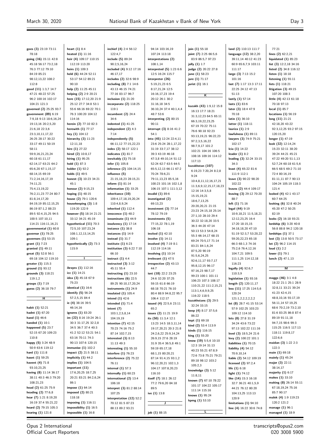| goes (3) 23:19 73:11                         | heart $(1)$ 8:4                            | inchief (4) 2:4 56:12                           | 94:14 103:16,19                             | join (1) 55:18                        | land (2) 110:13 111:7                            | 77:21                                              |
|----------------------------------------------|--------------------------------------------|-------------------------------------------------|---------------------------------------------|---------------------------------------|--------------------------------------------------|----------------------------------------------------|
| 78:18                                        | heated $(1)$ 11:16                         | 122:4,7                                         | 107:24 113:18                               | joint (7) 2:25 66:5,6                 | language (12) 38:2,20                            | lines $(2)$ 62:2,21                                |
| going (16) 15:11 42:8                        | heir (4) 109:17 110:15                     | include (5) 89:24                               | interpretations (2)                         | 83:9 86:5,7 97:23                     | 39:11,14 40:12 41:23                             | liquidated $(1)$ 85:23                             |
| 45:18 56:17 73:2,18<br>76:3 77:12 79:10      | 112:19 113:20<br>heirs (1) 109:3           | 90:2,5,16,24<br>included (4) 9:12 17:16         | 108:1,14<br>interpreted $(5)$ 1:23 6:6      | jolly (1) 1:7<br>judge (2) 20:22 27:8 | 60:9 65:6,7,9 103:11<br>111:17                   | list (3) $12:2,18$ 34:16<br>listed (2) 34:8 116:12 |
| 84:19 85:21                                  | held (6) 44:24 52:11                       | 46:17,17                                        | 12:5 16:24 115:7                            | june (1) 58:23                        | large (3) 7:13 15:2                              | listen $(1)$ 18:18                                 |
| 98:12,13,22 108:2                            | 53:17 54:12 89:21                          | includes (2) 32:6 98:9                          | interpreter (26)                            | jure (1) 71:17                        | 101:16                                           | listening $(1)$ 55:11                              |
| 112:8                                        | 90:10                                      | including $(8)$ 7:1 14:6                        | 5:19,21,23 6:5                              | jurist (1) 16:1                       | last (7) 1:17 13:3 17:11                         | lists $(1) 118:21$                                 |
| good (11) 1:3,7 14:7                         | help (2) 11:25 45:11                       | 43:13 46:15 74:21                               | 8:17,21,24 12:5                             |                                       | 22:25 24:12 47:13                                | litigation $(3)$ 49:15                             |
| 47:21 48:22 57:25                            | helping (2) 2:9 20:21                      | 77:16 83:17 96:7                                | 16:16,17,23 19:4                            | κ                                     | 51:13                                            | 107:20 108:3                                       |
| 96:2 100:16 102:17                           | here (15) 17:12,20 21:9                    | inclusion $(1)$ 21:20                           | 20:12 26:1 30:2                             |                                       | lastly $(1)$ 57:14                               | little (4) 42:13 61:18                             |
| 104:21 121:3                                 | 25:12 27:7 34:8 53:1                       | incorporate (2) 118:25                          | 31:16,18 34:5                               | kazakh (43) 1:9,12 15:8               | lasts (1) 83:6                                   | 70:18 97:13                                        |
| governed (2) 25:25 93:7                      | 55:6 66:16 69:22 70:1                      | 119:1                                           | 36:10,24 37:4 40:1,4,4                      | 16:13 17:7 18:21                      | later (3) 18:4 47:9                              | local $(1)$ 85:7                                   |
| government (89) 6:19                         | 76:3 100:20 104:12                         | incumbent $(2)$ 24:4                            | 48:7 53:6                                   | 31:3,12,23 64:5 65:11                 | 70:18                                            | locations $(1)$ 56:19                              |
| 7:9,18 9:13 18:6,16,24<br>19:13,16 20:2,5,20 | 114:16<br>herein (2) 77:10 82:3            | 34:6<br>indented (1) 41:25                      | interpreting $(2)$ 80:15<br>90:11           | 66:3,19,22,23,25                      | latin (1) 36:10<br>latter (1) 118:11             | long(11) 21:21<br>42:18,20 43:22                   |
| 21:6,18 22:3,6                               | herewith $(1)$ 77:17                       | independent (2) 4:3                             | interrupt (3) 8:16 41:2                     | 67:19 70:22 75:11                     | lauriza (1) 2:9                                  | 92:3,12,25 93:2 97:15                              |
| 23:3,10,11,17,22                             | hey (1) 104:12                             | 7:14                                            | 54:1                                        | 76:6 90:18 92:23                      | lawfulness $(1)$ 89:11                           | 120:15,20                                          |
| 26:25 28:17 30:22                            | hierarchy $(3)$ 11:23                      | independently (5)                               | into (45) 12:24 22:4,11                     | 93:13,19,21 96:22,23                  | lawyers (3) 74:9 75:21                           | longer (1) 47:19                                   |
| 33:17 49:11 50:19                            | 12:11,18                                   | 66:11,12 77:15,22,23                            | 23:6 25:24 28:1,17,22                       | 97:2,3,5,16,22<br>98:7,9,17 101:2     | 102:17                                           | look (32) 12:14,24                                 |
| 58:11                                        | hire (1) 27:22                             | index (2) 58:17 122:1                           | 31:19 33:7,17 38:12                         | 102:21 104:16 106:5                   | Icia (1) 14:22                                   | 15:23 32:11 38:20                                  |
| 59:9,16,21,23,24                             | hired (2) 10:8,17                          | indicates $(1)$ 81:7                            | 39:3 43:19 46:18                            | 108:16 109:16 114:12                  | leader $(1)$ 8:2                                 | 39:24 44:21 45:21                                  |
| 60:18 61:11,17                               | hiring $(1)$ 95:25                         | inevitably $(1)$ 75:18                          | 47:3,8 49:10,14 51:12                       | 117:13                                | leading (3) 32:24 33:15                          | 47:22 49:20 51:1,13                                |
| 62:14,17 63:21 64:2                          | hold $(1)$ 87:3                            | infer $(1)$ 105:8                               | 52:24 62:7 63:5 64:5                        | kazakhstan (107)                      | 34:3                                             | 52:7,24 60:18 61:5,6                               |
| 65:6,20 67:1,15,17                           | holder (1) 92:2                            | inference (2) 104:14,15                         | 65:5,12,13 66:11 67:2                       | 6:19,23 7:20,24 8:2,8                 | least (4) 65:22 81:6                             | 66:5 68:5 69:2 71:10                               |
| 68:14,15 69:19<br>71:2,14,16,17,19           | holds $(1)$ 49:5<br>honest (3) 10:23 34:21 | influence (5)<br>21:15,18,23 28:15,21           | 70:24 78:6,21<br>79:11,13,23 85:5,16        | 9:24                                  | 111:9 112:1<br>leave (3) 90:22 98:20             | 72:4 80:16,19<br>81:11,11 87:7 90:13               |
| 74:11,21                                     | 45:1                                       | inform $(1) 81:14$                              | 100:23 101:16 102:1,8                       | 10:4,8,11,12,16,17,21                 | 102:22                                           | 104:24 105:19 118:3                                |
| 75:4,13,19,22                                | honour $(2)$ 9:15,23                       | information $(1)$ 33:25                         | 106:15 107:1 111:3,12                       | 11:3,6,9,12,15,17,18,23               | leaves (2) 44:4 109:17                           | 121:4                                              |
| 76:2,11,23 77:24 80:7                        | hoping $(1)$ 48:15                         | inheritance (10)                                | invalid $(1)$ 89:6                          | 12:16 14:3.5.8                        | leaving (3) 29:12 70:20                          | looked (4) 42:1 43:17                              |
| 81:8,14,17,20                                | house $(2)$ 79:1 120:6                     | 109:4,17,18,19,20,24                            | investigated (2)                            | 15:15,19,21<br>18:6,7,13,25           | 88:7                                             | 60:7 64:25                                         |
| 84:19,19 85:12,15,25                         | housekeeping (3) 1:8                       | 110:4,8,9,24                                    | 69:13,23                                    | 20:20,20,21 21:15                     | left $(1)$ 71:16                                 | looking (6) 32:8 40:24                             |
| 86:19 87:1,2 88:23                           | 119:20 122:9                               | inherited $(1)$ 112:4                           | investment $(3)$ 77:14                      | 23:23 24:15,18 25:14                  | legal (44) 9:19                                  | 45:20 47:2 50:25                                   |
| 89:5 92:4,15,25 94:5                         | however (5) 18:14 21:21                    | innocence (1) 48:2                              | 78:12 79:19                                 | 27:1,10 28:10 29:4                    | 10:9,18,21 11:5,18,21                            | 82:19                                              |
| 100:5 107:10,11                              | 33:12 34:21 45:19                          | innominate $(1)$ 44:9                           | investments (5)                             | 30:22 32:18,20 33:5                   | 12:12,23,25 16:4                                 | looks (2) 16:18 93:21                              |
| 114:21 116:11,16,21                          | hypothetical (11) 70:3                     | insolvency $(1)$ 17:14                          | 77:15,22 78:1,19                            | 36:3 44:20 47:14                      | 17:20 18:15,15                                   | lordship (6) 3:20 40:8                             |
| governmental (1) 60:8<br>governor (1) 78:25  | 72:5,10 107:23,24<br>108:1,12,13,14,25     | instance $(1)$ 38:8<br>instances $(1)$ 14:9     | 106:18<br>invited $(1)$ 42:10               | 50:13 53:3 54:8,24                    | 34:18,18,20 47:10<br>51:19 52:3,7 53:20,22       | 56:8 88:8 94:2 120:18<br>lordships $(1)$ 37:1      |
| governors (1) 53:15                          | 109:1                                      | instead $(1)$ 31:7                              | involve $(1)$ 14:11                         | 55:3 66:14,17 68:15                   | 59:20,22,23 65:18                                | lost (3) 13:8 50:5 73:17                           |
| grant $(1)$ 7:23                             | hypothetically (2) 73:3                    | institute $(1)$ 6:23                            | involved (4) 7:19 8:1                       | 69:24 70:5,17 71:14                   | 66:3 68:1,3 74:16                                | lot (2) 96:2 114:15                                |
| granted $(1)$ 49:11                          | 115:9                                      | institution $(3)$ 6:22 7:10                     | 112:19 114:16                               | 83:21 84:1,6,24                       | 75:2,6 76:4,12,16                                | loud $(1)$ 2:2                                     |
| great (5) 52:8 56:1                          |                                            | 66:10                                           | involving $(1)$ 10:14                       | 87:5,20 90:19<br>91:5,6,24,25         | 104:7,21 109:5                                   | lower $(1)$ 79:1                                   |
| 69:18 104:12 119:10                          | т                                          | instruct $(1)$ 4:4                              | irrelevant $(1)$ 47:5                       | 92:6,11,17 93:7,17                    | 111:1,25 114:12,18                               | lunch $(2)$ 47:1,13                                |
| greater (1) 115:3                            |                                            | instructed $(3)$ 3:12                           | irrespective $(2)$ 43:13                    | 95:8,12,15 96:17                      | 116:23                                           |                                                    |
| ground $(1)$ 93:12                           | ibrayev (1) 112:16                         | 45:11 55:4                                      | 44:7                                        | 97:16,23 98:7,17                      | legally (4) 92:6,7                               | м                                                  |
| grounds (3) 118:21                           | icc $(1)$ 14:21                            | instructing $(1)$ 23:10                         | isnt (18) 22:2 23:25                        | 99:23 100:1 101:11                    | 110:3,9                                          |                                                    |
| 119:1,2                                      | idea (3) 45:18 67:9<br>75:23               | instructions $(6)$ 22:5<br>89:25 90:10,17,20,24 | 24:6 32:20 37:25                            | 106:23 107:3 108:17                   | legislation (1) 93:16                            | maggs $(46)$ 3:1 4:8<br>18:22 21:1 25:1 28:9       |
| groups (1) 7:19<br>guess (2) 36:18 79:7      | identical (1) 16:6                         | instruments $(1)$ 24:9                          | 59:15 61:8 66:19<br>68:18 70:21 76:10       | 110:21,22 111:2,15,21                 | length (2) 120:11,17<br>less (11) 17:25 114:5,6  | 32:8,11 33:21 39:24                                |
|                                              | identify $(5)$ 56:24                       | insulated $(1)$ 105:4                           | 80:4 88:9 94:8,22 95:7                      | 113:1,4,6,9,9,25                      | 120:24                                           | 41:23 42:4,15                                      |
| н                                            | 57:2,5,15 84:4                             | intend $(1)$ 42:6                               | 106:4 112:17                                | 116:22 118:5                          | 121:1,2,2,2,2,2,2                                | 48:8,10,16 55:17,19                                |
|                                              | ie (4) 38:16 39:5                          | intended $(1)$ 71:4                             | issued (4) 22:5,6 23:11                     | kazakhstans (3) 29:5                  | let (8) 28:7 41:15 53:14                         | 56:11,14 57:19,25                                  |
| habit $(1)$ 52:21                            | 46:14,16                                   | intent (7)                                      | 65:2                                        | 32:24 33:15<br>keep (4) 8:17 37:5,6   | 57:9 102:25 103:23                               | 68:6 70:2,19 73:2,10                               |
| hadnt (1) 67:20                              | ignores (1) 83:20                          | 103:1,2,5,8,14                                  | issues (2) 11:21 19:9                       | 86:22                                 | 109:12 114:10                                    | 81:6 83:25 86:8 87:4                               |
| hand $(1)$ 46:6                              | im (22) 8:16 19:24 26:1                    | 104:19,19                                       | its $(50)$ 11:3,4 12:1                      | kept (1) 69:18                        | lets (8) 27:8 31:19                              | 89:19 91:11,18                                     |
| handed $(1)$ 10:1                            | 30:3 31:17,25 32:2,8                       | intention $(7)$ 42:15                           | 13:23 14:5 18:3,11,14                       | kind (2) 53:4 113:9                   | 34:24 43:6 73:22                                 | 94:7,15 98:6 99:3                                  |
| happened $(5)$ 23:7                          | 34:5 36:7 37:4 40:3                        | 70:23 74:16 75:2                                | 19:17,20,21 20:3 21:8                       | kinds (1) 116:15                      | 97:13 102:22 111:16                              | 115:25 116:5 117:13                                |
| 52:15 67:20 109:23<br>110:8                  | 41:2 52:12 53:21 54:1<br>63:16 70:11 74:3  | 87:14 102:7,15                                  | 24:2,6,22 25:9,14,24                        | king (1) 55:20                        | level (3) 18:5,24 21:6                           | 118:11 119:8,17<br>122:6,6                         |
| happy (5) 3:24 48:9                          | 90:13 107:6 120:15                         | interested $(3)$ 8:13<br>11:13 49:3             | 26:9,15 27:6 28:19<br>31:9 35:4 36:5,8 49:1 | know $(19)$ 5:5,6 10:10               | levy (2) 100:22 101:1<br>liabilities $(1)$ 70:15 | maidan (3) 1:22 2:3                                |
| 50:9 63:6 119:12                             | immunise (1) 102:2                         | interesting $(1)$ 55:10                         | 59:19 65:17,18                              | 12:3 19:14 31:13                      | liability $(4)$ 54:12                            | 122:3                                              |
| hard $(1)$ 111:8                             | impact (2) 21:5 38:11                      | interfere (1) 76:23                             | 68:1,15 80:20,21                            | 40:23 55:21 67:8,9                    | 70:9,10,14                                       | main (1) 69:18                                     |
| hasnt $(1)$ 59:25                            | implicitly $(1)$ 44:2                      | interference (2) 75:22                          | 87:14 91:4,15 93:1,2                        | 72:6 73:8 75:21 79:21                 | liable (2) 54:12 109:19                          | mainly (1) 45:24                                   |
| havent (4) 71:8                              | implies (1) 104:5                          | 76:11                                           | 96:12,20,21 102:1,3                         | 89:18 98:12 103:2                     | licensed (2) 97:2,4                              | major (3) 22:11                                    |
| 93:10,23,25                                  | important (11)                             | internal $(1)$ 57:3                             | 104:17 107:8,20,23                          | 105:2,3<br>knowledge $(3)$ 5:12       | life $(1)$ 6:18                                  | 38:14,17                                           |
| having (8) 11:14 36:17                       | 17:6,20,25 18:7,25                         | internally $(1)$ 60:23                          | 116:10                                      | 11:8,11                               | light (1) 74:12                                  | majority $(1)$ 6:17                                |
| 38:11 40:3 46:3 79:20                        | 20:21 83:21 84:2,6,24                      | international (2) 13:4                          | itself (7) 18:1 26:12                       | known (7) 67:10 78:22                 | like (14) 15:3 16:18                             | makes (1) 33:10                                    |
| 108:21,23                                    | 86:1                                       | 106:18                                          | 77:2 79:6,20 84:18                          | 101:17 104:22 105:17                  | 32:7 36:21 40:1,5,9                              | making (8) 26:14 55:11                             |
| head (2) 61:25 75:9<br>heading $(2)$ 77:6,8  | impose (1) 64:14<br>imposed (2) 80:21      | interpret (3) 81:2 88:14                        | 89:5                                        | 111:14 115:16                         | 44:21 76:12 80:20                                | 67:18,19,24 75:16<br>85:7 90:17                    |
| hear (7) 1:21 8:19,20                        | 118:18                                     | 107:25                                          | ive $(1)$ 13:8                              | knows (1) 95:24                       | 104:13,25 113:13                                 | malek (4) 1:9 119:23                               |
| 16:19 37:4 55:21,22                          | imposing (1) 116:11                        | interpretation (12) 52:2<br>70:12 81:5 87:23    | J                                           | kpmg(1) 53:10                         | 120:9<br>limitations $(1)$ 94:10                 | 120:2 121:2                                        |
| heard (2) 79:15 105:3                        | impossibility (1) 16:5                     | 88:13 89:2 93:21                                |                                             |                                       | line (4) 16:22 30:6 74:8                         | manage (1) 96:1                                    |
| hearing $(1)$ 121:8                          | impossible $(1)$ 16:8                      |                                                 | job (1) 88:15                               | L.                                    |                                                  | managed $(1)$ 18:9                                 |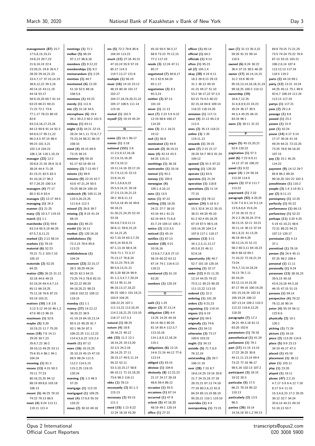45:10 50:5 56:3,17 68:9 73:23 75:12,15 77:2 117:10 **needs (3)** 12:24 47:11 85:17

**negotiated (7)** 60:8,17 61:3 62:6 64:24

**management (87)** 15:7 17:5,8,15,19,21 19:8,23 20:7,23 21:8,10,19 22:4 23:20,21 24:8 26:4,7 28:20 29:16,21,23 33:4,7,17 37:10,14,19 38:6,12,22 39:3,16 40:14,15 43:11,19 44:18 53:17 58:9,10,20 60:7 61:14 63:23 66:21 69:21 71:22 72:1 73:6 77:1,17 78:23 80:10  $82.6$ 83:2,6,16,17,23,24 84:13 90:8 91:14 92:3 94:8,9,17 95:11,22 96:2,4,5 97:15 98:4 99:23 101:3,21 102:1,8 104:23 106:1,16 118:1,10,19 **manager (22)** 12:2 20:8,8 21:16 26:6 31:8 38:24 44:4 71:20 81:15,21 82:5 83:3 91:10,16,17 96:2 97:7,24,25 100:3,4 **managers (4)** 77:17 80:3 81:9 83:4 **manages (2)** 12:17 49:5 **managing (1)** 24:3 **manner (1)** 21:25 **many (3)** 10:3,7 119:10 **march (1)** 1:1 **marchenko (11)** 59:6 63:2,6 65:5,19 66:20 67:5,7,8,11,21 **marked (2)** 2:13 58:14 **markets (1)** 78:19 **material (6)** 52:23 70:21 71:3 103:7,10 105:15 **materials (2)** 52:25 64:25 **matter (20)** 26:23 31:12 32:18 44:6 49:15 52:19,24 64:4,4,7,13 65:11 66:19,25 75:11,18 76:6 87:23 93:19 103:21 **matters (10)** 1:8 2:8 3:12 5:12 34:10 46:1,2 47:6 90:13 96:15 **maximum (1)** 52:6 **maybe (5)** 5:20 10:19,23 11:7 75:20 **mean (18)** 7:6 14:11 29:20 30:7,23 35:6,7,22 36:2 39:10,13 49:25 53:11 75:6 81:4 86:1 94:1 104:24 **meaning (1)** 81:3 **means (13)** 4:15 50:3 70:11 77:23 80:16,23,25 84:12 88:19 89:8,8 103:18 106:13 **meant (5)** 46:25 70:10 74:22 79:13 86:5 **meet (4)** 9:24 113:11 119:11 121:4 **meetings (1)** 71:1 **mellon (5)** 96:24 97:1,17 98:8,18 **members (2)** 9:12,22 **memberships (1)** 9:2 **memorandum (1)** 2:25 **mention (1)** 44:7 **mentioned (6)** 12:20 51:18 52:5 88:16 108:5,6 **mentions (1)** 43:23 **merely (1)** 111:6 **mic (2)** 31:18 34:5 **microphone (6)** 19:4 26:1 30:2,3 50:2 101:5 **midway (1)** 63:11 **might (13)** 16:21 22:15 28:24 34:1,11 72:6,7,7 75:23,24 88:21 96:19 108:10 **mind (4)** 45:15 69:9 73:15 94:15 **minister (4)** 59:10 61:17 62:16 65:14 **ministry (2)** 7:13 65:7 **minute (1)** 99:9 **minutes (9)** 22:19 42:7 43:6 47:21,24 50:5 70:25 98:24 100:10 **miskevich (9)** 109:11,24 110:3,20,23,25 111:6,6 112:3 **missed (2)** 26:8 39:7 **missing (3)** 8:19 41:24 68:19 **mistake (1)** 46:23 **model (1)** 16:11 **modest (2)** 120:16,18 **moldabekova (5)** 72:2,15 78:6 85:6 113:23 **moldabekovas (1)** 104:24 **moment (23)** 22:15,17 28:3 39:20 49:24 60:25 62:3 64:21 73:25 74:3 78:8 82:15 84:22,22.89:20 94:18,20,21 98:23 100:8 102:22 109:12 118:15 **monday (1)** 1:1 **money (27)** 14:12,12 36:20,22 38:9 41:19,19 84:10,13,14 85:5,15 90:20 91:7 92:1 96:24 97:3 106:22,25 111:12,22 114:4,5,6,22 115:2,4 **month (1)** 87:12 **more (16)** 10:23,25 35:10,19 45:15 47:10 68:5 98:24 111:5 112:2 114:5,15 115:2,25 119:15 120:24 **morning (3)** 1:3 48:3 57:25 **mortgage (1)** 112:19 **mortgaged (1)** 109:25 **most (4)** 17:6,6 55:10 120:22 **move (2)** 30:10 49:18 102:17 115:16 23:8,14,15 33:5,6,18 45:16 49:6 50:18,21 51:20,21,24,25 52:10 53:18 54:4,6,7,9,9,11,11 58:6,11 59:6,15,19 61:14,21,25 62:7,10,19 63:3,7,25 64:5,14 65:8,15 67:1,13,16 68:4,16 70:6 71:1 72:3,17 75:13,17 76:8,24 78:12,23 79:5,19 80:5,6,13,21,21 85:3,20 88:24 90:9 91:1,2,3,4,7,7,20,24 92:13 95:11,16 96:10,13,17,18,22 99:23 100:1 101:19,21 103:9 104:25 106:22,25 107:1 111:13,22 113:10,24 114:2,18,21,25 115:10 116:17 117:3,3 **natural (1)** 98:25 **nature (4)** 18:8 28:16,21 40:12 **nbk (33)** 11:2 12:1 18:14,25 19:13,20 22:3,5 24:2,16 26:14,25 27:11 28:15,17 49:5,11,14 50:22 52:11 53:3,10,15,17 58:8 66:10,11 71:15,18,20 73:6 98:3 116:11 **nbks (1)** 78:13 **necessarily (3)** 81:1,3 115:13 **necessary (2)** 93:15 111:1 **need (15)** 1:13 8:22 12:24 18:18 43:20

**ms (5)** 72:2 78:6 85:6 104:24 113:23 **much (12)** 27:16 45:21 47:10,19 55:9 57:19 85:17 114:3 119:7,13,17 121:6 **multiple (1)** 56:19 **must (16)** 14:10 23:12 48:19 80:16 101:17 104:17,18,19,20,21,22 105:17 106:5 111:14 **muted (1)** 101:5 **myself (2)** 19:19 45:24 **N name (2)** 16:1 96:17 **names (1)** 3:18 **national (151)** 2:8 11:2,5,9,12,16,18 12:2,6,15,16,20 18:7,9,10,11 19:11,14,16 20:17,19 21:7,9,12,15 22:13 24:1,3,6,8,9,22 25:5,9,14,21 26:18 27:2,5,13,19,21,23 28:2 30:8,11,12

65:1,17 **negotiation (3)** 8:3 65:3,23 **neither (2)** 87:13 101:10 **never (1)** 11:13 **next (7)** 2:23 5:9 6:22 12:19 68:6 100:17 114:20 **nine (3)** 11:1 18:21 19:12 **nod (1)** 56:8 **nominated (1)** 44:9 **noncash (2)** 36:19,21 **none (4)** 42:14 43:3 64:25 115:11 **nonthings (1)** 36:18 **nontransfer (1)** 33:16 **normal (1)** 92:2 **norway (1)** 105:5 **norwegian (4)** 105:1,4,10,13 **note (1)** 13:5 **notes (1)** 47:22 **nothing (15)** 18:20 24:21 27:7 38:10 43:16 44:1 61:21 62:19 64:4 71:6,8 81:7,19 104:13 105:3 **notice (2)** 113:3,5 **noticed (1)** 45:14 **notifies (1)** 87:13 **number (18)** 4:21  $10.16, 16$ 12:6,6,7,7,8,9 27:13 58:19 60:22 63:12 67:14 74:1 116:9,13 118:21 **numbered (2)** 61:10 63:20 **numbers (1)** 120:19 **O oath (1)** 1:25 **object (2)** 37:13,14 **obligation (20)** 4:4 13:25 14:25 44:16 64:14 66:3 80:25 81:14 85:4 112:3,7 113:10,16 114:1,8,9,12,18,24 115:1 **obligations (6)** 12:15 14:6 21:24 44:12 77:6 113:14 **obliged (1)** 93:15 **obvious (1)** 104:6 **obviously (8)** 12:22,23 21:17 24:17 28:18 48:6 59:4 86:12 **occasion (1)** 55:5 **occasions (1)** 67:14 **occurred (1)** 47:9 **oclock (5)** 47:18,20 48:19 49:1 120:14 **office (1)** 27:22

**officer (1)** 65:14 **official (1)** 64:2 **officials (1)** 9:13 **often (1)** 95:23 **oil (2)** 105:1,4 **okay (28)** 4:19 6:11 18:3 26:9,13 29:15 31:1 36:12 40:19 41:15 49:17 51:10 53:2 56:17,22 57:2,5 63:15 74:4,5 80:22 82:15,18 84:8 109:14 116:23 118:14,20 **omission (1)** 117:11 **once (4)** 21:12 65:2,6 112:4 **ones (2)** 35:13 118:21 **online (3)** 1:20 119:11,12 **onwards (1)** 20:15 **open (7)** 2:15 21:17 28:20 54:7 90:5 91:24 109:12 **opened (2)** 91:5 97:22 **opening (1)** 120:20 **operate (1)** 83:5 **operates (1)** 21:24 **operation (1)** 118:8 **operations (2)** 11:14 77:15 **operator (1)** 78:12 **opinion (24)** 5:18 6:3 15:3 32:8 34:12 35:15 38:21 44:20 45:10 61:2 62:4 65:18,25 67:19 87:5 98:5,16 103:14,20 104:2,4 107:8 117:1 118:17 **opinions (13)** 3:11 34:1,2,3,11,12,17 45:5,8,15 46:11 52:6,16 **opportunity (4)** 40:7  $-52.7$  101:18 120:16 **opposing (1)** 32:17 **order (12)** 9:15 11:25 12:14 44:25 74:22 75:5,11 85:23 90:20 111:13,22 113:10 **ordered (1)** 22:3 **ordering (1)** 101:20 **orders (2)** 9:23,23 **organising (1)** 119:14 **organs (1)** 6:19 **original (1)** 59:5 **originally (1)** 74:6 **others (1)** 54:13 **otherwise (3)** 73:17 100:6 103:23 **ought (1)** 34:13 **outside (5)** 71:7,8,9 76:12,16 **outstanding (3)** 29:7 106:17,19 **over (28)** 7:19 8:7 18:6,14,25 19:16 20:8 21:7 24:15,18 27:18 28:15,21 67:13 74:18 77:18 80:2,6,12 81:8 84:24 85:13,19 86:19 95:20,21 110:1 119:10 **overrides (1)** 4:4 **overspeaking (1)** 73:15

**own (7)** 31:13 35:3,22 59:20 91:15 99:14 110:5 **owned (6)** 6:24 30:22 36:4 37:15 38:5 46:20 **owner (17)** 16:14,14,15 31:2 33:6 90:19 95:10,13,14,18,18,21,24 99:18,25 100:2 110:12 **ownership (19)** 16:6,7,12,25 31:4,8,9,9,23 33:23 35:24 36:17 39:5 44:3,4 45:25 46:15 83:16 96:1 **owns (2)** 30:11 31:22 **P pages (5)** 45:15,20,21 52:6 120:22 **pagination (1)** 57:3 **paid (6)** 7:23 8:9,11 14:12 27:16 106:22 **panel (1)** 9:22 **paper (4)** 1:24 56:16 113:20 114:9 **papers (3)** 37:6 111:7 113:22 **paperwork (1)** 2:10 **paragraph (92)** 4:20,25 5:24 7:4 8:1,14 9:2,14 13:5,6,6,6 15:6,24 17:10 20:15 21:2 25:2,3 26:20,24 27:6 30:13,15 32:11 33:21 35:11,14 36:13 37:24 39:1,8,21 41:13,25 46:18 49:4,20 50:12,14,15 51:13 58:2 60:3,11 64:18,23 66:9 68:10 69:1 71:10,22 72:18,21,24 73:24 74:5,7,13,14,18,24 76:13 78:7,11 82:16,24 83:12,13,14,15,20 87:17 99:16 100:19,20 101:15,19,24 102:14 105:19,24 106:12 107:13,14 109:2 110:3 112:22 116:6,12,25 118:20 **paragraphs (7)** 17:2 26:21 49:3,18 61:11 63:20 102:6 **parameters (1)** 78:18 **parenthetical (1)** 41:24 **parliament (1)** 79:1 **part (17)** 11:15 13:15 17:22 26:25 30:8 44:11,11,13,14 69:4 73:22 77:16 96:17 98:5,16 102:13 107:2 **participant (3)** 18:15 19:22 20:3 **particular (5)** 17:5 66:21 70:19 85:22 110:13 **particularly (2)** 13:5  $06.3$ **parties (26)** 10:14

69:8 70:15 71:21,25 73:5 74:24 75:22 76:9 87:13 93:15 103:21 106:2,6,14 107:4 113:12,13 117:19 118:5 119:2 **parts (2)** 44:10 69:1 **party (12)** 13:21 14:24 44:25 45:11 75:1 89:9 92:6,7 106:24 111:24 113:13 117:19 **partys (1)** 117:21 **pass (2)** 29:1,6 **passage (1)** 6:6 **passed (1)** 23:2 **passes (1)** 31:9 **past (1)** 42:24 **pause (14)** 4:17 5:14 17:17 30:16 41:16 49:24 64:21 72:22,25 73:25 78:8 94:18,20 107:15 **pay (3)** 15:1 45:25 114:22 **payment (9)** 14:12 29:7 85:8 86:2 89:24 90:16,20 101:22 102:3 **penultimate (1)** 110:2 **people (3)** 1:4 3:19 81:1 **per (2)** 8:11,13 **peremptory (1)** 12:25 **perfectly (1)** 55:22 **performance (1)** 66:13 **perfunctory (1)** 52:22 **perhaps (11)** 3:20 4:25 5:19 41:10,21 48:6 72:21 88:23 94:21 107:13 120:17 **permission (2)** 4:13 37:1 **permitted (1)** 78:19 **person (5)** 24:4 45:11 97:25 98:2 108:4 **personal (1)** 11:11 **personally (1)** 9:24 **personam (13)** 38:16,23 39:5,15 40:18 43:9,10,18 44:3,18 46:15 47:15 51:15 **persons (1)** 59:14 **perspective (4)** 70:22 76:12,16 90:14 **peter (4)** 55:19 56:11 122:6,6 **physically (2)** 10:1 120:1 **picking (1)** 71:24 **picture (1)** 16:16 **piece (2)** 113:20 114:9 **place (5)** 9:9 23:13 34:19 45:17 47:3 **placed (1)** 43:19 **placement (1)** 38:12 **plain (1)** 103:11 **play (1)** 23:20 **played (1)** 19:11 **please (47)** 2:2,15 4:7,17 5:9 6:4,12 7:16 8:17 9:4 11:10 15:3,4,6,23 17:2 20:25 30:12 32:7 34:24 35:6,14 44:21 49:19 51:10,13 53:7

14:16,18 55:1,2 59:13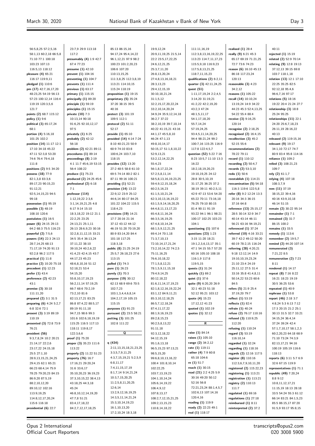$40.11$ 

56:5,8,25 57:2,5,16 58:1,13 60:2,18 66:5,8 71:10 77:1 100:18 103:23 107:13 116:5,13 118:12 **pleasure (4)** 65:21 116:17 119:9,11 **pledged (1)** 110:6 **pm (17)** 42:7,16,17,20 48:23,25 54:19 56:13 57:23 100:12,14 116:4 119:19 120:3,5,6 121:7 **points (2)** 68:7 115:12 **policy (1)** 9:6 **political (3)** 65:17,24 68:1 **portion (4)** 5:16,18 101:25 102:2 **position (14)** 11:17 12:1 17:10 34:18 45:22 47:11 52:3,8 53:20 74:6 76:4 79:4,18 111:8 **positions (2)** 9:5 34:20 **possess (18)** 77:9 82:1,3,8 83:3,6 89:17,23 90:15,23 91:12,21 92:5,14,15,23 94:5 99:18 **possession (1)** 95:19 **possible (3)** 48:19 108:10 120:6 **postulates (1)** 16:5 **power (6)** 24:15 29:13 64:2 68:3 75:5 116:23 **powerful (2)** 7:5,6 **powers (14)** 22:3 24:13 28:7,14,25 68:13 71:17,19 74:20 91:13 92:2,8 96:2 117:5 **practical (1)** 11:8 **practice (2)** 10:20 75:18 **precedent (1)** 12:23 **prefer (1)** 43:4 **preference (2)** 42:23 43:1 **premise (3)** 30:18 111:11,20 **prepared (2)** 3:1 31:5 **preparing (6)** 4:24 5:2,7 6:8 32:6 72:1 **present (3)** 3:19 89:19 110:19 **presented (3)** 72:8 73:9 76:21 **president (56)** 9:3,7,8,24 10:2 20:21  $21:14$  17 22:2,6 23:17,22 24:15,18 25:5 27:1,10 28:9,13,15,21,24,25 29:4,15 62:1 65:21 66:23 68:4,14 75:9 78:25 79:20,23 84:15 86:9,20 87:5,19 88:2,10,12,20 89:10,12 102:16 113:9,19,25 114:8,12,17,20,24 115:6 116:18 **presidential (6)** 22:7

23:7,9 29:9 113:18 117:2 **presumably (4)** 1:9 42:7 67:4 77:23 **presume (1)** 42:10 **prevent (1)** 104:16 **preventing (1)** 104:7 **prevents (1)** 111:4 **previous (1)** 63:17 **primary (1)** 115:15 **principally (1)** 89:20 **principle (1)** 59:19 **principles (1)** 15:15 **private (10)** 7:3 10:13,14 90:18 91:6,25 92:10,12,17  $07.5$ **privately (1)** 6:25 **probably (2)** 42:12 56:18 **problem (2)** 42:21 89:11 **procedures (1)** 89:14 **proceedings (8)** 2:19 4:1 11:7 45:6,19 53:15 56:4 108:22 **produce (1)** 75:23 **produced (2)** 24:25 45:6 **professional (2)** 6:18 7:1 **professor (114)**  $1:12,19,22,23,6$ 3:1,14,19,21,25 4:8 6:17 9:14 15:10 18:3,18,22 19:12 21:1 22:2,25 23:25 24:13,21 25:1,11 26:13 28:6,9,23 30:16 32:2,8,11,12,15 33:21 34:5 35:4 36:13,24 37:11,22 38:10 39:10,24 40:2,6,22 41:4,23 42:4,15 43:7 44:17,23 45:23 48:6,8,10,16 51:12 52:18,21 53:4 54:15,20 55:8,10,17,19,23 56:2,11,14 57:19,25 66:7 68:6 70:2,19 73:2,10 81:6 82:13,17,21 83:25 86:8 87:4,22 88:5,17 89:19 91:11,18 94:7,15 98:6 99:3 101:6 102:6,18,19,19 115:25 116:5 117:13 118:11 119:8,17  $122.366$ **proof (1)** 75:20 **proper (3)** 35:23 111:6 113:22 **properly (2)** 11:22 51:23 **property (76)** 16:7 17:16,21 29:20,24 31:6 33:6,17 35:10,20,23 36:19,23 37:3,10,15,22 38:4,13 43:18,25 44:3,18  $45.24$ 46:8,10,12,14,19,20 47:7,8 51:21 83:4,17,18,22 84:2,7,12,17,18,25

85:13 86:15,16 94:17,24 95:4,14,22 96:1,12,21 97:9 98:2 100:23 101:2,20,23 106:6 107:20 110:13,15,25 111:3,8,25 112:3,8,19 113:21 114:10,15 115:24 118:19 **proposition (1)** 19:15 **proprietary (5)** 35:24 37:20 38:15 39:5 40:16 **protect (3)** 101:19 109:5 112:1 **protocol (2)** 51:11 52:17 **provide (1)** 65:10 **provided (14)** 4:14 7:24 8:10 40:21,23 50:9 60:9 74:10 83:8 100:6,24 103:7,10 118:15 **provides (12)** 13:20 27:2 48:5 58:8 61:10 69:5 74:14 80:2 82:1 87:11 99:16 100:21 **providing (1)** 52:21 **provision (14)** 13:22 22:9,12 23:9 25:12 44:6,14 80:17 84:25 101:22 104:22 115:5 118:4,23 **provisions (19)** 14:21 17:7 20:16 21:16 37:12 43:12 44:12 46:19 51:20 70:19,20 80:9 83:14,20 84:4 101:18 117:25 118:3,18 **public (8)** 21:25 24:19 25:5,7 26:18,23 27:6 113:15 **pulled (1)** 74:3 **pure (1)** 26:23 **purely (1)** 70:3 **purpose (19)** 30:12 62:13 68:9 69:6 70:5  $102 - 723$ 103:1,3,4,4,6,8,14 104:2,17,19 105:15 115:15 **purposes (1)** 91:23 **pursuant (2)** 23:5 58:21 **putting (3)** 101:25 102:8 111:22 **Q q (434)** 2:11,13,15,18,21,23,25 3:3,5,7,9,11,25 4:3,7,15,19,21 5:2,5,9 6:8,11,17 7:4,11,15,17,19 8:1,7,14 9:14,21,24 10:3,7,15,20,25 11:2,5,8,11,20,25 12:6,14 13:2,9,12,16,19,25 14:3,5,11,14,21,24 15:3,10,14,19,23 16:1,10,13,20

17:2,10,24 18:3,18

19:9,12,24 20:9,11,19,25 21:5,14 22:2 23:5,17,22,25 24:6,12,21,25 25:3,7,11,20 26:8,13,20,24 27:4,8,13,16,18,21 28:3,13,23 29:4,12,15,19 30:10,18,21,24  $31 \cdot 1,5,12$ 32:2,15,17,20,22,24 33:2,10,14,20,24 34:9,24 35:9,12,14,18 36:2,7 37:22 38:2,10,19 39:7,10,14 40:22 41:15,21 43:16 44:1,17 45:5,8,10 46:24 47:1,13 49:8,10,14,17 50:15,17 51:1,8,10,22 52:9,13,21 53:2,12,14,22,25 55:4,23 56:1,8,17,22,24 57:2,5,8,11,14 58:5,8,13,16,19,23,25 59:4,9,12,15,18,24 60:2,5,16,23 61:1,5,10,21,24 62:3,10,13,16,19,22 63:1,5,9,14,16,20,25 64:4,8,11,13,17,23 65:4,8,11,16,24 66:3,5,16,19,25 67:4,8,10,14,24 68:1,5,9,12,21,25 69:4,14 70:1,18 71:3,7,10,13 72:10,14,17,21,24 73:2,10,14,22 74:2,5 75:11,16,25 76:6,10,18,22 77:1,5,8,12,21 78:1,5,9,11,15,18 79:4,9,14,25 80:12,18,22 81:6,11,14,17,19,23 82:1,8,12,16,19,22,24 83:1,12 84:9,11,21 85:3,10,12,18,25 86:5,7,12,18,24 87:4,11,17,22 88:1,9,16,19,23 89:2,8,15,23 90:2,5,8,13,22 91:11,18 92:3,12,18,22 94:12,15,19 95:1,6,13,18 96:5,15,23 97:13,21 98:5,15,20 99:6,8,10,13,16,22 100:4 101:8,10,14 102:22,25 103:7,13,19,23 104:1,10,14,24 105:6,14,19,22  $106:4912$ 107:8,13,17 108:2,7,12,15,21,25 109:2,13,15,23 110:8,14,18,22

111:11,16,19 112:3,8,13,16,19,22,25 113:23 114:7,11,17,23 115:5,9,18 116:9,23 117:5,8,13,21,25 118:7,11,15,23 **qualifications (2)** 6:2,11 **quarter (3)** 42:11,24,25 **quest (51)** 1:11,17,19,24 2:2,4,5 3:14,20 31:19,21 41:2,22 42:2,19,20 43:2,3 47:24 48:1,5,11,17 54:1,17,18,20 55:7,14,24 57:19,24,25 93:4,5,11,14,20,25 94:4 98:21,24 99:2 100:7,16 115:25 116:9 117:8 122:4,5,7 **question (52)** 5:22 7:16 8:23 10:5,7 11:10 13:3 16:22 18:2,18,19,20,23 19:10,19,25 24:12 28:8 30:5,10,19 31:17,25 36:25 37:2 38:19 39:11 40:2,5,11 42:9 47:13 53:6 54:20 65:22 70:11 73:16,18 76:25 79:10 80:15 81:4 90:11 91:19 93:22 94:1 96:1 98:21 100:17 102:25 103:23 104:1 **questioning (1)** 107:6 **questions (23)** 1:23 3:15 11:20 18:21 19:1,2,3,6,13,17 35:1 47:1 54:15 55:7 57:20 60:16 105:10 108:18 116:1,9 117:8 119:5,15 **quests (1)** 31:24 **quickly (1)** 69:2 **quiet (1)** 37:6 **quite (9)** 6:20,20 26:9 32:1 40:23 51:18 52:12 95:21 103:12 **quote (4)** 15:23 17:12,12 41:23 **quoted (1)** 102:19 **quotes (1)** 32:12 **R raise (1)** 84:14 **raises (1)** 105:10 **range (2)** 34:2,12 **rate (1)** 119:11 **rather (4)** 7:9 60:8 65:18 104:6 **re (1)** 51:7 **reach (1)** 30:15 **read (21)** 2:2 4:25 5:9 30:16 49:20 50:12 52:16 56:8 72:21,23,24 88:1,4,5,7 102:6,13 107:14,16 120:4,16 **reading (1)** 119:9 **ready (2)** 22:23 49:1

**real (1)** 118:17

**realised (1)** 28:4 **really (9)** 6:21 45:3 65:17 69:19 71:21,25 72:7 73:6 74:23 **reason (6)** 16:10 45:13 86:18 117:23,24 120:13 **reasonable (3)** 4:23 34:2,12 **reasons (1)** 105:22 **recall (14)** 10:10,24 13:19,24 14:9 34:22 44:23 45:3 52:4,13,25 54:22 55:4 88:4 **receive (3)** 9:16,25 120:14 **recognise (2)** 2:18,25 **recognised (2)** 16:4,15 **recollection (3)** 45:2 52:15 55:6 **recommendations (2)** 78:22 79:11 **record (1)** 110:12 **recording (2)** 50:4,7 **records (2)** 53:3,10 **redo (1)** 50:6 **reestablish (1)** 114:21 **reexamination (5)** 54:18 116:3 119:6 122:5,8 **refer (8)** 9:2 12:24 13:3 20:16 34:3 36:15 37:16 64:8 **reference (13)** 25:15,17 28:5 30:14 32:9 34:7 40:14 43:14 46:11 56:21 63:16 94:19,21 **referenced (1)** 37:24 **referred (10)** 4:16 33:21 39:7 42:2 49:12 50:20 60:19 78:2,15 116:24 **referring (28)** 4:20,21 9:18 12:12,14 14:9 19:10,10,19,23,24 21:10 23:4 24:19 25:11,12 27:5 31:4 33:16 35:8 41:4,8,11 50:14,22 53:23 60:6 84:5 **refers (5)** 21:9 25:4 37:19,20 79:7 **reflect (1)** 53:19 **reflects (1)** 82:4 **refrain (1)** 40:24 **refuse (2)** 76:17 110:16 **refused (3)** 110:9,25 112:20 **refusing (1)** 110:24 **regard (3)** 53:19 116:10,14 **regarded (1)** 32:24 **regarding (1)** 118:16 **regards (2)** 12:16 117:5 **register (8)** 110:16 112:3,6,7,9,10,11,20 **registered (2)** 115:22,23 **registering (1)** 113:21 **registration (1)** 113:21 **registry (2)** 110:13 111:7 **regulated (1)** 69:16 **regulations (1)** 27:18 **reimbursed (1)** 8:11 **reinterpreted (2)** 37:2

**rejected (1)** 15:19 **related (2)** 52:9 70:14 **relating (9)** 12:8 19:13 37:12,13 39:15 69:8 103:7 118:1,18 **relation (13)** 12:1 17:10 22:25 35:25 82:5 92:12,18 95:4,6 96:6,7,16 97:17 **relations (5)** 18:16 19:22 20:4 21:24 27:7 **relationship (3)** 18:8 25:24 95:25 **relationships (11)** 22:1 24:20 25:6,7,18,23 26:11,19 28:16,22 40:13 **released (2)** 119:15,16 **relevant (9)** 19:17 34:1,10 72:17 74:7 80:9 83:4 95:8 114:16 **reliance (1)** 109:2 **relied (3)** 108:21,23  $109.7$ **rely (2)** 61:1,7 **relying (4)** 107:18 108:3,7,9 **rem (11)** 37:19 38:15,22 39:4,16 40:16 43:9,10,18 46:14 51:15 **remain (2)** 30:22 95:14 **remainder (1)** 7:1 **remained (3)** 31:7 86:15 100:2 **remains (1)** 33:5 **remedy (1)** 113:6 **remember (2)** 19:5,7 **remind (2)** 44:20 107:14 **remunerated (3)** 7:21,22 8:5 **remuneration (2)** 7:23 8:11 **rendered (1)** 14:17 **repeat (8)** 7:16 8:22 16:21 18:23 19:19 30:5 36:25 53:6 **repeated (1)** 40:9 **rephrase (1)** 53:8 **report (46)** 2:18 3:7 4:8,24 5:3 6:13 7:12 17:3 20:15 21:2 25:1 30:13 31:5 32:7 33:21 34:15,24 36:4,14 37:24 39:24 42:4 57:1,7,10,17 58:1,2,3 60:2,20,23 64:18 68:9 71:10 73:24 74:3,9 82:13,17,21 94:16 100:19 105:19 116:6 118:13 **reports (6)** 3:11 5:7 6:9 32:6 67:15 119:9 **representatives (1)** 71:1 **republic (49)** 7:20,24 8:8 9:12 10:8,11,12,17,21 11:15,19 18:13 28:18 33:5 54:24 55:3 61:12 66:14 83:21 84:1,5,23 85:5 86:15,17 87:20 91:5,9 93:17 95:8,15

Opus 2 International Official Court Reporters transcripts@opus2.com 020 3008 5900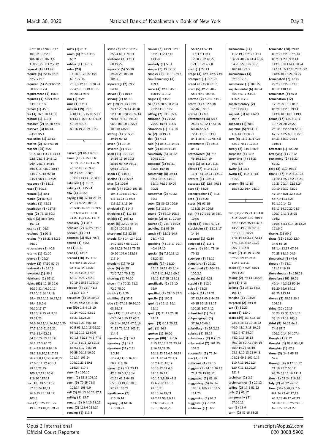**terminate (28)** 29:16 83:23 86:20 87:5,14

97:9,10,16 98:2,7,17 101:22 102:2,8 106:18,23 107:3,6 110:21,22 111:2,7,12 **request (1)** 113:22 **require (4)** 22:15 46:2 62:7 71:15 **required (5)** 29:9 66:22 80:8,9 117:4 **requirement (1)** 106:5 **requires (4)** 61:21 64:5 84:10 115:5 **reread (1)** 45:5 **res (3)** 36:5,10 41:19 **rescind (1)** 119:3 **research (2)** 45:20 46:4 **reserved (3)** 68:13 94:25 95:1 **resolution (1)** 23:12 **resolve (2)** 42:5 93:16 **respect (25)** 3:22 9:15,18 11:3,17 13:13 22:8 23:1,8 24:7,12 26:4 29:1,7 34:19 36:16,18 43:10 50:17 54:12 71:18 92:10 94:24 96:11 116:24 **response (1)** 83:13 **rest (1)** 80:15 **restate (1)** 40:1 **rested (2)** 80:6,13 **restrict (1)** 48:13 **restriction (1)** 117:5 **rests (2)** 77:18 80:3 **result (3)** 86:3 89:3 107:23 **results (1)** 96:3 **retained (1)** 96:8 **retains (4)** 83:21 84:2,6 86:19 **retranslate (1)** 40:5 **returns (1)** 52:20 **revert (1)** 29:24 **review (2)** 47:10 52:24 **reviewed (1)** 51:19 **rewarded (1)** 96:3 **righthand (1)** 57:11 **rights (93)** 12:15 16:6 30:19 31:4,6,10,11 33:10,12 36:17,19 38:4,15,15,15,16,23,23 39:4,5,5,6,6 40:16,17,17 43:10,19,25 44:3,18 45:24,25 46:6,10,12,14,14,16,16,20 47:7,8,16 51:15,21 77:6 83:4,22,23 84:2,6,24 85:13,19 86:1 87:3 90:25 91:4,8,8 92:9 94:10 95:2,3,8,10,11,17,23 96:7,7,8,11,12,14,20,22 97:6,8,11,12 98:1,1 00:18,22.25 100:2,2,17 106:6 116:10 117:17 **rok (10)** 49:5 51:12 52:13 74:10,11 96:6,15,23 101:17 103:8 **role (7)** 3:25 12:1,25 19:10 23:18,20 79:20

**roles (1)** 8:14 **room (4)** 2:5,7 3:19 65:2 **rubber (1)** 116:19 **rules (23)** 14:18,21,22,22 15:1 69:7 77:14 78:1,3,12,15,18,20,24 79:4,5,8,18,19 88:13 93:20,23 98:9 **run (1)** 6:25 **runs (1)** 87:11 **russian (19)** 1:13 4:10,11,13,15,18 5:17 6:13,15 15:4 37:8 41:6 49:19 50:15 80:16,19,20,24 81:3 **S sacked (2)** 66:1 67:21 **same (16)** 1:15 16:6 36:13 37:7 42:3 45:9 46:17 49:19 69:20 81:23 83:10 88:5 109:4 113:14 120:8,10 **satisfied (1)** 113:2 **satisfy (1)** 115:24 **saw (1)** 34:22 **saying (18)** 17:18 23:19 25:13 69:23 70:5,8 73:5 85:14 86:18 89:6 102:6 104:12 113:8 114:7,11,14,23 117:3 **scholarly (1)** 34:7 **scholars (2)** 32:25 33:15 **science (1)** 7:13 **sciences (3)** 6:21 7:5,8 **screen (1)** 50:2 **se (1)** 8:11 **seat (1)** 13:16 **second (18)** 3:7 4:17 5:7 6:9 8:25 29:15 36:4 37:24 38:21 44:14 54:14 57:9 63:17 69:4 73:23 80:19 115:14 116:19 **section (4)** 15:7 41:3 111:17 115:7 **securities (6)** 36:20,22 43:24 46:2 47:15,16 **see (50)** 1:3,4 18:10 39:24 40:12 43:12 55:21,22,23,25 58:5,19,23 59:1,18 60:5 61:5,10,18 62:22 63:1,10,11,12 66:9 69:1,5 71:13 74:5 77:5 78:11 81:11,12 82:16 87:9,15,17 94:3,16 95:25 99:13,16,20 101:14 105:24 109:10,23 110:1 116:24 119:4 **seek (1)** 120:10 **seem (2)** 81:2 103:12 **seen (5)** 70:25 71:8 105:14 108:6,9 **sell (3)** 84:13 86:23 87:1 **selling (1)** 85:7 **senate (3)** 9:4,10 78:25 **send (2)** 113:4 119:24 **sending (1)** 113:3

**sense (5)** 16:7 35:23 65:24 68:1 74:23 **sentence (3)** 17:11 68:19,22 **separate (5)** 56:20 59:20,23 103:10 104:11 **separately (2)** 39:2 54:10 **serves (1)** 116:17 **serving (1)** 65:21 **set (19)** 21:13 25:21 34:17,20 36:14 44:18 52:1 58:5 68:25 74:14 78:18 79:5,7 94:16 98:9 100:20 105:24 109:10 115:10 **setting (4)** 38:5,22 39:16 60:12 **seven (1)** 10:19 **seventh (1)** 4:22 **shall (11)** 13:21,22 14:16 17:16 39:2 58:10 69:7,9 98:11 99:18 102:16 **sham (1)** 74:15 **shelled (1)** 105:16 **shes (1)** 105:6 **shield (14)** 102:9 103:15 104:3 105:8 107:20 111:13,23 114:5,6 115:2,3,3,11,16 **shielded (1)** 114:4 **shielding (1)** 111:18 **shields (1)** 105:12 **short (5)** 22:21 45:14 48:24 100:8,13 **shorthand (1)** 22:15 **should (14)** 14:12 42:11 54:2 58:17 68:21,22 69:13,23 74:13 75:25 99:10 104:6 112:13 115:14 **shouldnt (1)** 79:22 **show (6)** 64:25 72:6,7,10 75:1,22 **showing (1)** 74:10 **shown (4)** 70:21 71:3 72:2 75:20 **shrink (1)** 8:25 **shuffling (1)** 37:5 **side (5)** 57:11 59:16,16 68:15,17 **sign (19)** 61:22 62:2,16 63:6 64:3,15,17 65:7 66:3,14,20,22 67:5,16 71:15 76:9,17 101:21 114:9 **signatories (1)** 14:1 **signatory (1)** 14:3 **signature (11)** 2:21 3:3,10 57:2,4,11,13,16,18 59:2 116:19 **signed (17)** 3:9 23:13 47:3 59:6,9,13,14 62:21 63:2 64:15 65:5,13,19,25 89:6 97:23 103:21 **significance (2)** 116:10,14 **signing (3)** 61:16 113:19,21

**similar (6)** 14:21 22:12 33:20 112:17,18 113:20 **similarly (1)** 51:1 **simple (2)** 19:12,17 **simpler (2)** 91:19 97:13 **simultaneously (1)** 109:4 **since (4)** 42:13 45:5 106:19 110:12 **single (1)** 43:20 **sir (6)** 4:20 5:20 23:4 25:2 41:13 51:7 **sitting (2)** 53:1 55:6 **situation (4)** 71:22 79:22 109:1 114:5 **situations (1)** 117:18 **six (2)** 10:19,21 **skill (1)** 4:23 **sold (4)** 86:3,13,14,25 **sole (2)** 80:24 103:3 **somebody (3)** 31:12 104:11,12 **someone (3)** 67:21 95:25 109:16 **something (8)** 29:13 36:3 37:15 44:19 52:19 76:12 80:20 90:21 **somewhat (2)** 40:22 89:3 **soon (2)** 86:22 120:6 **sorts (1)** 113:14 **sound (2)** 85:10 108:5 **sounds (2)** 85:11 120:9 **source (2)** 24:7 114:23 **spalding (1)** 55:20 **speak (4)** 12:11 14:8 23:1 44:3 **speaking (4)** 16:17 19:7 40:4 67:12 **special (5)** 7:10,11,12 93:20,23 **specific (14)** 11:20 25:12 39:14 43:9,14 44:7,8,11,14,15 60:9 85:19 117:25 118:18 **specifically (2)** 35:10  $62.9$ **specified (2)** 77:10 82:3 **specify (1)** 106:5 **spell (3)** 15:11 16:1 32:12 **spelt (3)** 21:11 25:18 47:11 **spent (3)** 6:17,20,22 **split (1)** 16:8 **spoken (1)** 80:20 **sprange (80)** 1:4,5,6 3:15,17,18 5:21,23,24 8:16,22,24,25 16:18,23 19:4,5 20:14 22:14,17,24 26:1,3 30:2,4 31:18,19 36:10,12 37:4,5 39:18,20,23 40:1,2,3,8,19 41:8 42:6,9,17 43:1,6 47:18,21 48:13,14,19,21 49:2,23 50:3,9,11 53:6,8 54:2,5,14 55:15,16,20,20

56:12,14 57:19 116:3,5 119:4 120:8,9,12,18,22 121:1 122:4,7,8 **staff (1)** 27:13 **stage (3)** 42:4 72:6 73:8 **stamped (1)** 116:19 **stand (2)** 45:8 96:15 **start (5)** 42:25 48:9 56:4 69:4 100:15 **started (2)** 42:11 64:19 **starts (4)** 4:22 5:10 42:16 109:13 **stated (1)** 6:2 **statement (18)** 5:17 26:24 50:12,17 51:16 60:16 66:5,6 72:11,15,19 83:10 84:1 86:5,7 107:5,7,8 **statements (2)** 56:16 84:23 **stateowned (5)** 7:9 46:10,12,14,19 **stati (3)** 55:1,2 75:21 **status (7)** 7:10,11,12 11:17 51:19,23 113:12 **statute (1)** 103:11 **statutes (2)** 12:8 49:11 **stay (1)** 38:23 **stenographer (1)** 8:16 **step (1)** 17:20 **steps (4)** 93:15 111:21,24 120:5 **still (4)** 80:1 86:16 98:1 103:5 **stock (2)** 84:14 97:23 **stockholm (3)** 13:13,17 14:14 **stopped (1)** 42:10 **stripped (1)** 115:1 **strong (3)** 62:1 71:16 79:12 **stronger (1)** 71:19 **structure (1)** 26:22 **structured (3)** 104:25 105:2,6 **struggle (1)** 6:21 **stupid (1)** 112:6 **sub (1)** 73:23 **subject (11)** 17:21 37:12,14 40:8 44:25 49:15 52:18 83:17 106:23 107:4,12 **submitted (1)** 74:9 **subparagraph (3)** 37:16,16 46:5 **subsidiary (2)** 97:2,22 **subsist (1)** 35:24 **subsistence (2)** 8:9,12 **substantial (2)** 101:25 102:2 **successful (1)** 75:24 **sue (1)** 31:21 **sufficient (1)** 29:10 **suggest (5)** 24:13 26:13 71:4 78:15 85:12 **suggested (1)** 88:19 **suggesting (5)** 97:14 105:14 106:21 107:5 111:20 **suggestion (1)** 62:2 **suggests (1)** 70:22 **sukhanov (1)** 16:2

**suleimenov (17)** 1:12,19,22 2:3,6 3:14 36:24 40:2,6 41:4 48:6 54:20 55:8,10 66:7 102:18 122:3 **suleimenovs (3)** 82:13,17,21 **summarise (1)** 109:15 **supplemental (6)** 34:24 35:15 57:7 63:22 116:6 117:1 **supplementary (2)** 57:17 64:11 **support (3)** 61:1 62:4 109:7 **supports (1)** 38:3 **supreme (5)** 9:11,11 114:14 115:8,21 **sure (6)** 18:2 31:17,25 52:12 70:11 120:15 **surely (2)** 23:18 26:3 **surprised (1)** 32:2 **surprising (4)** 88:23 89:1,3,4 **swear (1)** 1:14 **sworn (4)** 1:14,17,18 51:22 **system (5)** 11:18 15:16,22 16:4 28:10 **T tab (33)** 2:15,23 3:5 4:8 6:14 20:25 21:2 30:14 32:9 34:25 35:15 37:7 44:22 49:2,18 50:15 51:3,5,10 56:24 57:5,14 58:2,16 72:14 77:3 82:18,19,21,22 99:7,8 116:6 **taken (7)** 34:19 39:20 52:22 59:12 74:6 110:8 111:21 **takes (4)** 47:24 78:21 79:11,23 **taking (2)** 79:13 110:23 **talk (1)** 8:18 **talking (3)** 33:23 54:3 105:17 **tangled (1)** 103:24 **targeted (2)** 29:1,6 **tax (1)** 52:20 **team (1)** 120:2 **teare (54)** 1:3,7,15,18 22:14,18,23 39:18,22 40:9 42:1,7,15,19,22 43:2,4 47:19,24 48:2,9,13,15,18 49:1,25 50:7,10 54:16 55:9,14,24 56:10 93:3,8,12,18,23 94:3 98:21 99:1 100:9,15 119:7,13,16,21,24 120:7,11,13,20,24  $121.3$ **technical (1)** 2:9 **technicalities (1)** 29:12 **telling (2)** 19:5 51:22 **tells (1)** 43:17 **temporarily (2)** 97:10,11

**ten (1)** 13:9 **term (2)** 87:15 88:25

88:2,11,20 89:9,13 113:10,19 114:1,18,24 117:14,16,17,18,20,21,23 118:6,16,18,21,24,25 **terminated (7)** 17:15 29:23 86:22 87:18 88:12 118:4,8 **terminates (1)** 97:8 **termination (12)** 17:19,25 18:1 84:21 86:24 87:2,8 89:14 113:4,18 118:1 119:1 **terms (17)** 12:18 17:7 19:7 21:20 25:22 26:10 33:2 43:8 65:11 67:17 68:5 69:10 75:1 84:23 88:10 94:13 116:11 **testators (1)** 109:20 **testifying (1)** 79:12 **testimony (2)** 51:22 52:22 **text (2)** 4:10 39:18 **thank (47)** 3:14 8:21,22 11:20 12:5 13:2 15:23 16:23 20:14 22:18,24 30:10 39:10 42:22 47:19 48:21,22 54:16 55:7,9,11,13,23 56:1,10,14,22 57:11,14,19,22 94:3 100:7,9,11 115:25 116:2 119:5,7,8,13,14,16,18,24 121:6,6 **thanks (1)** 99:2 **thats (12)** 14:20 33:9 34:9 55:16 57:1,4,13,17 67:24 76:25 88:15 94:9 **theoretical (1)** 47:6 **theory (4)** 38:3 111:14,19,19 **thereabouts (1)** 120:23 **therefore (10)** 36:21 40:14 46:3,22 50:24 51:20 52:6 54:11 93:25 113:14 **theres (3)** 28:23 36:9 104:18 **thing (10)** 29:15 35:23,25 36:3,5,8,11 38:13 41:19 103:3 **third (9)** 44:25 64:8 74:8 87:7 106:2,6,14,24 107:4 **though (1)** 7:12 **thought (3)** 88:6 93:6,8 **thoughts (1)** 67:9 **three (3)** 24:8 45:15 52:6 **through (9)** 8:17 15:17 21:16 48:7 56:17 63:20 68:15,16 111:1 **thus (2)** 21:24 116:18 **tidy (2)** 41:22 42:12 **time (36)** 6:20,22 7:6 9:1 34:23 42:12,13 45:3,23 46:17 47:23 51:18 52:1,3,25 59:10 62:1 72:17 74:22

Opus 2 International Official Court Reporters